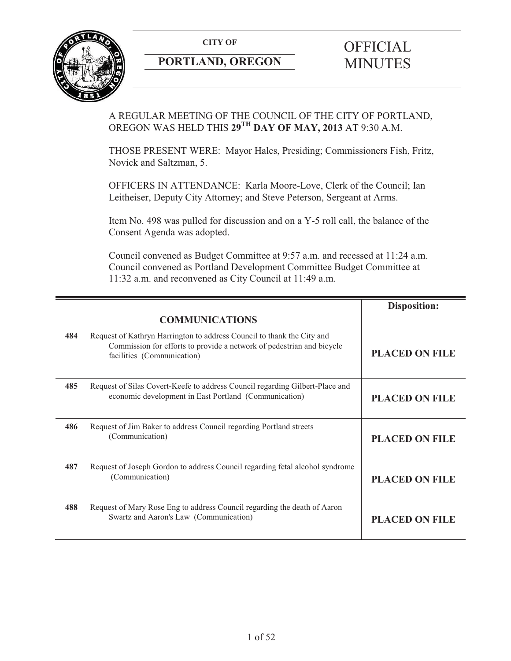

# **PORTLAND, OREGON MINUTES**

# **CITY OF** OFFICIAL

A REGULAR MEETING OF THE COUNCIL OF THE CITY OF PORTLAND, OREGON WAS HELD THIS **29TH DAY OF MAY, 2013** AT 9:30 A.M.

THOSE PRESENT WERE: Mayor Hales, Presiding; Commissioners Fish, Fritz, Novick and Saltzman, 5.

OFFICERS IN ATTENDANCE: Karla Moore-Love, Clerk of the Council; Ian Leitheiser, Deputy City Attorney; and Steve Peterson, Sergeant at Arms.

Item No. 498 was pulled for discussion and on a Y-5 roll call, the balance of the Consent Agenda was adopted.

Council convened as Budget Committee at 9:57 a.m. and recessed at 11:24 a.m. Council convened as Portland Development Committee Budget Committee at 11:32 a.m. and reconvened as City Council at 11:49 a.m.

|     |                                                                                                                                                                               | <b>Disposition:</b>   |
|-----|-------------------------------------------------------------------------------------------------------------------------------------------------------------------------------|-----------------------|
|     | <b>COMMUNICATIONS</b>                                                                                                                                                         |                       |
| 484 | Request of Kathryn Harrington to address Council to thank the City and<br>Commission for efforts to provide a network of pedestrian and bicycle<br>facilities (Communication) | <b>PLACED ON FILE</b> |
| 485 | Request of Silas Covert-Keefe to address Council regarding Gilbert-Place and<br>economic development in East Portland (Communication)                                         | <b>PLACED ON FILE</b> |
| 486 | Request of Jim Baker to address Council regarding Portland streets<br>(Communication)                                                                                         | <b>PLACED ON FILE</b> |
| 487 | Request of Joseph Gordon to address Council regarding fetal alcohol syndrome<br>(Communication)                                                                               | <b>PLACED ON FILE</b> |
| 488 | Request of Mary Rose Eng to address Council regarding the death of Aaron<br>Swartz and Aaron's Law (Communication)                                                            | <b>PLACED ON FILE</b> |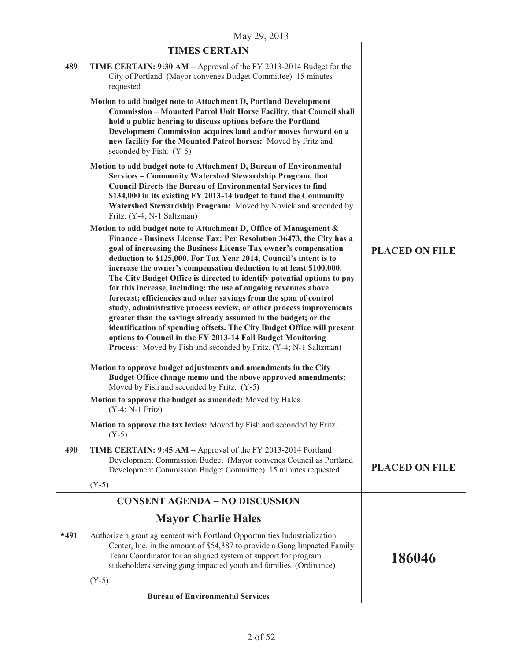|        | <b>TIMES CERTAIN</b>                                                                                                                                                                                                                                                                                                                                                                                                                                                                                                                                                                                                                                                                                                                                                                                                                                                                                                                       |                       |
|--------|--------------------------------------------------------------------------------------------------------------------------------------------------------------------------------------------------------------------------------------------------------------------------------------------------------------------------------------------------------------------------------------------------------------------------------------------------------------------------------------------------------------------------------------------------------------------------------------------------------------------------------------------------------------------------------------------------------------------------------------------------------------------------------------------------------------------------------------------------------------------------------------------------------------------------------------------|-----------------------|
| 489    | TIME CERTAIN: 9:30 AM – Approval of the FY 2013-2014 Budget for the<br>City of Portland (Mayor convenes Budget Committee) 15 minutes<br>requested                                                                                                                                                                                                                                                                                                                                                                                                                                                                                                                                                                                                                                                                                                                                                                                          |                       |
|        | Motion to add budget note to Attachment D, Portland Development<br>Commission - Mounted Patrol Unit Horse Facility, that Council shall<br>hold a public hearing to discuss options before the Portland<br>Development Commission acquires land and/or moves forward on a<br>new facility for the Mounted Patrol horses: Moved by Fritz and<br>seconded by Fish. (Y-5)                                                                                                                                                                                                                                                                                                                                                                                                                                                                                                                                                                      |                       |
|        | Motion to add budget note to Attachment D, Bureau of Environmental<br>Services - Community Watershed Stewardship Program, that<br><b>Council Directs the Bureau of Environmental Services to find</b><br>\$134,000 in its existing FY 2013-14 budget to fund the Community<br>Watershed Stewardship Program: Moved by Novick and seconded by<br>Fritz. (Y-4; N-1 Saltzman)                                                                                                                                                                                                                                                                                                                                                                                                                                                                                                                                                                 |                       |
|        | Motion to add budget note to Attachment D, Office of Management &<br>Finance - Business License Tax: Per Resolution 36473, the City has a<br>goal of increasing the Business License Tax owner's compensation<br>deduction to \$125,000. For Tax Year 2014, Council's intent is to<br>increase the owner's compensation deduction to at least \$100,000.<br>The City Budget Office is directed to identify potential options to pay<br>for this increase, including: the use of ongoing revenues above<br>forecast; efficiencies and other savings from the span of control<br>study, administrative process review, or other process improvements<br>greater than the savings already assumed in the budget; or the<br>identification of spending offsets. The City Budget Office will present<br>options to Council in the FY 2013-14 Fall Budget Monitoring<br><b>Process:</b> Moved by Fish and seconded by Fritz. (Y-4; N-1 Saltzman) | <b>PLACED ON FILE</b> |
|        | Motion to approve budget adjustments and amendments in the City<br>Budget Office change memo and the above approved amendments:<br>Moved by Fish and seconded by Fritz. (Y-5)                                                                                                                                                                                                                                                                                                                                                                                                                                                                                                                                                                                                                                                                                                                                                              |                       |
|        | Motion to approve the budget as amended: Moved by Hales.<br>$(Y-4; N-1 Fritz)$                                                                                                                                                                                                                                                                                                                                                                                                                                                                                                                                                                                                                                                                                                                                                                                                                                                             |                       |
|        | Motion to approve the tax levies: Moved by Fish and seconded by Fritz.<br>$(Y-5)$                                                                                                                                                                                                                                                                                                                                                                                                                                                                                                                                                                                                                                                                                                                                                                                                                                                          |                       |
| 490    | TIME CERTAIN: 9:45 AM - Approval of the FY 2013-2014 Portland<br>Development Commission Budget (Mayor convenes Council as Portland<br>Development Commission Budget Committee) 15 minutes requested                                                                                                                                                                                                                                                                                                                                                                                                                                                                                                                                                                                                                                                                                                                                        | <b>PLACED ON FILE</b> |
|        | $(Y-5)$                                                                                                                                                                                                                                                                                                                                                                                                                                                                                                                                                                                                                                                                                                                                                                                                                                                                                                                                    |                       |
|        | <b>CONSENT AGENDA - NO DISCUSSION</b>                                                                                                                                                                                                                                                                                                                                                                                                                                                                                                                                                                                                                                                                                                                                                                                                                                                                                                      |                       |
|        | <b>Mayor Charlie Hales</b>                                                                                                                                                                                                                                                                                                                                                                                                                                                                                                                                                                                                                                                                                                                                                                                                                                                                                                                 |                       |
| $*491$ | Authorize a grant agreement with Portland Opportunities Industrialization<br>Center, Inc. in the amount of \$54,387 to provide a Gang Impacted Family<br>Team Coordinator for an aligned system of support for program<br>stakeholders serving gang impacted youth and families (Ordinance)                                                                                                                                                                                                                                                                                                                                                                                                                                                                                                                                                                                                                                                | 186046                |
|        | $(Y-5)$                                                                                                                                                                                                                                                                                                                                                                                                                                                                                                                                                                                                                                                                                                                                                                                                                                                                                                                                    |                       |
|        | <b>Bureau of Environmental Services</b>                                                                                                                                                                                                                                                                                                                                                                                                                                                                                                                                                                                                                                                                                                                                                                                                                                                                                                    |                       |

#### **Bureau of Environmental Services**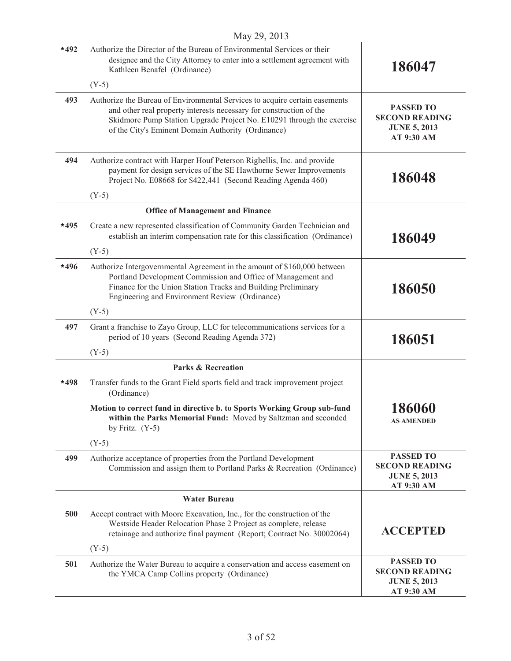|        | $101a$ $y \angle y$ , $\angle 01J$                                                                                                                                                                                                                                                |                                                                                       |
|--------|-----------------------------------------------------------------------------------------------------------------------------------------------------------------------------------------------------------------------------------------------------------------------------------|---------------------------------------------------------------------------------------|
| $*492$ | Authorize the Director of the Bureau of Environmental Services or their<br>designee and the City Attorney to enter into a settlement agreement with<br>Kathleen Benafel (Ordinance)                                                                                               | 186047                                                                                |
|        | $(Y-5)$                                                                                                                                                                                                                                                                           |                                                                                       |
| 493    | Authorize the Bureau of Environmental Services to acquire certain easements<br>and other real property interests necessary for construction of the<br>Skidmore Pump Station Upgrade Project No. E10291 through the exercise<br>of the City's Eminent Domain Authority (Ordinance) | <b>PASSED TO</b><br><b>SECOND READING</b><br><b>JUNE 5, 2013</b><br><b>AT 9:30 AM</b> |
| 494    | Authorize contract with Harper Houf Peterson Righellis, Inc. and provide<br>payment for design services of the SE Hawthorne Sewer Improvements<br>Project No. E08668 for \$422,441 (Second Reading Agenda 460)                                                                    | 186048                                                                                |
|        | $(Y-5)$                                                                                                                                                                                                                                                                           |                                                                                       |
|        | <b>Office of Management and Finance</b>                                                                                                                                                                                                                                           |                                                                                       |
| $*495$ | Create a new represented classification of Community Garden Technician and<br>establish an interim compensation rate for this classification (Ordinance)                                                                                                                          | 186049                                                                                |
|        | $(Y-5)$                                                                                                                                                                                                                                                                           |                                                                                       |
| $*496$ | Authorize Intergovernmental Agreement in the amount of \$160,000 between<br>Portland Development Commission and Office of Management and<br>Finance for the Union Station Tracks and Building Preliminary<br>Engineering and Environment Review (Ordinance)                       | 186050                                                                                |
|        | $(Y-5)$                                                                                                                                                                                                                                                                           |                                                                                       |
| 497    | Grant a franchise to Zayo Group, LLC for telecommunications services for a<br>period of 10 years (Second Reading Agenda 372)                                                                                                                                                      | 186051                                                                                |
|        | $(Y-5)$                                                                                                                                                                                                                                                                           |                                                                                       |
|        | <b>Parks &amp; Recreation</b>                                                                                                                                                                                                                                                     |                                                                                       |
| $*498$ | Transfer funds to the Grant Field sports field and track improvement project<br>(Ordinance)                                                                                                                                                                                       |                                                                                       |
|        | Motion to correct fund in directive b. to Sports Working Group sub-fund<br>within the Parks Memorial Fund: Moved by Saltzman and seconded<br>by Fritz. $(Y-5)$                                                                                                                    | 186060<br><b>AS AMENDED</b>                                                           |
|        | $(Y-5)$                                                                                                                                                                                                                                                                           |                                                                                       |
| 499    | Authorize acceptance of properties from the Portland Development<br>Commission and assign them to Portland Parks & Recreation (Ordinance)                                                                                                                                         | <b>PASSED TO</b><br><b>SECOND READING</b><br><b>JUNE 5, 2013</b><br>AT 9:30 AM        |
|        | <b>Water Bureau</b>                                                                                                                                                                                                                                                               |                                                                                       |
| 500    | Accept contract with Moore Excavation, Inc., for the construction of the<br>Westside Header Relocation Phase 2 Project as complete, release<br>retainage and authorize final payment (Report; Contract No. 30002064)                                                              | <b>ACCEPTED</b>                                                                       |
|        | $(Y-5)$                                                                                                                                                                                                                                                                           |                                                                                       |
| 501    | Authorize the Water Bureau to acquire a conservation and access easement on<br>the YMCA Camp Collins property (Ordinance)                                                                                                                                                         | <b>PASSED TO</b><br><b>SECOND READING</b><br><b>JUNE 5, 2013</b><br>AT 9:30 AM        |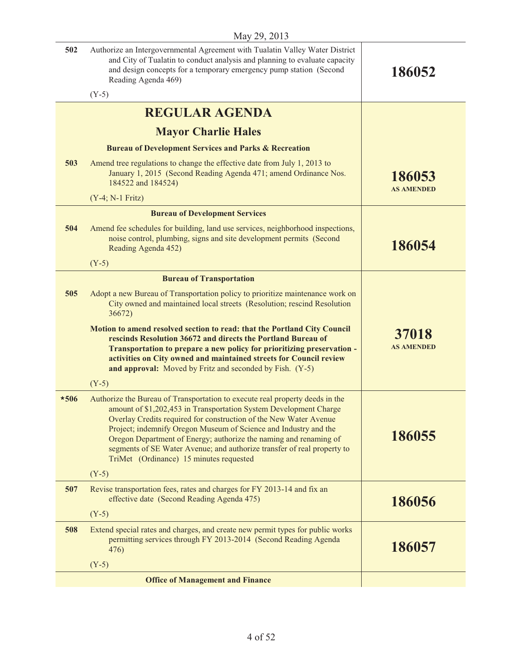| 502    | Authorize an Intergovernmental Agreement with Tualatin Valley Water District<br>and City of Tualatin to conduct analysis and planning to evaluate capacity<br>and design concepts for a temporary emergency pump station (Second<br>Reading Agenda 469)                                                                                                                                                                                                                               | 186052                      |
|--------|---------------------------------------------------------------------------------------------------------------------------------------------------------------------------------------------------------------------------------------------------------------------------------------------------------------------------------------------------------------------------------------------------------------------------------------------------------------------------------------|-----------------------------|
|        | $(Y-5)$                                                                                                                                                                                                                                                                                                                                                                                                                                                                               |                             |
|        | <b>REGULAR AGENDA</b>                                                                                                                                                                                                                                                                                                                                                                                                                                                                 |                             |
|        | <b>Mayor Charlie Hales</b>                                                                                                                                                                                                                                                                                                                                                                                                                                                            |                             |
|        | <b>Bureau of Development Services and Parks &amp; Recreation</b>                                                                                                                                                                                                                                                                                                                                                                                                                      |                             |
| 503    | Amend tree regulations to change the effective date from July 1, 2013 to<br>January 1, 2015 (Second Reading Agenda 471; amend Ordinance Nos.<br>184522 and 184524)                                                                                                                                                                                                                                                                                                                    | 186053<br><b>AS AMENDED</b> |
|        | $(Y-4; N-1 Fritz)$                                                                                                                                                                                                                                                                                                                                                                                                                                                                    |                             |
|        | <b>Bureau of Development Services</b>                                                                                                                                                                                                                                                                                                                                                                                                                                                 |                             |
| 504    | Amend fee schedules for building, land use services, neighborhood inspections,<br>noise control, plumbing, signs and site development permits (Second<br>Reading Agenda 452)                                                                                                                                                                                                                                                                                                          | 186054                      |
|        | $(Y-5)$                                                                                                                                                                                                                                                                                                                                                                                                                                                                               |                             |
|        | <b>Bureau of Transportation</b>                                                                                                                                                                                                                                                                                                                                                                                                                                                       |                             |
| 505    | Adopt a new Bureau of Transportation policy to prioritize maintenance work on<br>City owned and maintained local streets (Resolution; rescind Resolution<br>36672)                                                                                                                                                                                                                                                                                                                    |                             |
|        | Motion to amend resolved section to read: that the Portland City Council<br>rescinds Resolution 36672 and directs the Portland Bureau of<br>Transportation to prepare a new policy for prioritizing preservation -<br>activities on City owned and maintained streets for Council review<br>and approval: Moved by Fritz and seconded by Fish. (Y-5)                                                                                                                                  | 37018<br><b>AS AMENDED</b>  |
|        | $(Y-5)$                                                                                                                                                                                                                                                                                                                                                                                                                                                                               |                             |
| $*506$ | Authorize the Bureau of Transportation to execute real property deeds in the<br>amount of \$1,202,453 in Transportation System Development Charge<br>Overlay Credits required for construction of the New Water Avenue<br>Project; indemnify Oregon Museum of Science and Industry and the<br>Oregon Department of Energy; authorize the naming and renaming of<br>segments of SE Water Avenue; and authorize transfer of real property to<br>TriMet (Ordinance) 15 minutes requested | 186055                      |
|        | $(Y-5)$                                                                                                                                                                                                                                                                                                                                                                                                                                                                               |                             |
| 507    | Revise transportation fees, rates and charges for FY 2013-14 and fix an<br>effective date (Second Reading Agenda 475)                                                                                                                                                                                                                                                                                                                                                                 | 186056                      |
|        | $(Y-5)$                                                                                                                                                                                                                                                                                                                                                                                                                                                                               |                             |
| 508    | Extend special rates and charges, and create new permit types for public works<br>permitting services through FY 2013-2014 (Second Reading Agenda<br>476)                                                                                                                                                                                                                                                                                                                             | 186057                      |
|        | $(Y-5)$                                                                                                                                                                                                                                                                                                                                                                                                                                                                               |                             |
|        | <b>Office of Management and Finance</b>                                                                                                                                                                                                                                                                                                                                                                                                                                               |                             |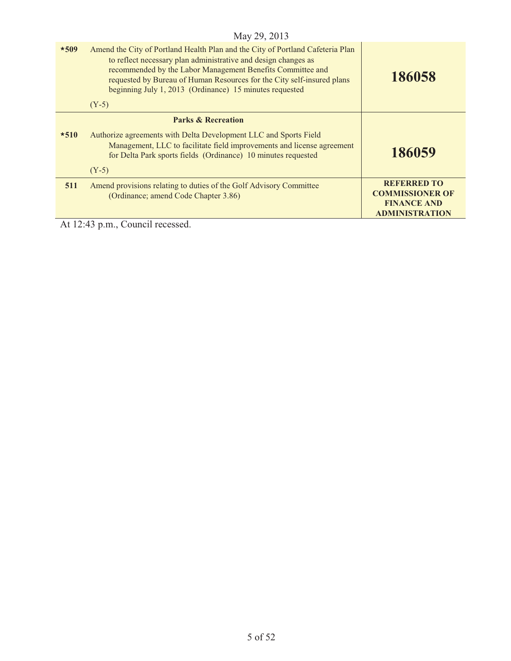| $*509$ | Amend the City of Portland Health Plan and the City of Portland Cafeteria Plan<br>to reflect necessary plan administrative and design changes as<br>recommended by the Labor Management Benefits Committee and<br>requested by Bureau of Human Resources for the City self-insured plans<br>beginning July 1, 2013 (Ordinance) 15 minutes requested<br>$(Y-5)$ | 186058                                                                                      |
|--------|----------------------------------------------------------------------------------------------------------------------------------------------------------------------------------------------------------------------------------------------------------------------------------------------------------------------------------------------------------------|---------------------------------------------------------------------------------------------|
|        | <b>Parks &amp; Recreation</b>                                                                                                                                                                                                                                                                                                                                  |                                                                                             |
| $*510$ | Authorize agreements with Delta Development LLC and Sports Field<br>Management, LLC to facilitate field improvements and license agreement<br>for Delta Park sports fields (Ordinance) 10 minutes requested                                                                                                                                                    | 186059                                                                                      |
|        | $(Y-5)$                                                                                                                                                                                                                                                                                                                                                        |                                                                                             |
| 511    | Amend provisions relating to duties of the Golf Advisory Committee<br>(Ordinance; amend Code Chapter 3.86)                                                                                                                                                                                                                                                     | <b>REFERRED TO</b><br><b>COMMISSIONER OF</b><br><b>FINANCE AND</b><br><b>ADMINISTRATION</b> |
|        | $A + 12.42$ $\ldots$ $C$ and $i$ $1$ $12.22222$                                                                                                                                                                                                                                                                                                                |                                                                                             |

At 12:43 p.m., Council recessed.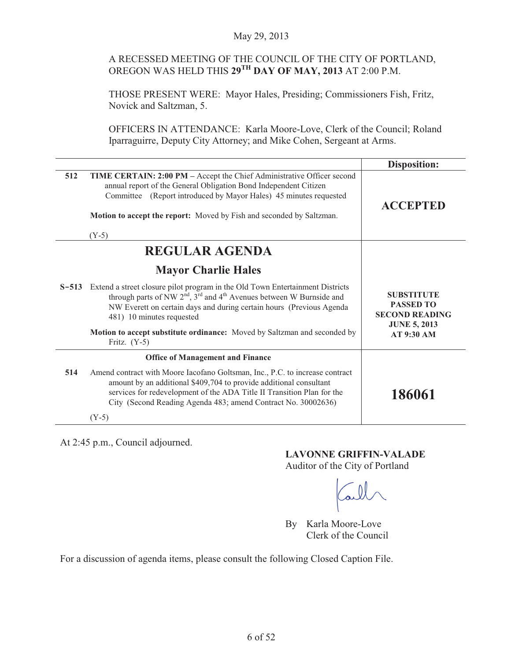# A RECESSED MEETING OF THE COUNCIL OF THE CITY OF PORTLAND, OREGON WAS HELD THIS **29TH DAY OF MAY, 2013** AT 2:00 P.M.

THOSE PRESENT WERE: Mayor Hales, Presiding; Commissioners Fish, Fritz, Novick and Saltzman, 5.

OFFICERS IN ATTENDANCE: Karla Moore-Love, Clerk of the Council; Roland Iparraguirre, Deputy City Attorney; and Mike Cohen, Sergeant at Arms.

|     |                                                                                                                                                                                                                                                                                                       | <b>Disposition:</b>                                            |
|-----|-------------------------------------------------------------------------------------------------------------------------------------------------------------------------------------------------------------------------------------------------------------------------------------------------------|----------------------------------------------------------------|
| 512 | TIME CERTAIN: 2:00 PM - Accept the Chief Administrative Officer second<br>annual report of the General Obligation Bond Independent Citizen<br>(Report introduced by Mayor Hales) 45 minutes requested<br>Committee<br>Motion to accept the report: Moved by Fish and seconded by Saltzman.<br>$(Y-5)$ | <b>ACCEPTED</b>                                                |
|     | <b>REGULAR AGENDA</b>                                                                                                                                                                                                                                                                                 |                                                                |
|     | <b>Mayor Charlie Hales</b>                                                                                                                                                                                                                                                                            |                                                                |
|     | S-513 Extend a street closure pilot program in the Old Town Entertainment Districts<br>through parts of NW $2^{nd}$ , 3 <sup>rd</sup> and 4 <sup>th</sup> Avenues between W Burnside and<br>NW Everett on certain days and during certain hours (Previous Agenda<br>481) 10 minutes requested         | <b>SUBSTITUTE</b><br><b>PASSED TO</b><br><b>SECOND READING</b> |
|     | Motion to accept substitute ordinance: Moved by Saltzman and seconded by<br>Fritz. $(Y-5)$                                                                                                                                                                                                            | <b>JUNE 5, 2013</b><br><b>AT 9:30 AM</b>                       |
|     | <b>Office of Management and Finance</b>                                                                                                                                                                                                                                                               |                                                                |
| 514 | Amend contract with Moore Iacofano Goltsman, Inc., P.C. to increase contract<br>amount by an additional \$409,704 to provide additional consultant<br>services for redevelopment of the ADA Title II Transition Plan for the<br>City (Second Reading Agenda 483; amend Contract No. 30002636)         | 186061                                                         |
|     | $(Y-5)$                                                                                                                                                                                                                                                                                               |                                                                |

At 2:45 p.m., Council adjourned.

# **LAVONNE GRIFFIN-VALADE**

Auditor of the City of Portland

By Karla Moore-Love Clerk of the Council

For a discussion of agenda items, please consult the following Closed Caption File.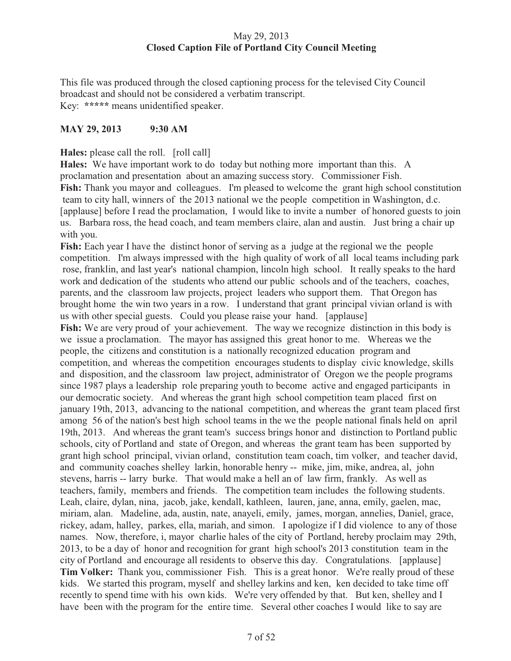# May 29, 2013 **Closed Caption File of Portland City Council Meeting**

This file was produced through the closed captioning process for the televised City Council broadcast and should not be considered a verbatim transcript. Key: **\*\*\*\*\*** means unidentified speaker.

# **MAY 29, 2013 9:30 AM**

**Hales:** please call the roll. [roll call]

**Hales:** We have important work to do today but nothing more important than this. A proclamation and presentation about an amazing success story. Commissioner Fish. **Fish:** Thank you mayor and colleagues. I'm pleased to welcome the grant high school constitution team to city hall, winners of the 2013 national we the people competition in Washington, d.c. [applause] before I read the proclamation, I would like to invite a number of honored guests to join us. Barbara ross, the head coach, and team members claire, alan and austin. Just bring a chair up with you.

**Fish:** Each year I have the distinct honor of serving as a judge at the regional we the people competition. I'm always impressed with the high quality of work of all local teams including park rose, franklin, and last year's national champion, lincoln high school. It really speaks to the hard work and dedication of the students who attend our public schools and of the teachers, coaches, parents, and the classroom law projects, project leaders who support them. That Oregon has brought home the win two years in a row. I understand that grant principal vivian orland is with us with other special guests. Could you please raise your hand. [applause] **Fish:** We are very proud of your achievement. The way we recognize distinction in this body is we issue a proclamation. The mayor has assigned this great honor to me. Whereas we the people, the citizens and constitution is a nationally recognized education program and competition, and whereas the competition encourages students to display civic knowledge, skills and disposition, and the classroom law project, administrator of Oregon we the people programs since 1987 plays a leadership role preparing youth to become active and engaged participants in our democratic society. And whereas the grant high school competition team placed first on january 19th, 2013, advancing to the national competition, and whereas the grant team placed first among 56 of the nation's best high school teams in the we the people national finals held on april 19th, 2013. And whereas the grant team's success brings honor and distinction to Portland public schools, city of Portland and state of Oregon, and whereas the grant team has been supported by grant high school principal, vivian orland, constitution team coach, tim volker, and teacher david, and community coaches shelley larkin, honorable henry -- mike, jim, mike, andrea, al, john stevens, harris -- larry burke. That would make a hell an of law firm, frankly. As well as teachers, family, members and friends. The competition team includes the following students. Leah, claire, dylan, nina, jacob, jake, kendall, kathleen, lauren, jane, anna, emily, gaelen, mac, miriam, alan. Madeline, ada, austin, nate, anayeli, emily, james, morgan, annelies, Daniel, grace, rickey, adam, halley, parkes, ella, mariah, and simon. I apologize if I did violence to any of those names. Now, therefore, i, mayor charlie hales of the city of Portland, hereby proclaim may 29th, 2013, to be a day of honor and recognition for grant high school's 2013 constitution team in the city of Portland and encourage all residents to observe this day. Congratulations. [applause] **Tim Volker:** Thank you, commissioner Fish. This is a great honor. We're really proud of these kids. We started this program, myself and shelley larkins and ken, ken decided to take time off recently to spend time with his own kids. We're very offended by that. But ken, shelley and I have been with the program for the entire time. Several other coaches I would like to say are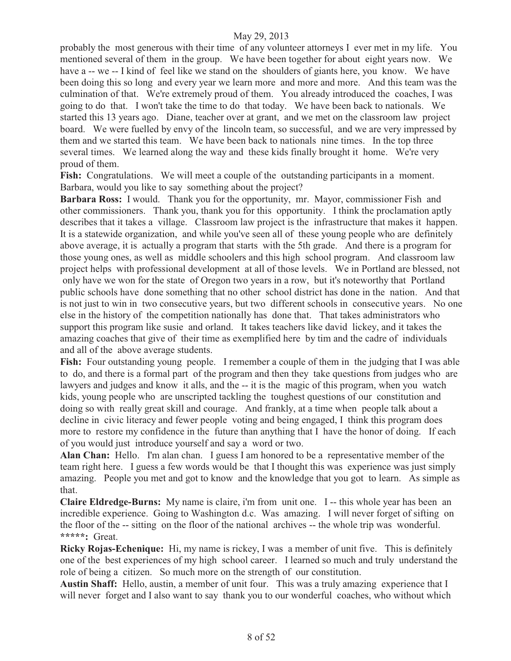probably the most generous with their time of any volunteer attorneys I ever met in my life. You mentioned several of them in the group. We have been together for about eight years now. We have a -- we -- I kind of feel like we stand on the shoulders of giants here, you know. We have been doing this so long and every year we learn more and more and more. And this team was the culmination of that. We're extremely proud of them. You already introduced the coaches, I was going to do that. I won't take the time to do that today. We have been back to nationals. We started this 13 years ago. Diane, teacher over at grant, and we met on the classroom law project board. We were fuelled by envy of the lincoln team, so successful, and we are very impressed by them and we started this team. We have been back to nationals nine times. In the top three several times. We learned along the way and these kids finally brought it home. We're very proud of them.

Fish: Congratulations. We will meet a couple of the outstanding participants in a moment. Barbara, would you like to say something about the project?

**Barbara Ross:** I would. Thank you for the opportunity, mr. Mayor, commissioner Fish and other commissioners. Thank you, thank you for this opportunity. I think the proclamation aptly describes that it takes a village. Classroom law project is the infrastructure that makes it happen. It is a statewide organization, and while you've seen all of these young people who are definitely above average, it is actually a program that starts with the 5th grade. And there is a program for those young ones, as well as middle schoolers and this high school program. And classroom law project helps with professional development at all of those levels. We in Portland are blessed, not only have we won for the state of Oregon two years in a row, but it's noteworthy that Portland public schools have done something that no other school district has done in the nation. And that is not just to win in two consecutive years, but two different schools in consecutive years. No one else in the history of the competition nationally has done that. That takes administrators who support this program like susie and orland. It takes teachers like david lickey, and it takes the amazing coaches that give of their time as exemplified here by tim and the cadre of individuals and all of the above average students.

Fish: Four outstanding young people. I remember a couple of them in the judging that I was able to do, and there is a formal part of the program and then they take questions from judges who are lawyers and judges and know it alls, and the -- it is the magic of this program, when you watch kids, young people who are unscripted tackling the toughest questions of our constitution and doing so with really great skill and courage. And frankly, at a time when people talk about a decline in civic literacy and fewer people voting and being engaged, I think this program does more to restore my confidence in the future than anything that I have the honor of doing. If each of you would just introduce yourself and say a word or two.

**Alan Chan:** Hello. I'm alan chan. I guess I am honored to be a representative member of the team right here. I guess a few words would be that I thought this was experience was just simply amazing. People you met and got to know and the knowledge that you got to learn. As simple as that.

**Claire Eldredge-Burns:** My name is claire, i'm from unit one. I -- this whole year has been an incredible experience. Going to Washington d.c. Was amazing. I will never forget of sifting on the floor of the -- sitting on the floor of the national archives -- the whole trip was wonderful. **\*\*\*\*\*:** Great.

**Ricky Rojas-Echenique:** Hi, my name is rickey, I was a member of unit five. This is definitely one of the best experiences of my high school career. I learned so much and truly understand the role of being a citizen. So much more on the strength of our constitution.

**Austin Shaff:** Hello, austin, a member of unit four. This was a truly amazing experience that I will never forget and I also want to say thank you to our wonderful coaches, who without which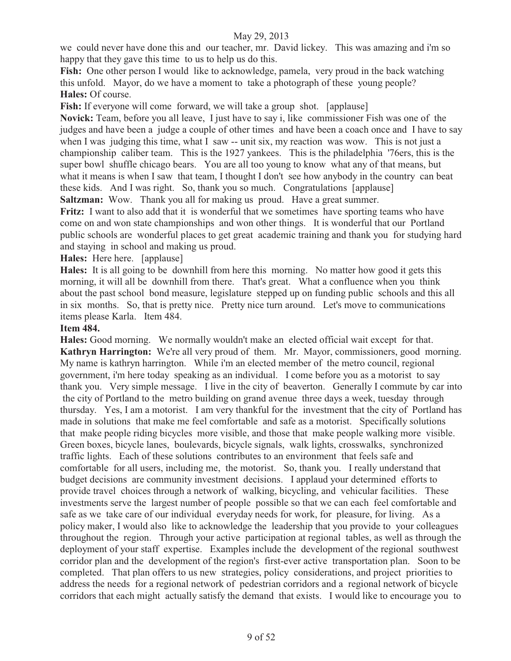we could never have done this and our teacher, mr. David lickey. This was amazing and i'm so happy that they gave this time to us to help us do this.

Fish: One other person I would like to acknowledge, pamela, very proud in the back watching this unfold. Mayor, do we have a moment to take a photograph of these young people? **Hales:** Of course.

**Fish:** If everyone will come forward, we will take a group shot. [applause]

**Novick:** Team, before you all leave, I just have to say i, like commissioner Fish was one of the judges and have been a judge a couple of other times and have been a coach once and I have to say when I was judging this time, what I saw -- unit six, my reaction was wow. This is not just a championship caliber team. This is the 1927 yankees. This is the philadelphia '76ers, this is the super bowl shuffle chicago bears. You are all too young to know what any of that means, but what it means is when I saw that team, I thought I don't see how anybody in the country can beat these kids. And I was right. So, thank you so much. Congratulations [applause]

**Saltzman:** Wow. Thank you all for making us proud. Have a great summer.

**Fritz:** I want to also add that it is wonderful that we sometimes have sporting teams who have come on and won state championships and won other things. It is wonderful that our Portland public schools are wonderful places to get great academic training and thank you for studying hard and staying in school and making us proud.

**Hales:** Here here. [applause]

**Hales:** It is all going to be downhill from here this morning. No matter how good it gets this morning, it will all be downhill from there. That's great. What a confluence when you think about the past school bond measure, legislature stepped up on funding public schools and this all in six months. So, that is pretty nice. Pretty nice turn around. Let's move to communications items please Karla. Item 484.

# **Item 484.**

**Hales:** Good morning. We normally wouldn't make an elected official wait except for that. **Kathryn Harrington:** We're all very proud of them. Mr. Mayor, commissioners, good morning. My name is kathryn harrington. While i'm an elected member of the metro council, regional government, i'm here today speaking as an individual. I come before you as a motorist to say thank you. Very simple message. I live in the city of beaverton. Generally I commute by car into the city of Portland to the metro building on grand avenue three days a week, tuesday through thursday. Yes, I am a motorist. I am very thankful for the investment that the city of Portland has made in solutions that make me feel comfortable and safe as a motorist. Specifically solutions that make people riding bicycles more visible, and those that make people walking more visible. Green boxes, bicycle lanes, boulevards, bicycle signals, walk lights, crosswalks, synchronized traffic lights. Each of these solutions contributes to an environment that feels safe and comfortable for all users, including me, the motorist. So, thank you. I really understand that budget decisions are community investment decisions. I applaud your determined efforts to provide travel choices through a network of walking, bicycling, and vehicular facilities. These investments serve the largest number of people possible so that we can each feel comfortable and safe as we take care of our individual everyday needs for work, for pleasure, for living. As a policy maker, I would also like to acknowledge the leadership that you provide to your colleagues throughout the region. Through your active participation at regional tables, as well as through the deployment of your staff expertise. Examples include the development of the regional southwest corridor plan and the development of the region's first-ever active transportation plan. Soon to be completed. That plan offers to us new strategies, policy considerations, and project priorities to address the needs for a regional network of pedestrian corridors and a regional network of bicycle corridors that each might actually satisfy the demand that exists. I would like to encourage you to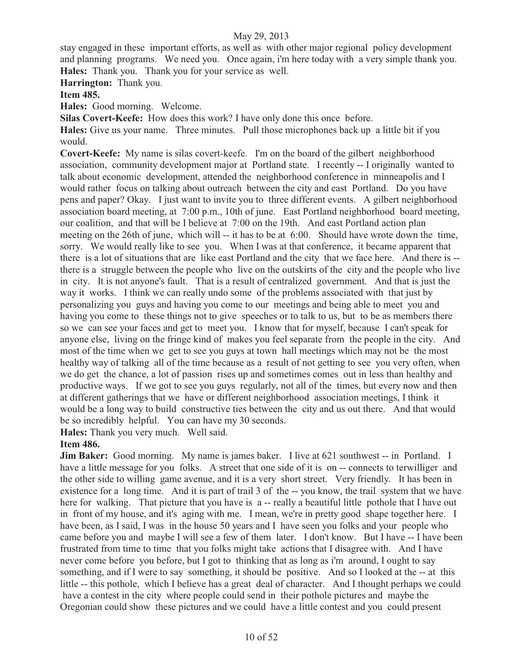stay engaged in these important efforts, as well as with other major regional policy development and planning programs. We need you. Once again, i'm here today with a very simple thank you. **Hales:** Thank you. Thank you for your service as well.

**Harrington:** Thank you.

**Item 485.** 

**Hales:** Good morning. Welcome.

**Silas Covert-Keefe:** How does this work? I have only done this once before.

**Hales:** Give us your name. Three minutes. Pull those microphones back up a little bit if you would.

**Covert-Keefe:** My name is silas covert-keefe. I'm on the board of the gilbert neighborhood association, community development major at Portland state. I recently -- I originally wanted to talk about economic development, attended the neighborhood conference in minneapolis and I would rather focus on talking about outreach between the city and east Portland. Do you have pens and paper? Okay. I just want to invite you to three different events. A gilbert neighborhood association board meeting, at 7:00 p.m., 10th of june. East Portland neighborhood board meeting, our coalition, and that will be I believe at 7:00 on the 19th. And east Portland action plan meeting on the 26th of june, which will -- it has to be at 6:00. Should have wrote down the time, sorry. We would really like to see you. When I was at that conference, it became apparent that there is a lot of situations that are like east Portland and the city that we face here. And there is - there is a struggle between the people who live on the outskirts of the city and the people who live in city. It is not anyone's fault. That is a result of centralized government. And that is just the way it works. I think we can really undo some of the problems associated with that just by personalizing you guys and having you come to our meetings and being able to meet you and having you come to these things not to give speeches or to talk to us, but to be as members there so we can see your faces and get to meet you. I know that for myself, because I can't speak for anyone else, living on the fringe kind of makes you feel separate from the people in the city. And most of the time when we get to see you guys at town hall meetings which may not be the most healthy way of talking all of the time because as a result of not getting to see you very often, when we do get the chance, a lot of passion rises up and sometimes comes out in less than healthy and productive ways. If we got to see you guys regularly, not all of the times, but every now and then at different gatherings that we have or different neighborhood association meetings, I think it would be a long way to build constructive ties between the city and us out there. And that would be so incredibly helpful. You can have my 30 seconds.

**Hales:** Thank you very much. Well said.

# **Item 486.**

**Jim Baker:** Good morning. My name is james baker. I live at 621 southwest -- in Portland. I have a little message for you folks. A street that one side of it is on -- connects to terwilliger and the other side to willing game avenue, and it is a very short street. Very friendly. It has been in existence for a long time. And it is part of trail 3 of the -- you know, the trail system that we have here for walking. That picture that you have is a-really a beautiful little pothole that I have out in front of my house, and it's aging with me. I mean, we're in pretty good shape together here. I have been, as I said, I was in the house 50 years and I have seen you folks and your people who came before you and maybe I will see a few of them later. I don't know. But I have -- I have been frustrated from time to time that you folks might take actions that I disagree with. And I have never come before you before, but I got to thinking that as long as i'm around, I ought to say something, and if I were to say something, it should be positive. And so I looked at the -- at this little -- this pothole, which I believe has a great deal of character. And I thought perhaps we could have a contest in the city where people could send in their pothole pictures and maybe the Oregonian could show these pictures and we could have a little contest and you could present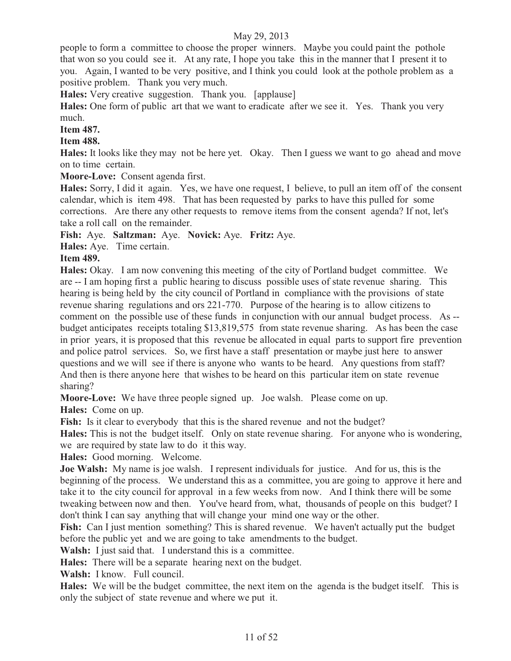people to form a committee to choose the proper winners. Maybe you could paint the pothole that won so you could see it. At any rate, I hope you take this in the manner that I present it to you. Again, I wanted to be very positive, and I think you could look at the pothole problem as a positive problem. Thank you very much.

**Hales:** Very creative suggestion. Thank you. [applause]

**Hales:** One form of public art that we want to eradicate after we see it. Yes. Thank you very much.

#### **Item 487.**

**Item 488.** 

**Hales:** It looks like they may not be here yet. Okay. Then I guess we want to go ahead and move on to time certain.

**Moore-Love:** Consent agenda first.

**Hales:** Sorry, I did it again. Yes, we have one request, I believe, to pull an item off of the consent calendar, which is item 498. That has been requested by parks to have this pulled for some corrections. Are there any other requests to remove items from the consent agenda? If not, let's take a roll call on the remainder.

**Fish:** Aye. **Saltzman:** Aye. **Novick:** Aye. **Fritz:** Aye.

**Hales:** Aye. Time certain.

# **Item 489.**

**Hales:** Okay. I am now convening this meeting of the city of Portland budget committee. We are -- I am hoping first a public hearing to discuss possible uses of state revenue sharing. This hearing is being held by the city council of Portland in compliance with the provisions of state revenue sharing regulations and ors 221-770. Purpose of the hearing is to allow citizens to comment on the possible use of these funds in conjunction with our annual budget process. As - budget anticipates receipts totaling \$13,819,575 from state revenue sharing. As has been the case in prior years, it is proposed that this revenue be allocated in equal parts to support fire prevention and police patrol services. So, we first have a staff presentation or maybe just here to answer questions and we will see if there is anyone who wants to be heard. Any questions from staff? And then is there anyone here that wishes to be heard on this particular item on state revenue sharing?

**Moore-Love:** We have three people signed up. Joe walsh. Please come on up.

**Hales:** Come on up.

Fish: Is it clear to everybody that this is the shared revenue and not the budget?

**Hales:** This is not the budget itself. Only on state revenue sharing. For anyone who is wondering, we are required by state law to do it this way.

**Hales:** Good morning. Welcome.

**Joe Walsh:** My name is joe walsh. I represent individuals for justice. And for us, this is the beginning of the process. We understand this as a committee, you are going to approve it here and take it to the city council for approval in a few weeks from now. And I think there will be some tweaking between now and then. You've heard from, what, thousands of people on this budget? I don't think I can say anything that will change your mind one way or the other.

Fish: Can I just mention something? This is shared revenue. We haven't actually put the budget before the public yet and we are going to take amendments to the budget.

**Walsh:** I just said that. I understand this is a committee.

**Hales:** There will be a separate hearing next on the budget.

**Walsh:** I know. Full council.

Hales: We will be the budget committee, the next item on the agenda is the budget itself. This is only the subject of state revenue and where we put it.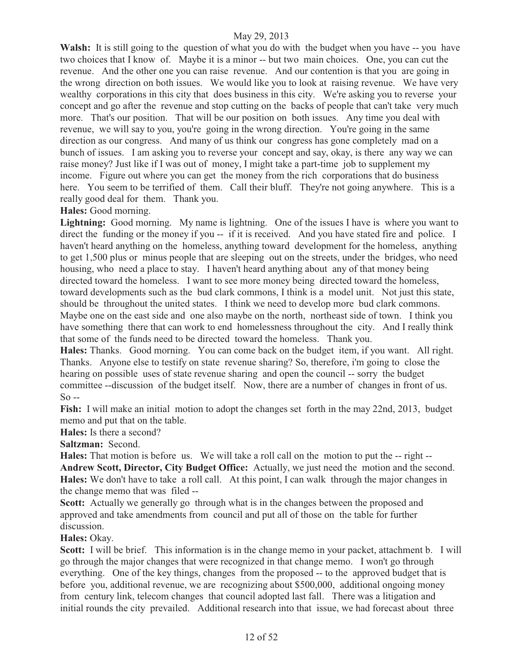Walsh: It is still going to the question of what you do with the budget when you have -- you have two choices that I know of. Maybe it is a minor -- but two main choices. One, you can cut the revenue. And the other one you can raise revenue. And our contention is that you are going in the wrong direction on both issues. We would like you to look at raising revenue. We have very wealthy corporations in this city that does business in this city. We're asking you to reverse your concept and go after the revenue and stop cutting on the backs of people that can't take very much more. That's our position. That will be our position on both issues. Any time you deal with revenue, we will say to you, you're going in the wrong direction. You're going in the same direction as our congress. And many of us think our congress has gone completely mad on a bunch of issues. I am asking you to reverse your concept and say, okay, is there any way we can raise money? Just like if I was out of money, I might take a part-time job to supplement my income. Figure out where you can get the money from the rich corporations that do business here. You seem to be terrified of them. Call their bluff. They're not going anywhere. This is a really good deal for them. Thank you.

# **Hales:** Good morning.

Lightning: Good morning. My name is lightning. One of the issues I have is where you want to direct the funding or the money if you -- if it is received. And you have stated fire and police. I haven't heard anything on the homeless, anything toward development for the homeless, anything to get 1,500 plus or minus people that are sleeping out on the streets, under the bridges, who need housing, who need a place to stay. I haven't heard anything about any of that money being directed toward the homeless. I want to see more money being directed toward the homeless, toward developments such as the bud clark commons, I think is a model unit. Not just this state, should be throughout the united states. I think we need to develop more bud clark commons. Maybe one on the east side and one also maybe on the north, northeast side of town. I think you have something there that can work to end homelessness throughout the city. And I really think that some of the funds need to be directed toward the homeless. Thank you.

**Hales:** Thanks. Good morning. You can come back on the budget item, if you want. All right. Thanks. Anyone else to testify on state revenue sharing? So, therefore, i'm going to close the hearing on possible uses of state revenue sharing and open the council -- sorry the budget committee --discussion of the budget itself. Now, there are a number of changes in front of us. So --

**Fish:** I will make an initial motion to adopt the changes set forth in the may 22nd, 2013, budget memo and put that on the table.

**Hales:** Is there a second?

**Saltzman:** Second.

**Hales:** That motion is before us. We will take a roll call on the motion to put the -- right -- **Andrew Scott, Director, City Budget Office:** Actually, we just need the motion and the second. **Hales:** We don't have to take a roll call. At this point, I can walk through the major changes in the change memo that was filed --

**Scott:** Actually we generally go through what is in the changes between the proposed and approved and take amendments from council and put all of those on the table for further discussion.

**Hales:** Okay.

**Scott:** I will be brief. This information is in the change memo in your packet, attachment b. I will go through the major changes that were recognized in that change memo. I won't go through everything. One of the key things, changes from the proposed -- to the approved budget that is before you, additional revenue, we are recognizing about \$500,000, additional ongoing money from century link, telecom changes that council adopted last fall. There was a litigation and initial rounds the city prevailed. Additional research into that issue, we had forecast about three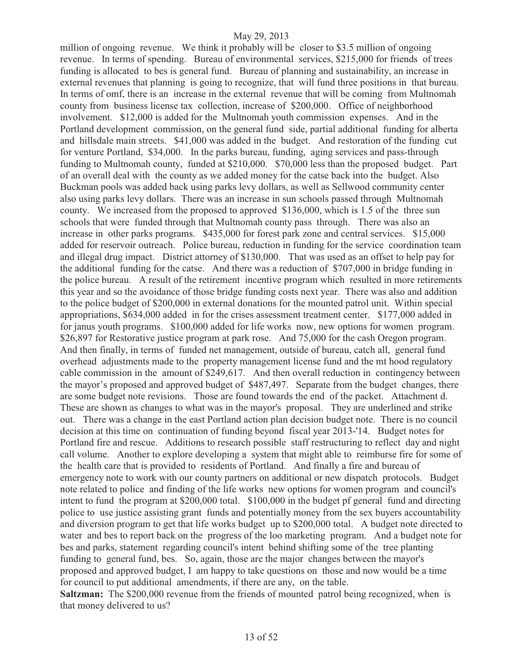million of ongoing revenue. We think it probably will be closer to \$3.5 million of ongoing revenue. In terms of spending. Bureau of environmental services, \$215,000 for friends of trees funding is allocated to bes is general fund. Bureau of planning and sustainability, an increase in external revenues that planning is going to recognize, that will fund three positions in that bureau. In terms of omf, there is an increase in the external revenue that will be coming from Multnomah county from business license tax collection, increase of \$200,000. Office of neighborhood involvement. \$12,000 is added for the Multnomah youth commission expenses. And in the Portland development commission, on the general fund side, partial additional funding for alberta and hillsdale main streets. \$41,000 was added in the budget. And restoration of the funding cut for venture Portland, \$34,000. In the parks bureau, funding, aging services and pass-through funding to Multnomah county, funded at \$210,000. \$70,000 less than the proposed budget. Part of an overall deal with the county as we added money for the catse back into the budget. Also Buckman pools was added back using parks levy dollars, as well as Sellwood community center also using parks levy dollars. There was an increase in sun schools passed through Multnomah county. We increased from the proposed to approved \$136,000, which is 1.5 of the three sun schools that were funded through that Multnomah county pass through. There was also an increase in other parks programs. \$435,000 for forest park zone and central services. \$15,000 added for reservoir outreach. Police bureau, reduction in funding for the service coordination team and illegal drug impact. District attorney of \$130,000. That was used as an offset to help pay for the additional funding for the catse. And there was a reduction of \$707,000 in bridge funding in the police bureau. A result of the retirement incentive program which resulted in more retirements this year and so the avoidance of those bridge funding costs next year. There was also and addition to the police budget of \$200,000 in external donations for the mounted patrol unit. Within special appropriations, \$634,000 added in for the crises assessment treatment center. \$177,000 added in for janus youth programs. \$100,000 added for life works now, new options for women program. \$26,897 for Restorative justice program at park rose. And 75,000 for the cash Oregon program. And then finally, in terms of funded net management, outside of bureau, catch all, general fund overhead adjustments made to the property management license fund and the mt hood regulatory cable commission in the amount of \$249,617. And then overall reduction in contingency between the mayor's proposed and approved budget of \$487,497. Separate from the budget changes, there are some budget note revisions. Those are found towards the end of the packet. Attachment d. These are shown as changes to what was in the mayor's proposal. They are underlined and strike out. There was a change in the east Portland action plan decision budget note. There is no council decision at this time on continuation of funding beyond fiscal year 2013-'14. Budget notes for Portland fire and rescue. Additions to research possible staff restructuring to reflect day and night call volume. Another to explore developing a system that might able to reimburse fire for some of the health care that is provided to residents of Portland. And finally a fire and bureau of emergency note to work with our county partners on additional or new dispatch protocols. Budget note related to police and finding of the life works new options for women program and council's intent to fund the program at \$200,000 total. \$100,000 in the budget pf general fund and directing police to use justice assisting grant funds and potentially money from the sex buyers accountability and diversion program to get that life works budget up to \$200,000 total. A budget note directed to water and bes to report back on the progress of the loo marketing program. And a budget note for bes and parks, statement regarding council's intent behind shifting some of the tree planting funding to general fund, bes. So, again, those are the major changes between the mayor's proposed and approved budget, I am happy to take questions on those and now would be a time for council to put additional amendments, if there are any, on the table. **Saltzman:** The \$200,000 revenue from the friends of mounted patrol being recognized, when is

that money delivered to us?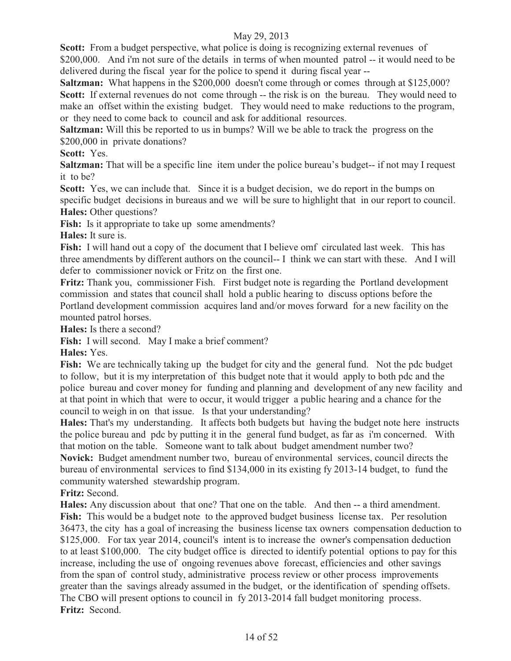**Scott:** From a budget perspective, what police is doing is recognizing external revenues of \$200,000. And i'm not sure of the details in terms of when mounted patrol -- it would need to be delivered during the fiscal year for the police to spend it during fiscal year --

**Saltzman:** What happens in the \$200,000 doesn't come through or comes through at \$125,000? Scott: If external revenues do not come through -- the risk is on the bureau. They would need to make an offset within the existing budget. They would need to make reductions to the program, or they need to come back to council and ask for additional resources.

**Saltzman:** Will this be reported to us in bumps? Will we be able to track the progress on the \$200,000 in private donations?

# **Scott:** Yes.

**Saltzman:** That will be a specific line item under the police bureau's budget-- if not may I request it to be?

Scott: Yes, we can include that. Since it is a budget decision, we do report in the bumps on specific budget decisions in bureaus and we will be sure to highlight that in our report to council. **Hales:** Other questions?

**Fish:** Is it appropriate to take up some amendments?

**Hales:** It sure is.

Fish: I will hand out a copy of the document that I believe omf circulated last week. This has three amendments by different authors on the council-- I think we can start with these. And I will defer to commissioner novick or Fritz on the first one.

**Fritz:** Thank you, commissioner Fish. First budget note is regarding the Portland development commission and states that council shall hold a public hearing to discuss options before the Portland development commission acquires land and/or moves forward for a new facility on the mounted patrol horses.

**Hales:** Is there a second?

**Fish:** I will second. May I make a brief comment?

**Hales:** Yes.

Fish: We are technically taking up the budget for city and the general fund. Not the pdc budget to follow, but it is my interpretation of this budget note that it would apply to both pdc and the police bureau and cover money for funding and planning and development of any new facility and at that point in which that were to occur, it would trigger a public hearing and a chance for the council to weigh in on that issue. Is that your understanding?

**Hales:** That's my understanding. It affects both budgets but having the budget note here instructs the police bureau and pdc by putting it in the general fund budget, as far as i'm concerned. With that motion on the table. Someone want to talk about budget amendment number two?

**Novick:** Budget amendment number two, bureau of environmental services, council directs the bureau of environmental services to find \$134,000 in its existing fy 2013-14 budget, to fund the community watershed stewardship program.

**Fritz:** Second.

**Hales:** Any discussion about that one? That one on the table. And then -- a third amendment. Fish: This would be a budget note to the approved budget business license tax. Per resolution 36473, the city has a goal of increasing the business license tax owners compensation deduction to \$125,000. For tax year 2014, council's intent is to increase the owner's compensation deduction to at least \$100,000. The city budget office is directed to identify potential options to pay for this increase, including the use of ongoing revenues above forecast, efficiencies and other savings from the span of control study, administrative process review or other process improvements greater than the savings already assumed in the budget, or the identification of spending offsets. The CBO will present options to council in fy 2013-2014 fall budget monitoring process. **Fritz:** Second.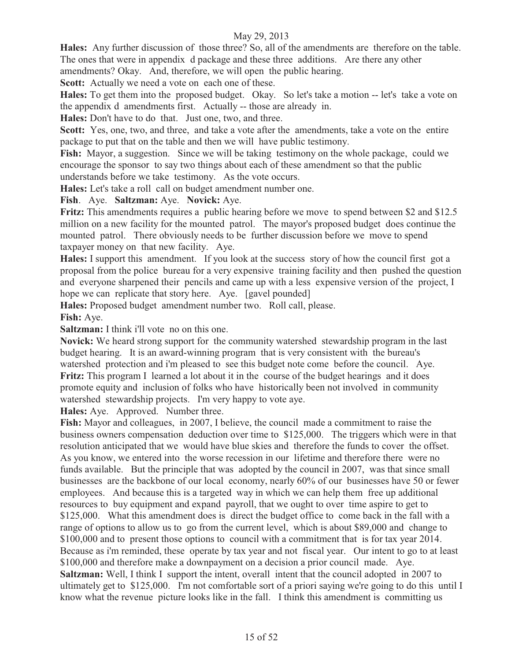**Hales:** Any further discussion of those three? So, all of the amendments are therefore on the table. The ones that were in appendix d package and these three additions. Are there any other

amendments? Okay. And, therefore, we will open the public hearing.

**Scott:** Actually we need a vote on each one of these.

**Hales:** To get them into the proposed budget. Okay. So let's take a motion -- let's take a vote on the appendix d amendments first. Actually -- those are already in.

**Hales:** Don't have to do that. Just one, two, and three.

**Scott:** Yes, one, two, and three, and take a vote after the amendments, take a vote on the entire package to put that on the table and then we will have public testimony.

Fish: Mayor, a suggestion. Since we will be taking testimony on the whole package, could we encourage the sponsor to say two things about each of these amendment so that the public understands before we take testimony. As the vote occurs.

**Hales:** Let's take a roll call on budget amendment number one.

**Fish**. Aye. **Saltzman:** Aye. **Novick:** Aye.

**Fritz:** This amendments requires a public hearing before we move to spend between \$2 and \$12.5 million on a new facility for the mounted patrol. The mayor's proposed budget does continue the mounted patrol. There obviously needs to be further discussion before we move to spend taxpayer money on that new facility. Aye.

**Hales:** I support this amendment. If you look at the success story of how the council first got a proposal from the police bureau for a very expensive training facility and then pushed the question and everyone sharpened their pencils and came up with a less expensive version of the project, I hope we can replicate that story here. Aye. [gavel pounded]

**Hales:** Proposed budget amendment number two. Roll call, please. **Fish:** Aye.

**Saltzman:** I think i'll vote no on this one.

**Novick:** We heard strong support for the community watershed stewardship program in the last budget hearing. It is an award-winning program that is very consistent with the bureau's watershed protection and i'm pleased to see this budget note come before the council. Aye. **Fritz:** This program I learned a lot about it in the course of the budget hearings and it does promote equity and inclusion of folks who have historically been not involved in community watershed stewardship projects. I'm very happy to vote aye.

**Hales:** Aye. Approved. Number three.

**Fish:** Mayor and colleagues, in 2007, I believe, the council made a commitment to raise the business owners compensation deduction over time to \$125,000. The triggers which were in that resolution anticipated that we would have blue skies and therefore the funds to cover the offset. As you know, we entered into the worse recession in our lifetime and therefore there were no funds available. But the principle that was adopted by the council in 2007, was that since small businesses are the backbone of our local economy, nearly 60% of our businesses have 50 or fewer employees. And because this is a targeted way in which we can help them free up additional resources to buy equipment and expand payroll, that we ought to over time aspire to get to \$125,000. What this amendment does is direct the budget office to come back in the fall with a range of options to allow us to go from the current level, which is about \$89,000 and change to \$100,000 and to present those options to council with a commitment that is for tax year 2014. Because as i'm reminded, these operate by tax year and not fiscal year. Our intent to go to at least \$100,000 and therefore make a downpayment on a decision a prior council made. Aye. **Saltzman:** Well, I think I support the intent, overall intent that the council adopted in 2007 to ultimately get to \$125,000. I'm not comfortable sort of a priori saying we're going to do this until I know what the revenue picture looks like in the fall. I think this amendment is committing us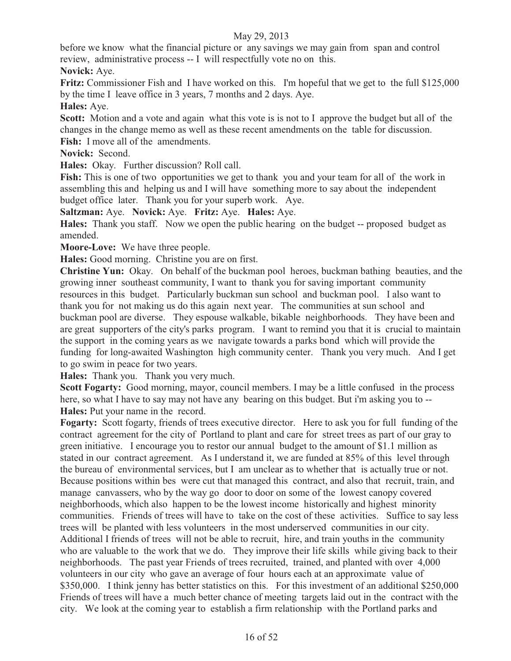before we know what the financial picture or any savings we may gain from span and control review, administrative process -- I will respectfully vote no on this.

**Novick:** Aye.

**Fritz:** Commissioner Fish and I have worked on this. I'm hopeful that we get to the full \$125,000 by the time I leave office in 3 years, 7 months and 2 days. Aye.

**Hales:** Aye.

**Scott:** Motion and a vote and again what this vote is is not to I approve the budget but all of the changes in the change memo as well as these recent amendments on the table for discussion. **Fish:** I move all of the amendments.

**Novick:** Second.

**Hales:** Okay. Further discussion? Roll call.

**Fish:** This is one of two opportunities we get to thank you and your team for all of the work in assembling this and helping us and I will have something more to say about the independent budget office later. Thank you for your superb work. Aye.

**Saltzman:** Aye. **Novick:** Aye. **Fritz:** Aye. **Hales:** Aye.

**Hales:** Thank you staff. Now we open the public hearing on the budget -- proposed budget as amended.

**Moore-Love:** We have three people.

**Hales:** Good morning. Christine you are on first.

**Christine Yun:** Okay. On behalf of the buckman pool heroes, buckman bathing beauties, and the growing inner southeast community, I want to thank you for saving important community resources in this budget. Particularly buckman sun school and buckman pool. I also want to thank you for not making us do this again next year. The communities at sun school and buckman pool are diverse. They espouse walkable, bikable neighborhoods. They have been and are great supporters of the city's parks program. I want to remind you that it is crucial to maintain the support in the coming years as we navigate towards a parks bond which will provide the funding for long-awaited Washington high community center. Thank you very much. And I get to go swim in peace for two years.

**Hales:** Thank you. Thank you very much.

**Scott Fogarty:** Good morning, mayor, council members. I may be a little confused in the process here, so what I have to say may not have any bearing on this budget. But i'm asking you to -- **Hales:** Put your name in the record.

**Fogarty:** Scott fogarty, friends of trees executive director. Here to ask you for full funding of the contract agreement for the city of Portland to plant and care for street trees as part of our gray to green initiative. I encourage you to restor our annual budget to the amount of \$1.1 million as stated in our contract agreement. As I understand it, we are funded at 85% of this level through the bureau of environmental services, but I am unclear as to whether that is actually true or not. Because positions within bes were cut that managed this contract, and also that recruit, train, and manage canvassers, who by the way go door to door on some of the lowest canopy covered neighborhoods, which also happen to be the lowest income historically and highest minority communities. Friends of trees will have to take on the cost of these activities. Suffice to say less trees will be planted with less volunteers in the most underserved communities in our city. Additional I friends of trees will not be able to recruit, hire, and train youths in the community who are valuable to the work that we do. They improve their life skills while giving back to their neighborhoods. The past year Friends of trees recruited, trained, and planted with over 4,000 volunteers in our city who gave an average of four hours each at an approximate value of \$350,000. I think jenny has better statistics on this. For this investment of an additional \$250,000 Friends of trees will have a much better chance of meeting targets laid out in the contract with the city. We look at the coming year to establish a firm relationship with the Portland parks and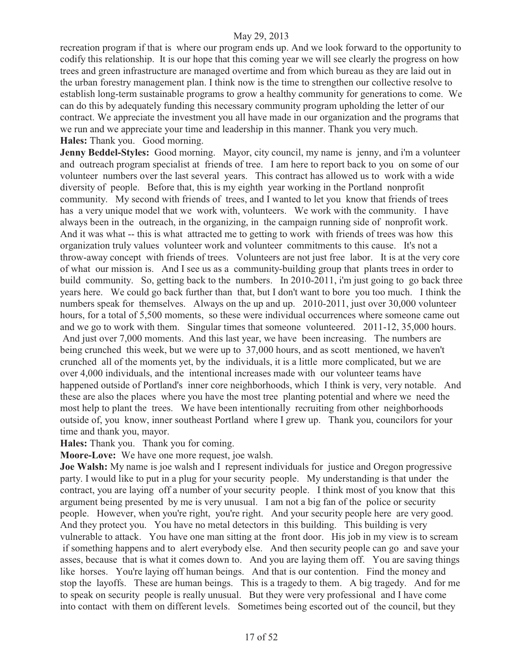recreation program if that is where our program ends up. And we look forward to the opportunity to codify this relationship. It is our hope that this coming year we will see clearly the progress on how trees and green infrastructure are managed overtime and from which bureau as they are laid out in the urban forestry management plan. I think now is the time to strengthen our collective resolve to establish long-term sustainable programs to grow a healthy community for generations to come. We can do this by adequately funding this necessary community program upholding the letter of our contract. We appreciate the investment you all have made in our organization and the programs that we run and we appreciate your time and leadership in this manner. Thank you very much. **Hales:** Thank you. Good morning.

**Jenny Beddel-Styles:** Good morning. Mayor, city council, my name is jenny, and i'm a volunteer and outreach program specialist at friends of tree. I am here to report back to you on some of our volunteer numbers over the last several years. This contract has allowed us to work with a wide diversity of people. Before that, this is my eighth year working in the Portland nonprofit community. My second with friends of trees, and I wanted to let you know that friends of trees has a very unique model that we work with, volunteers. We work with the community. I have always been in the outreach, in the organizing, in the campaign running side of nonprofit work. And it was what -- this is what attracted me to getting to work with friends of trees was how this organization truly values volunteer work and volunteer commitments to this cause. It's not a throw-away concept with friends of trees. Volunteers are not just free labor. It is at the very core of what our mission is. And I see us as a community-building group that plants trees in order to build community. So, getting back to the numbers. In 2010-2011, i'm just going to go back three years here. We could go back further than that, but I don't want to bore you too much. I think the numbers speak for themselves. Always on the up and up. 2010-2011, just over 30,000 volunteer hours, for a total of 5,500 moments, so these were individual occurrences where someone came out and we go to work with them. Singular times that someone volunteered. 2011-12, 35,000 hours. And just over 7,000 moments. And this last year, we have been increasing. The numbers are being crunched this week, but we were up to 37,000 hours, and as scott mentioned, we haven't crunched all of the moments yet, by the individuals, it is a little more complicated, but we are over 4,000 individuals, and the intentional increases made with our volunteer teams have happened outside of Portland's inner core neighborhoods, which I think is very, very notable. And these are also the places where you have the most tree planting potential and where we need the most help to plant the trees. We have been intentionally recruiting from other neighborhoods outside of, you know, inner southeast Portland where I grew up. Thank you, councilors for your time and thank you, mayor.

**Hales:** Thank you. Thank you for coming.

**Moore-Love:** We have one more request, joe walsh.

**Joe Walsh:** My name is joe walsh and I represent individuals for justice and Oregon progressive party. I would like to put in a plug for your security people. My understanding is that under the contract, you are laying off a number of your security people. I think most of you know that this argument being presented by me is very unusual. I am not a big fan of the police or security people. However, when you're right, you're right. And your security people here are very good. And they protect you. You have no metal detectors in this building. This building is very vulnerable to attack. You have one man sitting at the front door. His job in my view is to scream if something happens and to alert everybody else. And then security people can go and save your asses, because that is what it comes down to. And you are laying them off. You are saving things like horses. You're laying off human beings. And that is our contention. Find the money and stop the layoffs. These are human beings. This is a tragedy to them. A big tragedy. And for me to speak on security people is really unusual. But they were very professional and I have come into contact with them on different levels. Sometimes being escorted out of the council, but they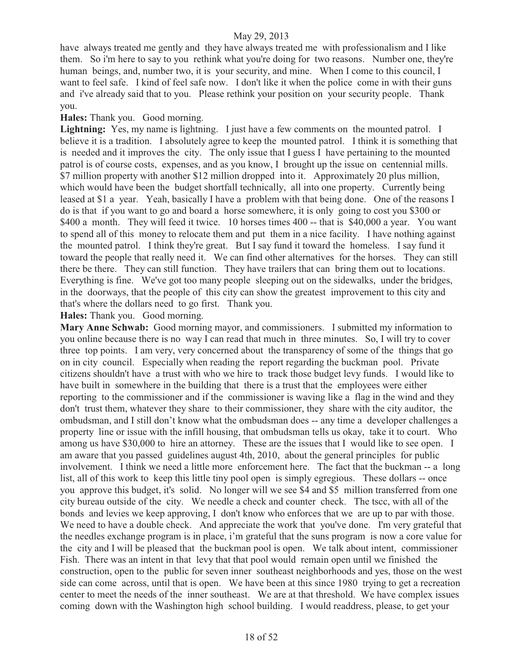have always treated me gently and they have always treated me with professionalism and I like them. So i'm here to say to you rethink what you're doing for two reasons. Number one, they're human beings, and, number two, it is your security, and mine. When I come to this council, I want to feel safe. I kind of feel safe now. I don't like it when the police come in with their guns and i've already said that to you. Please rethink your position on your security people. Thank you.

**Hales:** Thank you. Good morning.

Lightning: Yes, my name is lightning. I just have a few comments on the mounted patrol. I believe it is a tradition. I absolutely agree to keep the mounted patrol. I think it is something that is needed and it improves the city. The only issue that I guess I have pertaining to the mounted patrol is of course costs, expenses, and as you know, I brought up the issue on centennial mills. \$7 million property with another \$12 million dropped into it. Approximately 20 plus million, which would have been the budget shortfall technically, all into one property. Currently being leased at \$1 a year. Yeah, basically I have a problem with that being done. One of the reasons I do is that if you want to go and board a horse somewhere, it is only going to cost you \$300 or \$400 a month. They will feed it twice. 10 horses times 400 -- that is \$40,000 a year. You want to spend all of this money to relocate them and put them in a nice facility. I have nothing against the mounted patrol. I think they're great. But I say fund it toward the homeless. I say fund it toward the people that really need it. We can find other alternatives for the horses. They can still there be there. They can still function. They have trailers that can bring them out to locations. Everything is fine. We've got too many people sleeping out on the sidewalks, under the bridges, in the doorways, that the people of this city can show the greatest improvement to this city and that's where the dollars need to go first. Thank you.

#### **Hales:** Thank you. Good morning.

**Mary Anne Schwab:** Good morning mayor, and commissioners. I submitted my information to you online because there is no way I can read that much in three minutes. So, I will try to cover three top points. I am very, very concerned about the transparency of some of the things that go on in city council. Especially when reading the report regarding the buckman pool. Private citizens shouldn't have a trust with who we hire to track those budget levy funds. I would like to have built in somewhere in the building that there is a trust that the employees were either reporting to the commissioner and if the commissioner is waving like a flag in the wind and they don't trust them, whatever they share to their commissioner, they share with the city auditor, the ombudsman, and I still don't know what the ombudsman does -- any time a developer challenges a property line or issue with the infill housing, that ombudsman tells us okay, take it to court. Who among us have \$30,000 to hire an attorney. These are the issues that I would like to see open. I am aware that you passed guidelines august 4th, 2010, about the general principles for public involvement. I think we need a little more enforcement here. The fact that the buckman -- a long list, all of this work to keep this little tiny pool open is simply egregious. These dollars -- once you approve this budget, it's solid. No longer will we see \$4 and \$5 million transferred from one city bureau outside of the city. We needle a check and counter check. The tscc, with all of the bonds and levies we keep approving, I don't know who enforces that we are up to par with those. We need to have a double check. And appreciate the work that you've done. I'm very grateful that the needles exchange program is in place, i'm grateful that the suns program is now a core value for the city and I will be pleased that the buckman pool is open. We talk about intent, commissioner Fish. There was an intent in that levy that that pool would remain open until we finished the construction, open to the public for seven inner southeast neighborhoods and yes, those on the west side can come across, until that is open. We have been at this since 1980 trying to get a recreation center to meet the needs of the inner southeast. We are at that threshold. We have complex issues coming down with the Washington high school building. I would readdress, please, to get your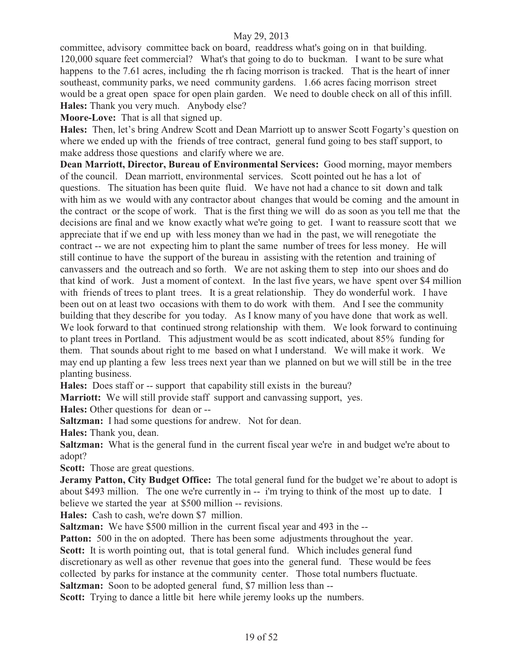committee, advisory committee back on board, readdress what's going on in that building. 120,000 square feet commercial? What's that going to do to buckman. I want to be sure what happens to the 7.61 acres, including the rh facing morrison is tracked. That is the heart of inner southeast, community parks, we need community gardens. 1.66 acres facing morrison street would be a great open space for open plain garden. We need to double check on all of this infill. **Hales:** Thank you very much. Anybody else?

**Moore-Love:** That is all that signed up.

**Hales:** Then, let's bring Andrew Scott and Dean Marriott up to answer Scott Fogarty's question on where we ended up with the friends of tree contract, general fund going to bes staff support, to make address those questions and clarify where we are.

**Dean Marriott, Director, Bureau of Environmental Services:** Good morning, mayor members of the council. Dean marriott, environmental services. Scott pointed out he has a lot of questions. The situation has been quite fluid. We have not had a chance to sit down and talk with him as we would with any contractor about changes that would be coming and the amount in the contract or the scope of work. That is the first thing we will do as soon as you tell me that the decisions are final and we know exactly what we're going to get. I want to reassure scott that we appreciate that if we end up with less money than we had in the past, we will renegotiate the contract -- we are not expecting him to plant the same number of trees for less money. He will still continue to have the support of the bureau in assisting with the retention and training of canvassers and the outreach and so forth. We are not asking them to step into our shoes and do that kind of work. Just a moment of context. In the last five years, we have spent over \$4 million with friends of trees to plant trees. It is a great relationship. They do wonderful work. I have been out on at least two occasions with them to do work with them. And I see the community building that they describe for you today. As I know many of you have done that work as well. We look forward to that continued strong relationship with them. We look forward to continuing to plant trees in Portland. This adjustment would be as scott indicated, about 85% funding for them. That sounds about right to me based on what I understand. We will make it work. We may end up planting a few less trees next year than we planned on but we will still be in the tree planting business.

**Hales:** Does staff or -- support that capability still exists in the bureau?

**Marriott:** We will still provide staff support and canvassing support, yes.

**Hales:** Other questions for dean or --

**Saltzman:** I had some questions for andrew. Not for dean.

**Hales:** Thank you, dean.

Saltzman: What is the general fund in the current fiscal year we're in and budget we're about to adopt?

**Scott:** Those are great questions.

**Jeramy Patton, City Budget Office:** The total general fund for the budget we're about to adopt is about \$493 million. The one we're currently in -- i'm trying to think of the most up to date. I believe we started the year at \$500 million -- revisions.

**Hales:** Cash to cash, we're down \$7 million.

**Saltzman:** We have \$500 million in the current fiscal year and 493 in the --

**Patton:** 500 in the on adopted. There has been some adjustments throughout the year. **Scott:** It is worth pointing out, that is total general fund. Which includes general fund discretionary as well as other revenue that goes into the general fund. These would be fees collected by parks for instance at the community center. Those total numbers fluctuate. **Saltzman:** Soon to be adopted general fund, \$7 million less than --

**Scott:** Trying to dance a little bit here while jeremy looks up the numbers.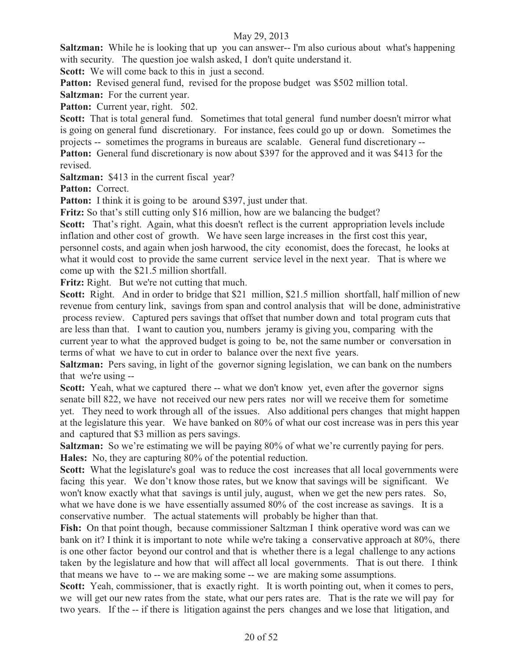**Saltzman:** While he is looking that up you can answer-- I'm also curious about what's happening with security. The question joe walsh asked, I don't quite understand it.

**Scott:** We will come back to this in just a second.

Patton: Revised general fund, revised for the propose budget was \$502 million total.

**Saltzman:** For the current year.

Patton: Current year, right. 502.

**Scott:** That is total general fund. Sometimes that total general fund number doesn't mirror what is going on general fund discretionary. For instance, fees could go up or down. Sometimes the projects -- sometimes the programs in bureaus are scalable. General fund discretionary --

**Patton:** General fund discretionary is now about \$397 for the approved and it was \$413 for the revised.

**Saltzman:** \$413 in the current fiscal year?

Patton: Correct.

**Patton:** I think it is going to be around \$397, just under that.

**Fritz:** So that's still cutting only \$16 million, how are we balancing the budget?

Scott: That's right. Again, what this doesn't reflect is the current appropriation levels include inflation and other cost of growth. We have seen large increases in the first cost this year, personnel costs, and again when josh harwood, the city economist, does the forecast, he looks at what it would cost to provide the same current service level in the next year. That is where we come up with the \$21.5 million shortfall.

Fritz: Right. But we're not cutting that much.

**Scott:** Right. And in order to bridge that \$21 million, \$21.5 million shortfall, half million of new revenue from century link, savings from span and control analysis that will be done, administrative process review. Captured pers savings that offset that number down and total program cuts that are less than that. I want to caution you, numbers jeramy is giving you, comparing with the current year to what the approved budget is going to be, not the same number or conversation in terms of what we have to cut in order to balance over the next five years.

**Saltzman:** Pers saving, in light of the governor signing legislation, we can bank on the numbers that we're using --

**Scott:** Yeah, what we captured there -- what we don't know yet, even after the governor signs senate bill 822, we have not received our new pers rates nor will we receive them for sometime yet. They need to work through all of the issues. Also additional pers changes that might happen at the legislature this year. We have banked on 80% of what our cost increase was in pers this year and captured that \$3 million as pers savings.

**Saltzman:** So we're estimating we will be paying 80% of what we're currently paying for pers. **Hales:** No, they are capturing 80% of the potential reduction.

**Scott:** What the legislature's goal was to reduce the cost increases that all local governments were facing this year. We don't know those rates, but we know that savings will be significant. We won't know exactly what that savings is until july, august, when we get the new pers rates. So, what we have done is we have essentially assumed 80% of the cost increase as savings. It is a conservative number. The actual statements will probably be higher than that.

Fish: On that point though, because commissioner Saltzman I think operative word was can we bank on it? I think it is important to note while we're taking a conservative approach at 80%, there is one other factor beyond our control and that is whether there is a legal challenge to any actions taken by the legislature and how that will affect all local governments. That is out there. I think that means we have to -- we are making some -- we are making some assumptions.

Scott: Yeah, commissioner, that is exactly right. It is worth pointing out, when it comes to pers, we will get our new rates from the state, what our pers rates are. That is the rate we will pay for two years. If the -- if there is litigation against the pers changes and we lose that litigation, and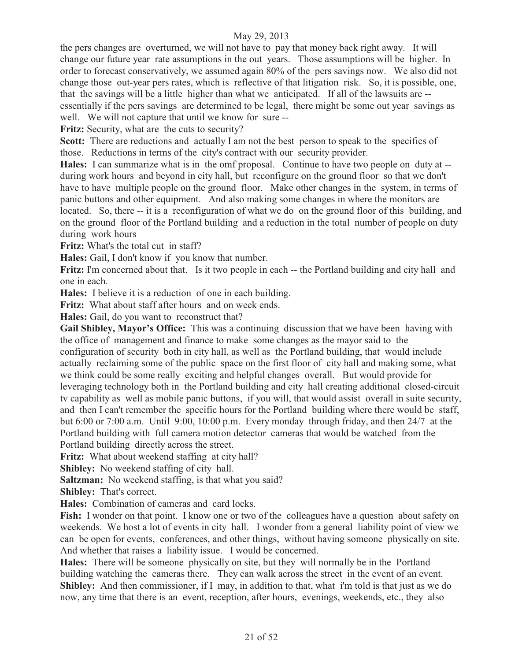the pers changes are overturned, we will not have to pay that money back right away. It will change our future year rate assumptions in the out years. Those assumptions will be higher. In order to forecast conservatively, we assumed again 80% of the pers savings now. We also did not change those out-year pers rates, which is reflective of that litigation risk. So, it is possible, one, that the savings will be a little higher than what we anticipated. If all of the lawsuits are - essentially if the pers savings are determined to be legal, there might be some out year savings as well. We will not capture that until we know for sure --

**Fritz:** Security, what are the cuts to security?

Scott: There are reductions and actually I am not the best person to speak to the specifics of those. Reductions in terms of the city's contract with our security provider.

**Hales:** I can summarize what is in the omf proposal. Continue to have two people on duty at - during work hours and beyond in city hall, but reconfigure on the ground floor so that we don't have to have multiple people on the ground floor. Make other changes in the system, in terms of panic buttons and other equipment. And also making some changes in where the monitors are located. So, there -- it is a reconfiguration of what we do on the ground floor of this building, and on the ground floor of the Portland building and a reduction in the total number of people on duty during work hours

**Fritz:** What's the total cut in staff?

**Hales:** Gail, I don't know if you know that number.

**Fritz:** I'm concerned about that. Is it two people in each -- the Portland building and city hall and one in each.

**Hales:** I believe it is a reduction of one in each building.

**Fritz:** What about staff after hours and on week ends.

**Hales:** Gail, do you want to reconstruct that?

**Gail Shibley, Mayor's Office:** This was a continuing discussion that we have been having with the office of management and finance to make some changes as the mayor said to the configuration of security both in city hall, as well as the Portland building, that would include actually reclaiming some of the public space on the first floor of city hall and making some, what we think could be some really exciting and helpful changes overall. But would provide for leveraging technology both in the Portland building and city hall creating additional closed-circuit tv capability as well as mobile panic buttons, if you will, that would assist overall in suite security, and then I can't remember the specific hours for the Portland building where there would be staff, but 6:00 or 7:00 a.m. Until 9:00, 10:00 p.m. Every monday through friday, and then 24/7 at the Portland building with full camera motion detector cameras that would be watched from the Portland building directly across the street.

**Fritz:** What about weekend staffing at city hall?

**Shibley:** No weekend staffing of city hall.

**Saltzman:** No weekend staffing, is that what you said?

**Shibley:** That's correct.

**Hales:** Combination of cameras and card locks.

Fish: I wonder on that point. I know one or two of the colleagues have a question about safety on weekends. We host a lot of events in city hall. I wonder from a general liability point of view we can be open for events, conferences, and other things, without having someone physically on site. And whether that raises a liability issue. I would be concerned.

**Hales:** There will be someone physically on site, but they will normally be in the Portland building watching the cameras there. They can walk across the street in the event of an event. **Shibley:** And then commissioner, if I may, in addition to that, what i'm told is that just as we do now, any time that there is an event, reception, after hours, evenings, weekends, etc., they also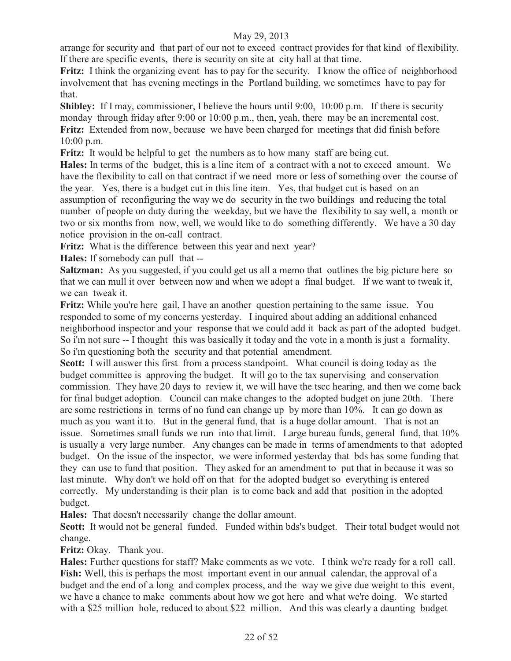arrange for security and that part of our not to exceed contract provides for that kind of flexibility. If there are specific events, there is security on site at city hall at that time.

Fritz: I think the organizing event has to pay for the security. I know the office of neighborhood involvement that has evening meetings in the Portland building, we sometimes have to pay for that.

**Shibley:** If I may, commissioner, I believe the hours until 9:00, 10:00 p.m. If there is security monday through friday after 9:00 or 10:00 p.m., then, yeah, there may be an incremental cost. **Fritz:** Extended from now, because we have been charged for meetings that did finish before 10:00 p.m.

**Fritz:** It would be helpful to get the numbers as to how many staff are being cut.

**Hales:** In terms of the budget, this is a line item of a contract with a not to exceed amount. We have the flexibility to call on that contract if we need more or less of something over the course of the year. Yes, there is a budget cut in this line item. Yes, that budget cut is based on an assumption of reconfiguring the way we do security in the two buildings and reducing the total number of people on duty during the weekday, but we have the flexibility to say well, a month or two or six months from now, well, we would like to do something differently. We have a 30 day notice provision in the on-call contract.

**Fritz:** What is the difference between this year and next year?

**Hales:** If somebody can pull that --

**Saltzman:** As you suggested, if you could get us all a memo that outlines the big picture here so that we can mull it over between now and when we adopt a final budget. If we want to tweak it, we can tweak it.

**Fritz:** While you're here gail, I have an another question pertaining to the same issue. You responded to some of my concerns yesterday. I inquired about adding an additional enhanced neighborhood inspector and your response that we could add it back as part of the adopted budget. So i'm not sure -- I thought this was basically it today and the vote in a month is just a formality. So i'm questioning both the security and that potential amendment.

**Scott:** I will answer this first from a process standpoint. What council is doing today as the budget committee is approving the budget. It will go to the tax supervising and conservation commission. They have 20 days to review it, we will have the tscc hearing, and then we come back for final budget adoption. Council can make changes to the adopted budget on june 20th. There are some restrictions in terms of no fund can change up by more than 10%. It can go down as much as you want it to. But in the general fund, that is a huge dollar amount. That is not an issue. Sometimes small funds we run into that limit. Large bureau funds, general fund, that 10% is usually a very large number. Any changes can be made in terms of amendments to that adopted budget. On the issue of the inspector, we were informed yesterday that bds has some funding that they can use to fund that position. They asked for an amendment to put that in because it was so last minute. Why don't we hold off on that for the adopted budget so everything is entered correctly. My understanding is their plan is to come back and add that position in the adopted budget.

**Hales:** That doesn't necessarily change the dollar amount.

**Scott:** It would not be general funded. Funded within bds's budget. Their total budget would not change.

**Fritz:** Okay. Thank you.

**Hales:** Further questions for staff? Make comments as we vote. I think we're ready for a roll call. **Fish:** Well, this is perhaps the most important event in our annual calendar, the approval of a budget and the end of a long and complex process, and the way we give due weight to this event, we have a chance to make comments about how we got here and what we're doing. We started with a \$25 million hole, reduced to about \$22 million. And this was clearly a daunting budget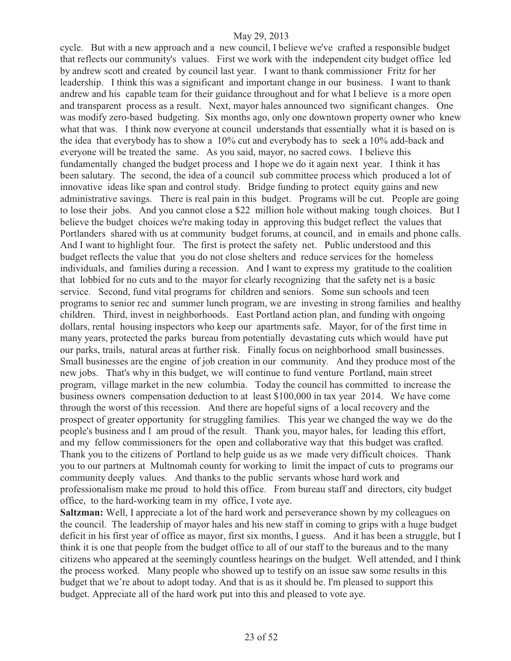cycle. But with a new approach and a new council, I believe we've crafted a responsible budget that reflects our community's values. First we work with the independent city budget office led by andrew scott and created by council last year. I want to thank commissioner Fritz for her leadership. I think this was a significant and important change in our business. I want to thank andrew and his capable team for their guidance throughout and for what I believe is a more open and transparent process as a result. Next, mayor hales announced two significant changes. One was modify zero-based budgeting. Six months ago, only one downtown property owner who knew what that was. I think now everyone at council understands that essentially what it is based on is the idea that everybody has to show a 10% cut and everybody has to seek a 10% add-back and everyone will be treated the same. As you said, mayor, no sacred cows. I believe this fundamentally changed the budget process and I hope we do it again next year. I think it has been salutary. The second, the idea of a council sub committee process which produced a lot of innovative ideas like span and control study. Bridge funding to protect equity gains and new administrative savings. There is real pain in this budget. Programs will be cut. People are going to lose their jobs. And you cannot close a \$22 million hole without making tough choices. But I believe the budget choices we're making today in approving this budget reflect the values that Portlanders shared with us at community budget forums, at council, and in emails and phone calls. And I want to highlight four. The first is protect the safety net. Public understood and this budget reflects the value that you do not close shelters and reduce services for the homeless individuals, and families during a recession. And I want to express my gratitude to the coalition that lobbied for no cuts and to the mayor for clearly recognizing that the safety net is a basic service. Second, fund vital programs for children and seniors. Some sun schools and teen programs to senior rec and summer lunch program, we are investing in strong families and healthy children. Third, invest in neighborhoods. East Portland action plan, and funding with ongoing dollars, rental housing inspectors who keep our apartments safe. Mayor, for of the first time in many years, protected the parks bureau from potentially devastating cuts which would have put our parks, trails, natural areas at further risk. Finally focus on neighborhood small businesses. Small businesses are the engine of job creation in our community. And they produce most of the new jobs. That's why in this budget, we will continue to fund venture Portland, main street program, village market in the new columbia. Today the council has committed to increase the business owners compensation deduction to at least \$100,000 in tax year 2014. We have come through the worst of this recession. And there are hopeful signs of a local recovery and the prospect of greater opportunity for struggling families. This year we changed the way we do the people's business and I am proud of the result. Thank you, mayor hales, for leading this effort, and my fellow commissioners for the open and collaborative way that this budget was crafted. Thank you to the citizens of Portland to help guide us as we made very difficult choices. Thank you to our partners at Multnomah county for working to limit the impact of cuts to programs our community deeply values. And thanks to the public servants whose hard work and professionalism make me proud to hold this office. From bureau staff and directors, city budget office, to the hard-working team in my office, I vote aye.

**Saltzman:** Well, I appreciate a lot of the hard work and perseverance shown by my colleagues on the council. The leadership of mayor hales and his new staff in coming to grips with a huge budget deficit in his first year of office as mayor, first six months, I guess. And it has been a struggle, but I think it is one that people from the budget office to all of our staff to the bureaus and to the many citizens who appeared at the seemingly countless hearings on the budget. Well attended, and I think the process worked. Many people who showed up to testify on an issue saw some results in this budget that we're about to adopt today. And that is as it should be. I'm pleased to support this budget. Appreciate all of the hard work put into this and pleased to vote aye.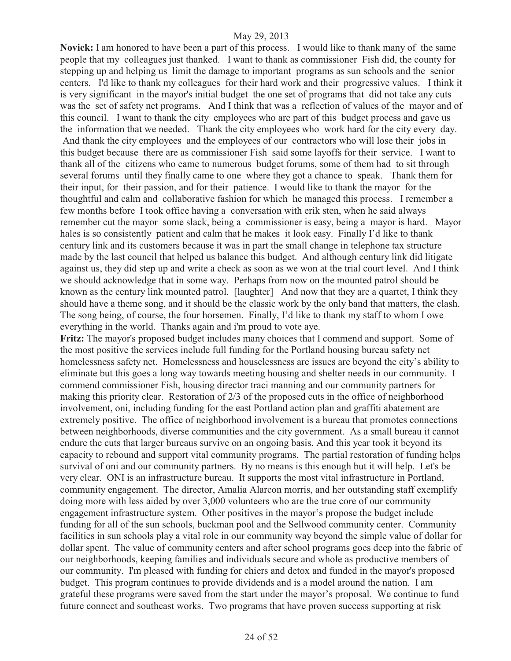**Novick:** I am honored to have been a part of this process. I would like to thank many of the same people that my colleagues just thanked. I want to thank as commissioner Fish did, the county for stepping up and helping us limit the damage to important programs as sun schools and the senior centers. I'd like to thank my colleagues for their hard work and their progressive values. I think it is very significant in the mayor's initial budget the one set of programs that did not take any cuts was the set of safety net programs. And I think that was a reflection of values of the mayor and of this council. I want to thank the city employees who are part of this budget process and gave us the information that we needed. Thank the city employees who work hard for the city every day. And thank the city employees and the employees of our contractors who will lose their jobs in this budget because there are as commissioner Fish said some layoffs for their service. I want to thank all of the citizens who came to numerous budget forums, some of them had to sit through several forums until they finally came to one where they got a chance to speak. Thank them for their input, for their passion, and for their patience. I would like to thank the mayor for the thoughtful and calm and collaborative fashion for which he managed this process. I remember a few months before I took office having a conversation with erik sten, when he said always remember cut the mayor some slack, being a commissioner is easy, being a mayor is hard. Mayor hales is so consistently patient and calm that he makes it look easy. Finally I'd like to thank century link and its customers because it was in part the small change in telephone tax structure made by the last council that helped us balance this budget. And although century link did litigate against us, they did step up and write a check as soon as we won at the trial court level. And I think we should acknowledge that in some way. Perhaps from now on the mounted patrol should be known as the century link mounted patrol. [laughter] And now that they are a quartet, I think they should have a theme song, and it should be the classic work by the only band that matters, the clash. The song being, of course, the four horsemen. Finally, I'd like to thank my staff to whom I owe everything in the world. Thanks again and i'm proud to vote aye.

**Fritz:** The mayor's proposed budget includes many choices that I commend and support. Some of the most positive the services include full funding for the Portland housing bureau safety net homelessness safety net. Homelessness and houselessness are issues are beyond the city's ability to eliminate but this goes a long way towards meeting housing and shelter needs in our community. I commend commissioner Fish, housing director traci manning and our community partners for making this priority clear. Restoration of 2/3 of the proposed cuts in the office of neighborhood involvement, oni, including funding for the east Portland action plan and graffiti abatement are extremely positive. The office of neighborhood involvement is a bureau that promotes connections between neighborhoods, diverse communities and the city government. As a small bureau it cannot endure the cuts that larger bureaus survive on an ongoing basis. And this year took it beyond its capacity to rebound and support vital community programs. The partial restoration of funding helps survival of oni and our community partners. By no means is this enough but it will help. Let's be very clear. ONI is an infrastructure bureau. It supports the most vital infrastructure in Portland, community engagement. The director, Amalia Alarcon morris, and her outstanding staff exemplify doing more with less aided by over 3,000 volunteers who are the true core of our community engagement infrastructure system. Other positives in the mayor's propose the budget include funding for all of the sun schools, buckman pool and the Sellwood community center. Community facilities in sun schools play a vital role in our community way beyond the simple value of dollar for dollar spent. The value of community centers and after school programs goes deep into the fabric of our neighborhoods, keeping families and individuals secure and whole as productive members of our community. I'm pleased with funding for chiers and detox and funded in the mayor's proposed budget. This program continues to provide dividends and is a model around the nation. I am grateful these programs were saved from the start under the mayor's proposal. We continue to fund future connect and southeast works. Two programs that have proven success supporting at risk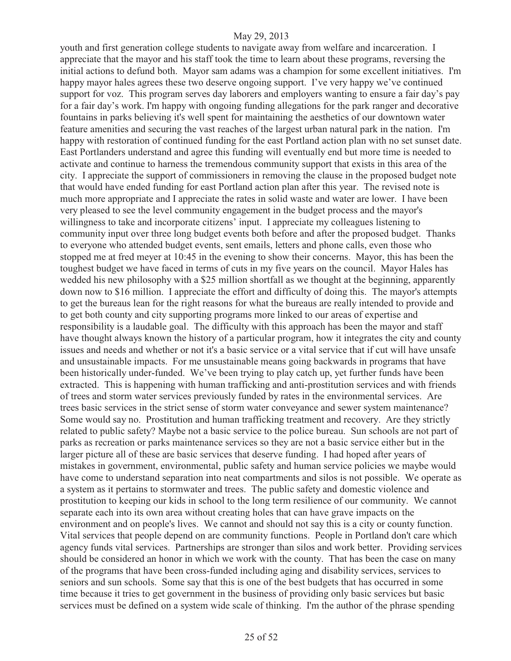youth and first generation college students to navigate away from welfare and incarceration. I appreciate that the mayor and his staff took the time to learn about these programs, reversing the initial actions to defund both. Mayor sam adams was a champion for some excellent initiatives. I'm happy mayor hales agrees these two deserve ongoing support. I've very happy we've continued support for voz. This program serves day laborers and employers wanting to ensure a fair day's pay for a fair day's work. I'm happy with ongoing funding allegations for the park ranger and decorative fountains in parks believing it's well spent for maintaining the aesthetics of our downtown water feature amenities and securing the vast reaches of the largest urban natural park in the nation. I'm happy with restoration of continued funding for the east Portland action plan with no set sunset date. East Portlanders understand and agree this funding will eventually end but more time is needed to activate and continue to harness the tremendous community support that exists in this area of the city. I appreciate the support of commissioners in removing the clause in the proposed budget note that would have ended funding for east Portland action plan after this year. The revised note is much more appropriate and I appreciate the rates in solid waste and water are lower. I have been very pleased to see the level community engagement in the budget process and the mayor's willingness to take and incorporate citizens' input. I appreciate my colleagues listening to community input over three long budget events both before and after the proposed budget. Thanks to everyone who attended budget events, sent emails, letters and phone calls, even those who stopped me at fred meyer at 10:45 in the evening to show their concerns. Mayor, this has been the toughest budget we have faced in terms of cuts in my five years on the council. Mayor Hales has wedded his new philosophy with a \$25 million shortfall as we thought at the beginning, apparently down now to \$16 million. I appreciate the effort and difficulty of doing this. The mayor's attempts to get the bureaus lean for the right reasons for what the bureaus are really intended to provide and to get both county and city supporting programs more linked to our areas of expertise and responsibility is a laudable goal. The difficulty with this approach has been the mayor and staff have thought always known the history of a particular program, how it integrates the city and county issues and needs and whether or not it's a basic service or a vital service that if cut will have unsafe and unsustainable impacts. For me unsustainable means going backwards in programs that have been historically under-funded. We've been trying to play catch up, yet further funds have been extracted. This is happening with human trafficking and anti-prostitution services and with friends of trees and storm water services previously funded by rates in the environmental services. Are trees basic services in the strict sense of storm water conveyance and sewer system maintenance? Some would say no. Prostitution and human trafficking treatment and recovery. Are they strictly related to public safety? Maybe not a basic service to the police bureau. Sun schools are not part of parks as recreation or parks maintenance services so they are not a basic service either but in the larger picture all of these are basic services that deserve funding. I had hoped after years of mistakes in government, environmental, public safety and human service policies we maybe would have come to understand separation into neat compartments and silos is not possible. We operate as a system as it pertains to stormwater and trees. The public safety and domestic violence and prostitution to keeping our kids in school to the long term resilience of our community. We cannot separate each into its own area without creating holes that can have grave impacts on the environment and on people's lives. We cannot and should not say this is a city or county function. Vital services that people depend on are community functions. People in Portland don't care which agency funds vital services. Partnerships are stronger than silos and work better. Providing services should be considered an honor in which we work with the county. That has been the case on many of the programs that have been cross-funded including aging and disability services, services to seniors and sun schools. Some say that this is one of the best budgets that has occurred in some time because it tries to get government in the business of providing only basic services but basic services must be defined on a system wide scale of thinking. I'm the author of the phrase spending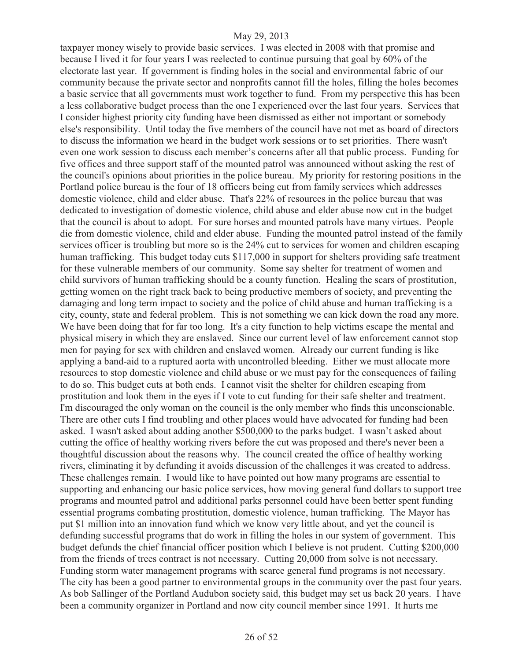taxpayer money wisely to provide basic services. I was elected in 2008 with that promise and because I lived it for four years I was reelected to continue pursuing that goal by 60% of the electorate last year. If government is finding holes in the social and environmental fabric of our community because the private sector and nonprofits cannot fill the holes, filling the holes becomes a basic service that all governments must work together to fund. From my perspective this has been a less collaborative budget process than the one I experienced over the last four years. Services that I consider highest priority city funding have been dismissed as either not important or somebody else's responsibility. Until today the five members of the council have not met as board of directors to discuss the information we heard in the budget work sessions or to set priorities. There wasn't even one work session to discuss each member's concerns after all that public process. Funding for five offices and three support staff of the mounted patrol was announced without asking the rest of the council's opinions about priorities in the police bureau. My priority for restoring positions in the Portland police bureau is the four of 18 officers being cut from family services which addresses domestic violence, child and elder abuse. That's 22% of resources in the police bureau that was dedicated to investigation of domestic violence, child abuse and elder abuse now cut in the budget that the council is about to adopt. For sure horses and mounted patrols have many virtues. People die from domestic violence, child and elder abuse. Funding the mounted patrol instead of the family services officer is troubling but more so is the 24% cut to services for women and children escaping human trafficking. This budget today cuts \$117,000 in support for shelters providing safe treatment for these vulnerable members of our community. Some say shelter for treatment of women and child survivors of human trafficking should be a county function. Healing the scars of prostitution, getting women on the right track back to being productive members of society, and preventing the damaging and long term impact to society and the police of child abuse and human trafficking is a city, county, state and federal problem. This is not something we can kick down the road any more. We have been doing that for far too long. It's a city function to help victims escape the mental and physical misery in which they are enslaved. Since our current level of law enforcement cannot stop men for paying for sex with children and enslaved women. Already our current funding is like applying a band-aid to a ruptured aorta with uncontrolled bleeding. Either we must allocate more resources to stop domestic violence and child abuse or we must pay for the consequences of failing to do so. This budget cuts at both ends. I cannot visit the shelter for children escaping from prostitution and look them in the eyes if I vote to cut funding for their safe shelter and treatment. I'm discouraged the only woman on the council is the only member who finds this unconscionable. There are other cuts I find troubling and other places would have advocated for funding had been asked. I wasn't asked about adding another \$500,000 to the parks budget. I wasn't asked about cutting the office of healthy working rivers before the cut was proposed and there's never been a thoughtful discussion about the reasons why. The council created the office of healthy working rivers, eliminating it by defunding it avoids discussion of the challenges it was created to address. These challenges remain. I would like to have pointed out how many programs are essential to supporting and enhancing our basic police services, how moving general fund dollars to support tree programs and mounted patrol and additional parks personnel could have been better spent funding essential programs combating prostitution, domestic violence, human trafficking. The Mayor has put \$1 million into an innovation fund which we know very little about, and yet the council is defunding successful programs that do work in filling the holes in our system of government. This budget defunds the chief financial officer position which I believe is not prudent. Cutting \$200,000 from the friends of trees contract is not necessary. Cutting 20,000 from solve is not necessary. Funding storm water management programs with scarce general fund programs is not necessary. The city has been a good partner to environmental groups in the community over the past four years. As bob Sallinger of the Portland Audubon society said, this budget may set us back 20 years. I have been a community organizer in Portland and now city council member since 1991. It hurts me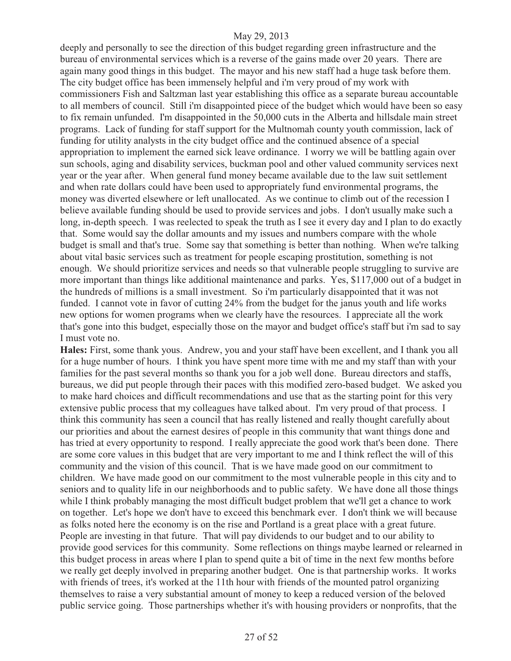deeply and personally to see the direction of this budget regarding green infrastructure and the bureau of environmental services which is a reverse of the gains made over 20 years. There are again many good things in this budget. The mayor and his new staff had a huge task before them. The city budget office has been immensely helpful and i'm very proud of my work with commissioners Fish and Saltzman last year establishing this office as a separate bureau accountable to all members of council. Still i'm disappointed piece of the budget which would have been so easy to fix remain unfunded. I'm disappointed in the 50,000 cuts in the Alberta and hillsdale main street programs. Lack of funding for staff support for the Multnomah county youth commission, lack of funding for utility analysts in the city budget office and the continued absence of a special appropriation to implement the earned sick leave ordinance. I worry we will be battling again over sun schools, aging and disability services, buckman pool and other valued community services next year or the year after. When general fund money became available due to the law suit settlement and when rate dollars could have been used to appropriately fund environmental programs, the money was diverted elsewhere or left unallocated. As we continue to climb out of the recession I believe available funding should be used to provide services and jobs. I don't usually make such a long, in-depth speech. I was reelected to speak the truth as I see it every day and I plan to do exactly that. Some would say the dollar amounts and my issues and numbers compare with the whole budget is small and that's true. Some say that something is better than nothing. When we're talking about vital basic services such as treatment for people escaping prostitution, something is not enough. We should prioritize services and needs so that vulnerable people struggling to survive are more important than things like additional maintenance and parks. Yes, \$117,000 out of a budget in the hundreds of millions is a small investment. So i'm particularly disappointed that it was not funded. I cannot vote in favor of cutting 24% from the budget for the janus youth and life works new options for women programs when we clearly have the resources. I appreciate all the work that's gone into this budget, especially those on the mayor and budget office's staff but i'm sad to say I must vote no.

**Hales:** First, some thank yous. Andrew, you and your staff have been excellent, and I thank you all for a huge number of hours. I think you have spent more time with me and my staff than with your families for the past several months so thank you for a job well done. Bureau directors and staffs, bureaus, we did put people through their paces with this modified zero-based budget. We asked you to make hard choices and difficult recommendations and use that as the starting point for this very extensive public process that my colleagues have talked about. I'm very proud of that process. I think this community has seen a council that has really listened and really thought carefully about our priorities and about the earnest desires of people in this community that want things done and has tried at every opportunity to respond. I really appreciate the good work that's been done. There are some core values in this budget that are very important to me and I think reflect the will of this community and the vision of this council. That is we have made good on our commitment to children. We have made good on our commitment to the most vulnerable people in this city and to seniors and to quality life in our neighborhoods and to public safety. We have done all those things while I think probably managing the most difficult budget problem that we'll get a chance to work on together. Let's hope we don't have to exceed this benchmark ever. I don't think we will because as folks noted here the economy is on the rise and Portland is a great place with a great future. People are investing in that future. That will pay dividends to our budget and to our ability to provide good services for this community. Some reflections on things maybe learned or relearned in this budget process in areas where I plan to spend quite a bit of time in the next few months before we really get deeply involved in preparing another budget. One is that partnership works. It works with friends of trees, it's worked at the 11th hour with friends of the mounted patrol organizing themselves to raise a very substantial amount of money to keep a reduced version of the beloved public service going. Those partnerships whether it's with housing providers or nonprofits, that the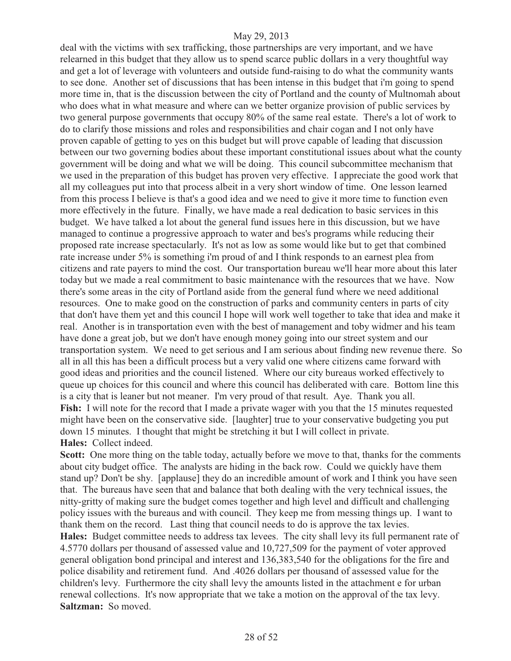deal with the victims with sex trafficking, those partnerships are very important, and we have relearned in this budget that they allow us to spend scarce public dollars in a very thoughtful way and get a lot of leverage with volunteers and outside fund-raising to do what the community wants to see done. Another set of discussions that has been intense in this budget that i'm going to spend more time in, that is the discussion between the city of Portland and the county of Multnomah about who does what in what measure and where can we better organize provision of public services by two general purpose governments that occupy 80% of the same real estate. There's a lot of work to do to clarify those missions and roles and responsibilities and chair cogan and I not only have proven capable of getting to yes on this budget but will prove capable of leading that discussion between our two governing bodies about these important constitutional issues about what the county government will be doing and what we will be doing. This council subcommittee mechanism that we used in the preparation of this budget has proven very effective. I appreciate the good work that all my colleagues put into that process albeit in a very short window of time. One lesson learned from this process I believe is that's a good idea and we need to give it more time to function even more effectively in the future. Finally, we have made a real dedication to basic services in this budget. We have talked a lot about the general fund issues here in this discussion, but we have managed to continue a progressive approach to water and bes's programs while reducing their proposed rate increase spectacularly. It's not as low as some would like but to get that combined rate increase under 5% is something i'm proud of and I think responds to an earnest plea from citizens and rate payers to mind the cost. Our transportation bureau we'll hear more about this later today but we made a real commitment to basic maintenance with the resources that we have. Now there's some areas in the city of Portland aside from the general fund where we need additional resources. One to make good on the construction of parks and community centers in parts of city that don't have them yet and this council I hope will work well together to take that idea and make it real. Another is in transportation even with the best of management and toby widmer and his team have done a great job, but we don't have enough money going into our street system and our transportation system. We need to get serious and I am serious about finding new revenue there. So all in all this has been a difficult process but a very valid one where citizens came forward with good ideas and priorities and the council listened. Where our city bureaus worked effectively to queue up choices for this council and where this council has deliberated with care. Bottom line this is a city that is leaner but not meaner. I'm very proud of that result. Aye. Thank you all. Fish: I will note for the record that I made a private wager with you that the 15 minutes requested might have been on the conservative side. [laughter] true to your conservative budgeting you put down 15 minutes. I thought that might be stretching it but I will collect in private. **Hales:** Collect indeed.

Scott: One more thing on the table today, actually before we move to that, thanks for the comments about city budget office. The analysts are hiding in the back row. Could we quickly have them stand up? Don't be shy. [applause] they do an incredible amount of work and I think you have seen that. The bureaus have seen that and balance that both dealing with the very technical issues, the nitty-gritty of making sure the budget comes together and high level and difficult and challenging policy issues with the bureaus and with council. They keep me from messing things up. I want to thank them on the record. Last thing that council needs to do is approve the tax levies.

**Hales:** Budget committee needs to address tax levees. The city shall levy its full permanent rate of 4.5770 dollars per thousand of assessed value and 10,727,509 for the payment of voter approved general obligation bond principal and interest and 136,383,540 for the obligations for the fire and police disability and retirement fund. And .4026 dollars per thousand of assessed value for the children's levy. Furthermore the city shall levy the amounts listed in the attachment e for urban renewal collections. It's now appropriate that we take a motion on the approval of the tax levy. **Saltzman:** So moved.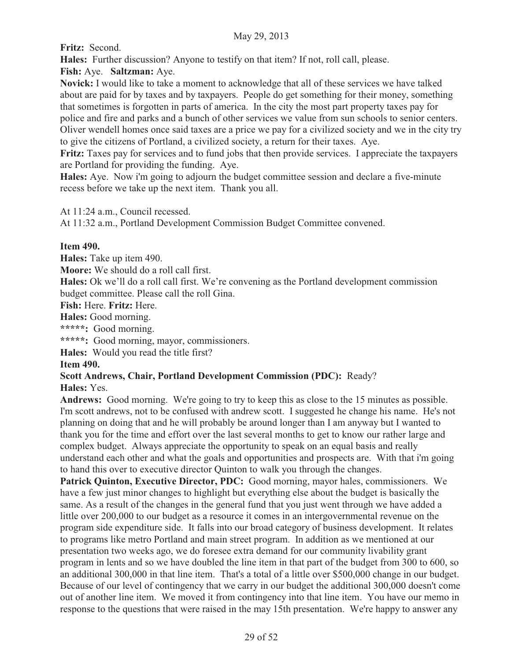**Fritz:** Second.

**Hales:** Further discussion? Anyone to testify on that item? If not, roll call, please.

**Fish:** Aye. **Saltzman:** Aye.

**Novick:** I would like to take a moment to acknowledge that all of these services we have talked about are paid for by taxes and by taxpayers. People do get something for their money, something that sometimes is forgotten in parts of america. In the city the most part property taxes pay for police and fire and parks and a bunch of other services we value from sun schools to senior centers. Oliver wendell homes once said taxes are a price we pay for a civilized society and we in the city try to give the citizens of Portland, a civilized society, a return for their taxes. Aye.

**Fritz:** Taxes pay for services and to fund jobs that then provide services. I appreciate the taxpayers are Portland for providing the funding. Aye.

**Hales:** Aye. Now i'm going to adjourn the budget committee session and declare a five-minute recess before we take up the next item. Thank you all.

At 11:24 a.m., Council recessed.

At 11:32 a.m., Portland Development Commission Budget Committee convened.

# **Item 490.**

**Hales:** Take up item 490.

**Moore:** We should do a roll call first.

**Hales:** Ok we'll do a roll call first. We're convening as the Portland development commission budget committee. Please call the roll Gina.

**Fish:** Here. **Fritz:** Here.

**Hales:** Good morning.

**\*\*\*\*\*:** Good morning.

**\*\*\*\*\*:** Good morning, mayor, commissioners.

**Hales:** Would you read the title first?

# **Item 490.**

# **Scott Andrews, Chair, Portland Development Commission (PDC):** Ready?

**Hales:** Yes.

**Andrews:** Good morning. We're going to try to keep this as close to the 15 minutes as possible. I'm scott andrews, not to be confused with andrew scott. I suggested he change his name. He's not planning on doing that and he will probably be around longer than I am anyway but I wanted to thank you for the time and effort over the last several months to get to know our rather large and complex budget. Always appreciate the opportunity to speak on an equal basis and really understand each other and what the goals and opportunities and prospects are. With that i'm going to hand this over to executive director Quinton to walk you through the changes.

Patrick Quinton, Executive Director, PDC: Good morning, mayor hales, commissioners. We have a few just minor changes to highlight but everything else about the budget is basically the same. As a result of the changes in the general fund that you just went through we have added a little over 200,000 to our budget as a resource it comes in an intergovernmental revenue on the program side expenditure side. It falls into our broad category of business development. It relates to programs like metro Portland and main street program. In addition as we mentioned at our presentation two weeks ago, we do foresee extra demand for our community livability grant program in lents and so we have doubled the line item in that part of the budget from 300 to 600, so an additional 300,000 in that line item. That's a total of a little over \$500,000 change in our budget. Because of our level of contingency that we carry in our budget the additional 300,000 doesn't come out of another line item. We moved it from contingency into that line item. You have our memo in response to the questions that were raised in the may 15th presentation. We're happy to answer any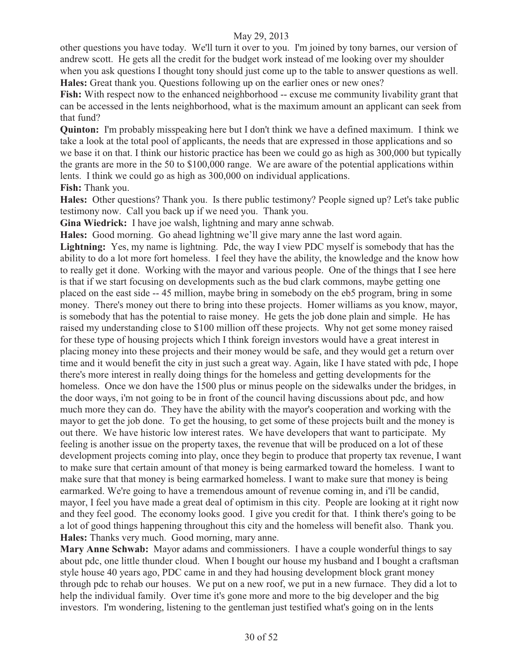other questions you have today. We'll turn it over to you. I'm joined by tony barnes, our version of andrew scott. He gets all the credit for the budget work instead of me looking over my shoulder when you ask questions I thought tony should just come up to the table to answer questions as well. **Hales:** Great thank you. Questions following up on the earlier ones or new ones?

**Fish:** With respect now to the enhanced neighborhood -- excuse me community livability grant that can be accessed in the lents neighborhood, what is the maximum amount an applicant can seek from that fund?

**Quinton:** I'm probably misspeaking here but I don't think we have a defined maximum. I think we take a look at the total pool of applicants, the needs that are expressed in those applications and so we base it on that. I think our historic practice has been we could go as high as 300,000 but typically the grants are more in the 50 to \$100,000 range. We are aware of the potential applications within lents. I think we could go as high as 300,000 on individual applications.

**Fish:** Thank you.

**Hales:** Other questions? Thank you. Is there public testimony? People signed up? Let's take public testimony now. Call you back up if we need you. Thank you.

**Gina Wiedrick:** I have joe walsh, lightning and mary anne schwab.

**Hales:** Good morning. Go ahead lightning we'll give mary anne the last word again.

**Lightning:** Yes, my name is lightning. Pdc, the way I view PDC myself is somebody that has the ability to do a lot more fort homeless. I feel they have the ability, the knowledge and the know how to really get it done. Working with the mayor and various people. One of the things that I see here is that if we start focusing on developments such as the bud clark commons, maybe getting one placed on the east side -- 45 million, maybe bring in somebody on the eb5 program, bring in some money. There's money out there to bring into these projects. Homer williams as you know, mayor, is somebody that has the potential to raise money. He gets the job done plain and simple. He has raised my understanding close to \$100 million off these projects. Why not get some money raised for these type of housing projects which I think foreign investors would have a great interest in placing money into these projects and their money would be safe, and they would get a return over time and it would benefit the city in just such a great way. Again, like I have stated with pdc, I hope there's more interest in really doing things for the homeless and getting developments for the homeless. Once we don have the 1500 plus or minus people on the sidewalks under the bridges, in the door ways, i'm not going to be in front of the council having discussions about pdc, and how much more they can do. They have the ability with the mayor's cooperation and working with the mayor to get the job done. To get the housing, to get some of these projects built and the money is out there. We have historic low interest rates. We have developers that want to participate. My feeling is another issue on the property taxes, the revenue that will be produced on a lot of these development projects coming into play, once they begin to produce that property tax revenue, I want to make sure that certain amount of that money is being earmarked toward the homeless. I want to make sure that that money is being earmarked homeless. I want to make sure that money is being earmarked. We're going to have a tremendous amount of revenue coming in, and i'll be candid, mayor, I feel you have made a great deal of optimism in this city. People are looking at it right now and they feel good. The economy looks good. I give you credit for that. I think there's going to be a lot of good things happening throughout this city and the homeless will benefit also. Thank you. **Hales:** Thanks very much. Good morning, mary anne.

**Mary Anne Schwab:** Mayor adams and commissioners. I have a couple wonderful things to say about pdc, one little thunder cloud. When I bought our house my husband and I bought a craftsman style house 40 years ago, PDC came in and they had housing development block grant money through pdc to rehab our houses. We put on a new roof, we put in a new furnace. They did a lot to help the individual family. Over time it's gone more and more to the big developer and the big investors. I'm wondering, listening to the gentleman just testified what's going on in the lents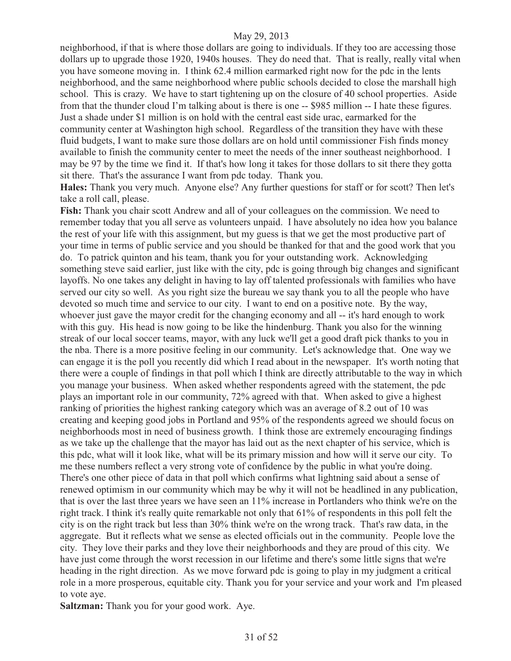neighborhood, if that is where those dollars are going to individuals. If they too are accessing those dollars up to upgrade those 1920, 1940s houses. They do need that. That is really, really vital when you have someone moving in. I think 62.4 million earmarked right now for the pdc in the lents neighborhood, and the same neighborhood where public schools decided to close the marshall high school. This is crazy. We have to start tightening up on the closure of 40 school properties. Aside from that the thunder cloud I'm talking about is there is one -- \$985 million -- I hate these figures. Just a shade under \$1 million is on hold with the central east side urac, earmarked for the community center at Washington high school. Regardless of the transition they have with these fluid budgets, I want to make sure those dollars are on hold until commissioner Fish finds money available to finish the community center to meet the needs of the inner southeast neighborhood. I may be 97 by the time we find it. If that's how long it takes for those dollars to sit there they gotta sit there. That's the assurance I want from pdc today. Thank you.

**Hales:** Thank you very much. Anyone else? Any further questions for staff or for scott? Then let's take a roll call, please.

**Fish:** Thank you chair scott Andrew and all of your colleagues on the commission. We need to remember today that you all serve as volunteers unpaid. I have absolutely no idea how you balance the rest of your life with this assignment, but my guess is that we get the most productive part of your time in terms of public service and you should be thanked for that and the good work that you do. To patrick quinton and his team, thank you for your outstanding work. Acknowledging something steve said earlier, just like with the city, pdc is going through big changes and significant layoffs. No one takes any delight in having to lay off talented professionals with families who have served our city so well. As you right size the bureau we say thank you to all the people who have devoted so much time and service to our city. I want to end on a positive note. By the way, whoever just gave the mayor credit for the changing economy and all -- it's hard enough to work with this guy. His head is now going to be like the hindenburg. Thank you also for the winning streak of our local soccer teams, mayor, with any luck we'll get a good draft pick thanks to you in the nba. There is a more positive feeling in our community. Let's acknowledge that. One way we can engage it is the poll you recently did which I read about in the newspaper. It's worth noting that there were a couple of findings in that poll which I think are directly attributable to the way in which you manage your business. When asked whether respondents agreed with the statement, the pdc plays an important role in our community, 72% agreed with that. When asked to give a highest ranking of priorities the highest ranking category which was an average of 8.2 out of 10 was creating and keeping good jobs in Portland and 95% of the respondents agreed we should focus on neighborhoods most in need of business growth. I think those are extremely encouraging findings as we take up the challenge that the mayor has laid out as the next chapter of his service, which is this pdc, what will it look like, what will be its primary mission and how will it serve our city. To me these numbers reflect a very strong vote of confidence by the public in what you're doing. There's one other piece of data in that poll which confirms what lightning said about a sense of renewed optimism in our community which may be why it will not be headlined in any publication, that is over the last three years we have seen an 11% increase in Portlanders who think we're on the right track. I think it's really quite remarkable not only that 61% of respondents in this poll felt the city is on the right track but less than 30% think we're on the wrong track. That's raw data, in the aggregate. But it reflects what we sense as elected officials out in the community. People love the city. They love their parks and they love their neighborhoods and they are proud of this city. We have just come through the worst recession in our lifetime and there's some little signs that we're heading in the right direction. As we move forward pdc is going to play in my judgment a critical role in a more prosperous, equitable city. Thank you for your service and your work and I'm pleased to vote aye.

**Saltzman:** Thank you for your good work. Aye.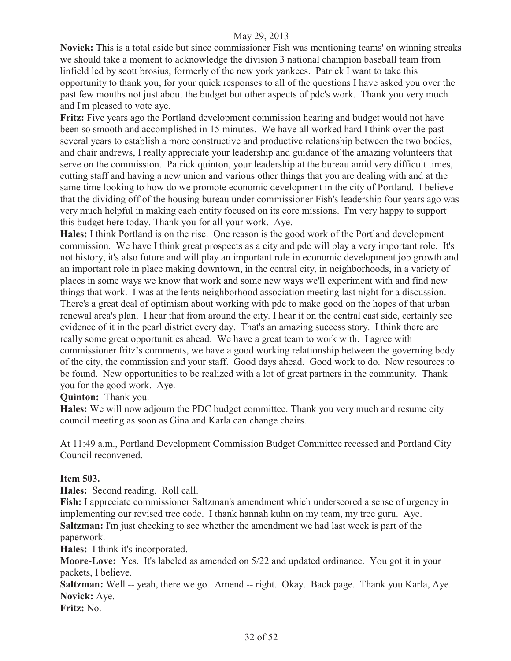**Novick:** This is a total aside but since commissioner Fish was mentioning teams' on winning streaks we should take a moment to acknowledge the division 3 national champion baseball team from linfield led by scott brosius, formerly of the new york yankees. Patrick I want to take this opportunity to thank you, for your quick responses to all of the questions I have asked you over the past few months not just about the budget but other aspects of pdc's work. Thank you very much and I'm pleased to vote aye.

**Fritz:** Five years ago the Portland development commission hearing and budget would not have been so smooth and accomplished in 15 minutes. We have all worked hard I think over the past several years to establish a more constructive and productive relationship between the two bodies, and chair andrews, I really appreciate your leadership and guidance of the amazing volunteers that serve on the commission. Patrick quinton, your leadership at the bureau amid very difficult times, cutting staff and having a new union and various other things that you are dealing with and at the same time looking to how do we promote economic development in the city of Portland. I believe that the dividing off of the housing bureau under commissioner Fish's leadership four years ago was very much helpful in making each entity focused on its core missions. I'm very happy to support this budget here today. Thank you for all your work. Aye.

**Hales:** I think Portland is on the rise. One reason is the good work of the Portland development commission. We have I think great prospects as a city and pdc will play a very important role. It's not history, it's also future and will play an important role in economic development job growth and an important role in place making downtown, in the central city, in neighborhoods, in a variety of places in some ways we know that work and some new ways we'll experiment with and find new things that work. I was at the lents neighborhood association meeting last night for a discussion. There's a great deal of optimism about working with pdc to make good on the hopes of that urban renewal area's plan. I hear that from around the city. I hear it on the central east side, certainly see evidence of it in the pearl district every day. That's an amazing success story. I think there are really some great opportunities ahead. We have a great team to work with. I agree with commissioner fritz's comments, we have a good working relationship between the governing body of the city, the commission and your staff. Good days ahead. Good work to do. New resources to be found. New opportunities to be realized with a lot of great partners in the community. Thank you for the good work. Aye.

# **Quinton:** Thank you.

**Hales:** We will now adjourn the PDC budget committee. Thank you very much and resume city council meeting as soon as Gina and Karla can change chairs.

At 11:49 a.m., Portland Development Commission Budget Committee recessed and Portland City Council reconvened.

#### **Item 503.**

**Hales:** Second reading. Roll call.

**Fish:** I appreciate commissioner Saltzman's amendment which underscored a sense of urgency in implementing our revised tree code. I thank hannah kuhn on my team, my tree guru. Aye. **Saltzman:** I'm just checking to see whether the amendment we had last week is part of the paperwork.

**Hales:** I think it's incorporated.

**Moore-Love:** Yes. It's labeled as amended on 5/22 and updated ordinance. You got it in your packets, I believe.

**Saltzman:** Well -- yeah, there we go. Amend -- right. Okay. Back page. Thank you Karla, Aye. **Novick:** Aye.

**Fritz:** No.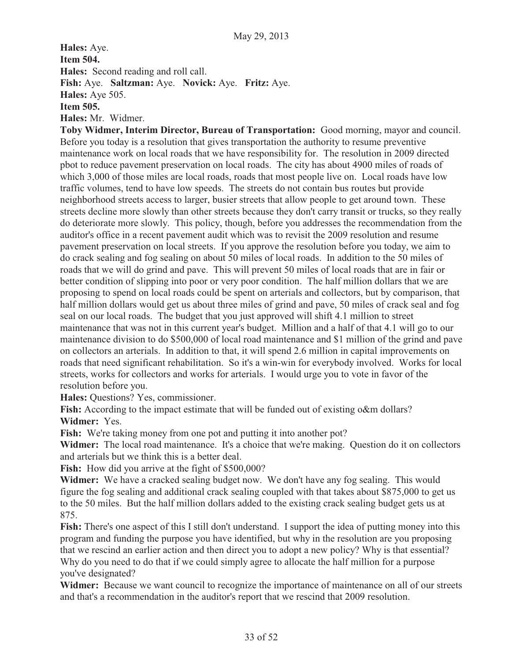**Hales:** Aye. **Item 504. Hales:** Second reading and roll call. **Fish:** Aye. **Saltzman:** Aye. **Novick:** Aye. **Fritz:** Aye. **Hales:** Aye 505. **Item 505. Hales:** Mr. Widmer.

**Toby Widmer, Interim Director, Bureau of Transportation:** Good morning, mayor and council. Before you today is a resolution that gives transportation the authority to resume preventive maintenance work on local roads that we have responsibility for. The resolution in 2009 directed pbot to reduce pavement preservation on local roads. The city has about 4900 miles of roads of which 3,000 of those miles are local roads, roads that most people live on. Local roads have low traffic volumes, tend to have low speeds. The streets do not contain bus routes but provide neighborhood streets access to larger, busier streets that allow people to get around town. These streets decline more slowly than other streets because they don't carry transit or trucks, so they really do deteriorate more slowly. This policy, though, before you addresses the recommendation from the auditor's office in a recent pavement audit which was to revisit the 2009 resolution and resume pavement preservation on local streets. If you approve the resolution before you today, we aim to do crack sealing and fog sealing on about 50 miles of local roads. In addition to the 50 miles of roads that we will do grind and pave. This will prevent 50 miles of local roads that are in fair or better condition of slipping into poor or very poor condition. The half million dollars that we are proposing to spend on local roads could be spent on arterials and collectors, but by comparison, that half million dollars would get us about three miles of grind and pave, 50 miles of crack seal and fog seal on our local roads. The budget that you just approved will shift 4.1 million to street maintenance that was not in this current year's budget. Million and a half of that 4.1 will go to our maintenance division to do \$500,000 of local road maintenance and \$1 million of the grind and pave on collectors an arterials. In addition to that, it will spend 2.6 million in capital improvements on roads that need significant rehabilitation. So it's a win-win for everybody involved. Works for local streets, works for collectors and works for arterials. I would urge you to vote in favor of the resolution before you.

**Hales:** Questions? Yes, commissioner.

**Fish:** According to the impact estimate that will be funded out of existing o&m dollars? **Widmer:** Yes.

**Fish:** We're taking money from one pot and putting it into another pot?

**Widmer:** The local road maintenance. It's a choice that we're making. Question do it on collectors and arterials but we think this is a better deal.

**Fish:** How did you arrive at the fight of \$500,000?

**Widmer:** We have a cracked sealing budget now. We don't have any fog sealing. This would figure the fog sealing and additional crack sealing coupled with that takes about \$875,000 to get us to the 50 miles. But the half million dollars added to the existing crack sealing budget gets us at 875.

Fish: There's one aspect of this I still don't understand. I support the idea of putting money into this program and funding the purpose you have identified, but why in the resolution are you proposing that we rescind an earlier action and then direct you to adopt a new policy? Why is that essential? Why do you need to do that if we could simply agree to allocate the half million for a purpose you've designated?

Widmer: Because we want council to recognize the importance of maintenance on all of our streets and that's a recommendation in the auditor's report that we rescind that 2009 resolution.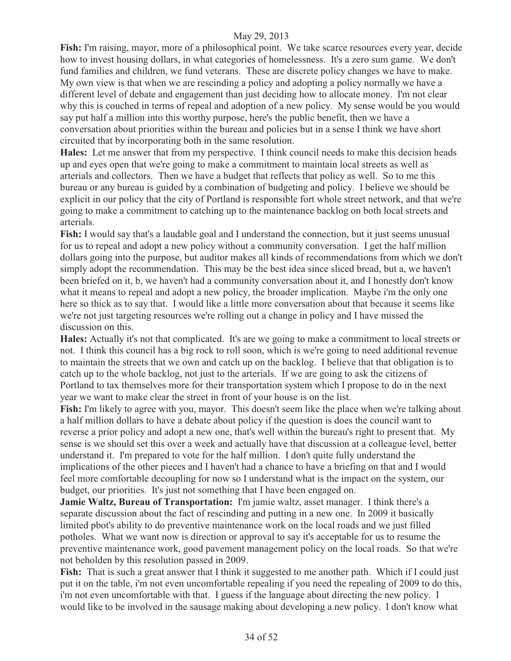**Fish:** I'm raising, mayor, more of a philosophical point. We take scarce resources every year, decide how to invest housing dollars, in what categories of homelessness. It's a zero sum game. We don't fund families and children, we fund veterans. These are discrete policy changes we have to make. My own view is that when we are rescinding a policy and adopting a policy normally we have a different level of debate and engagement than just deciding how to allocate money. I'm not clear why this is couched in terms of repeal and adoption of a new policy. My sense would be you would say put half a million into this worthy purpose, here's the public benefit, then we have a conversation about priorities within the bureau and policies but in a sense I think we have short circuited that by incorporating both in the same resolution.

**Hales:** Let me answer that from my perspective. I think council needs to make this decision heads up and eyes open that we're going to make a commitment to maintain local streets as well as arterials and collectors. Then we have a budget that reflects that policy as well. So to me this bureau or any bureau is guided by a combination of budgeting and policy. I believe we should be explicit in our policy that the city of Portland is responsible fort whole street network, and that we're going to make a commitment to catching up to the maintenance backlog on both local streets and arterials.

Fish: I would say that's a laudable goal and I understand the connection, but it just seems unusual for us to repeal and adopt a new policy without a community conversation. I get the half million dollars going into the purpose, but auditor makes all kinds of recommendations from which we don't simply adopt the recommendation. This may be the best idea since sliced bread, but a, we haven't been briefed on it, b, we haven't had a community conversation about it, and I honestly don't know what it means to repeal and adopt a new policy, the broader implication. Maybe i'm the only one here so thick as to say that. I would like a little more conversation about that because it seems like we're not just targeting resources we're rolling out a change in policy and I have missed the discussion on this.

**Hales:** Actually it's not that complicated. It's are we going to make a commitment to local streets or not. I think this council has a big rock to roll soon, which is we're going to need additional revenue to maintain the streets that we own and catch up on the backlog. I believe that that obligation is to catch up to the whole backlog, not just to the arterials. If we are going to ask the citizens of Portland to tax themselves more for their transportation system which I propose to do in the next year we want to make clear the street in front of your house is on the list.

Fish: I'm likely to agree with you, mayor. This doesn't seem like the place when we're talking about a half million dollars to have a debate about policy if the question is does the council want to reverse a prior policy and adopt a new one, that's well within the bureau's right to present that. My sense is we should set this over a week and actually have that discussion at a colleague level, better understand it. I'm prepared to vote for the half million. I don't quite fully understand the implications of the other pieces and I haven't had a chance to have a briefing on that and I would feel more comfortable decoupling for now so I understand what is the impact on the system, our budget, our priorities. It's just not something that I have been engaged on.

**Jamie Waltz, Bureau of Transportation:** I'm jamie waltz, asset manager. I think there's a separate discussion about the fact of rescinding and putting in a new one. In 2009 it basically limited pbot's ability to do preventive maintenance work on the local roads and we just filled potholes. What we want now is direction or approval to say it's acceptable for us to resume the preventive maintenance work, good pavement management policy on the local roads. So that we're not beholden by this resolution passed in 2009.

**Fish:** That is such a great answer that I think it suggested to me another path. Which if I could just put it on the table, i'm not even uncomfortable repealing if you need the repealing of 2009 to do this, i'm not even uncomfortable with that. I guess if the language about directing the new policy. I would like to be involved in the sausage making about developing a new policy. I don't know what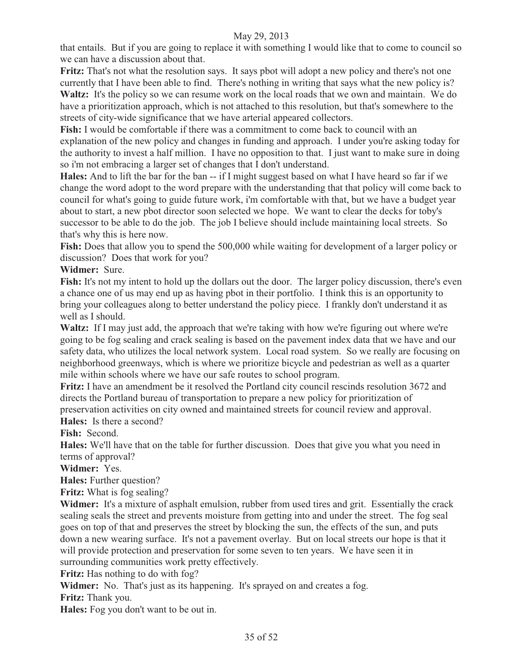that entails. But if you are going to replace it with something I would like that to come to council so we can have a discussion about that.

**Fritz:** That's not what the resolution says. It says pbot will adopt a new policy and there's not one currently that I have been able to find. There's nothing in writing that says what the new policy is? Waltz: It's the policy so we can resume work on the local roads that we own and maintain. We do have a prioritization approach, which is not attached to this resolution, but that's somewhere to the streets of city-wide significance that we have arterial appeared collectors.

**Fish:** I would be comfortable if there was a commitment to come back to council with an explanation of the new policy and changes in funding and approach. I under you're asking today for the authority to invest a half million. I have no opposition to that. I just want to make sure in doing so i'm not embracing a larger set of changes that I don't understand.

**Hales:** And to lift the bar for the ban -- if I might suggest based on what I have heard so far if we change the word adopt to the word prepare with the understanding that that policy will come back to council for what's going to guide future work, i'm comfortable with that, but we have a budget year about to start, a new pbot director soon selected we hope. We want to clear the decks for toby's successor to be able to do the job. The job I believe should include maintaining local streets. So that's why this is here now.

Fish: Does that allow you to spend the 500,000 while waiting for development of a larger policy or discussion?Does that work for you?

# **Widmer:** Sure.

Fish: It's not my intent to hold up the dollars out the door. The larger policy discussion, there's even a chance one of us may end up as having pbot in their portfolio. I think this is an opportunity to bring your colleagues along to better understand the policy piece. I frankly don't understand it as well as I should.

**Waltz:** If I may just add, the approach that we're taking with how we're figuring out where we're going to be fog sealing and crack sealing is based on the pavement index data that we have and our safety data, who utilizes the local network system. Local road system. So we really are focusing on neighborhood greenways, which is where we prioritize bicycle and pedestrian as well as a quarter mile within schools where we have our safe routes to school program.

**Fritz:** I have an amendment be it resolved the Portland city council rescinds resolution 3672 and directs the Portland bureau of transportation to prepare a new policy for prioritization of preservation activities on city owned and maintained streets for council review and approval.

**Hales:** Is there a second?

**Fish:** Second.

**Hales:** We'll have that on the table for further discussion. Does that give you what you need in terms of approval?

**Widmer:** Yes.

**Hales:** Further question?

**Fritz:** What is fog sealing?

Widmer: It's a mixture of asphalt emulsion, rubber from used tires and grit. Essentially the crack sealing seals the street and prevents moisture from getting into and under the street. The fog seal goes on top of that and preserves the street by blocking the sun, the effects of the sun, and puts down a new wearing surface. It's not a pavement overlay. But on local streets our hope is that it will provide protection and preservation for some seven to ten years. We have seen it in surrounding communities work pretty effectively.

**Fritz:** Has nothing to do with fog?

Widmer: No. That's just as its happening. It's sprayed on and creates a fog.

**Fritz:** Thank you.

**Hales:** Fog you don't want to be out in.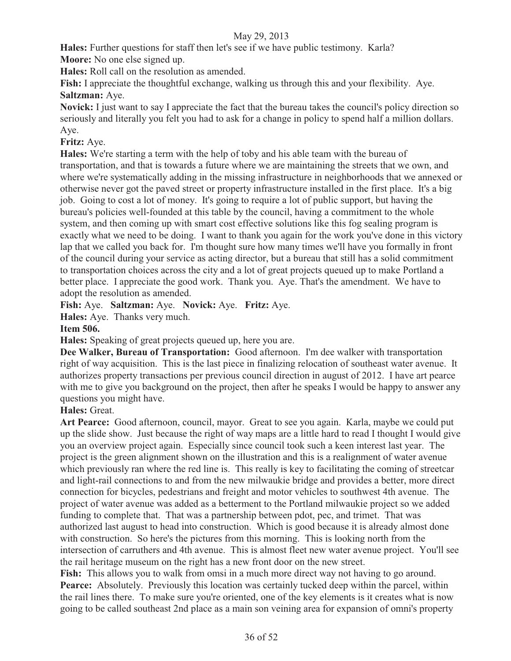**Hales:** Further questions for staff then let's see if we have public testimony. Karla? **Moore:** No one else signed up.

**Hales:** Roll call on the resolution as amended.

**Fish:** I appreciate the thoughtful exchange, walking us through this and your flexibility. Aye. **Saltzman:** Aye.

**Novick:** I just want to say I appreciate the fact that the bureau takes the council's policy direction so seriously and literally you felt you had to ask for a change in policy to spend half a million dollars. Aye.

# **Fritz:** Aye.

**Hales:** We're starting a term with the help of toby and his able team with the bureau of transportation, and that is towards a future where we are maintaining the streets that we own, and where we're systematically adding in the missing infrastructure in neighborhoods that we annexed or otherwise never got the paved street or property infrastructure installed in the first place. It's a big job. Going to cost a lot of money. It's going to require a lot of public support, but having the bureau's policies well-founded at this table by the council, having a commitment to the whole system, and then coming up with smart cost effective solutions like this fog sealing program is exactly what we need to be doing. I want to thank you again for the work you've done in this victory lap that we called you back for. I'm thought sure how many times we'll have you formally in front of the council during your service as acting director, but a bureau that still has a solid commitment to transportation choices across the city and a lot of great projects queued up to make Portland a better place. I appreciate the good work. Thank you. Aye. That's the amendment. We have to adopt the resolution as amended.

**Fish:** Aye. **Saltzman:** Aye. **Novick:** Aye. **Fritz:** Aye.

**Hales:** Aye. Thanks very much.

# **Item 506.**

**Hales:** Speaking of great projects queued up, here you are.

**Dee Walker, Bureau of Transportation:** Good afternoon. I'm dee walker with transportation right of way acquisition. This is the last piece in finalizing relocation of southeast water avenue. It authorizes property transactions per previous council direction in august of 2012. I have art pearce with me to give you background on the project, then after he speaks I would be happy to answer any questions you might have.

# **Hales:** Great.

**Art Pearce:** Good afternoon, council, mayor. Great to see you again. Karla, maybe we could put up the slide show. Just because the right of way maps are a little hard to read I thought I would give you an overview project again. Especially since council took such a keen interest last year. The project is the green alignment shown on the illustration and this is a realignment of water avenue which previously ran where the red line is. This really is key to facilitating the coming of streetcar and light-rail connections to and from the new milwaukie bridge and provides a better, more direct connection for bicycles, pedestrians and freight and motor vehicles to southwest 4th avenue. The project of water avenue was added as a betterment to the Portland milwaukie project so we added funding to complete that. That was a partnership between pdot, pec, and trimet. That was authorized last august to head into construction. Which is good because it is already almost done with construction. So here's the pictures from this morning. This is looking north from the intersection of carruthers and 4th avenue. This is almost fleet new water avenue project. You'll see the rail heritage museum on the right has a new front door on the new street.

Fish: This allows you to walk from omsi in a much more direct way not having to go around. **Pearce:** Absolutely. Previously this location was certainly tucked deep within the parcel, within the rail lines there. To make sure you're oriented, one of the key elements is it creates what is now going to be called southeast 2nd place as a main son veining area for expansion of omni's property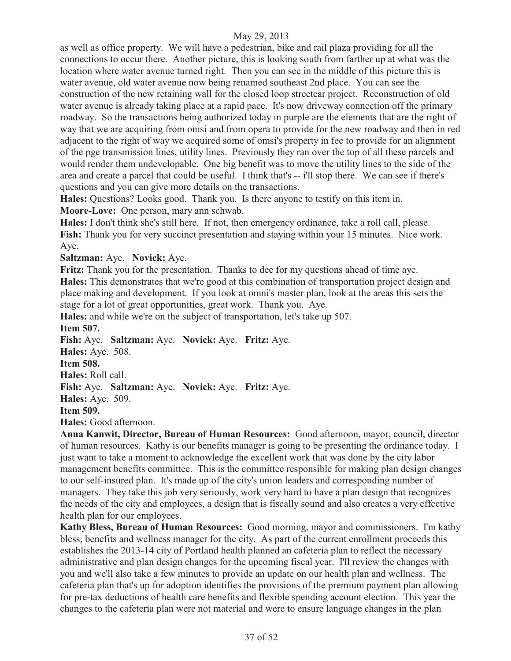as well as office property. We will have a pedestrian, bike and rail plaza providing for all the connections to occur there. Another picture, this is looking south from farther up at what was the location where water avenue turned right. Then you can see in the middle of this picture this is water avenue, old water avenue now being renamed southeast 2nd place. You can see the construction of the new retaining wall for the closed loop streetcar project. Reconstruction of old water avenue is already taking place at a rapid pace. It's now driveway connection off the primary roadway. So the transactions being authorized today in purple are the elements that are the right of way that we are acquiring from omsi and from opera to provide for the new roadway and then in red adjacent to the right of way we acquired some of omsi's property in fee to provide for an alignment of the pge transmission lines, utility lines. Previously they ran over the top of all these parcels and would render them undevelopable. One big benefit was to move the utility lines to the side of the area and create a parcel that could be useful. I think that's -- i'll stop there. We can see if there's questions and you can give more details on the transactions.

**Hales:** Questions? Looks good. Thank you. Is there anyone to testify on this item in. **Moore-Love:** One person, mary ann schwab.

**Hales:** I don't think she's still here. If not, then emergency ordinance, take a roll call, please. **Fish:** Thank you for very succinct presentation and staying within your 15 minutes. Nice work. Aye.

**Saltzman:** Aye. **Novick:** Aye.

**Fritz:** Thank you for the presentation. Thanks to dee for my questions ahead of time aye. **Hales:** This demonstrates that we're good at this combination of transportation project design and place making and development. If you look at omni's master plan, look at the areas this sets the stage for a lot of great opportunities, great work. Thank you. Aye.

**Hales:** and while we're on the subject of transportation, let's take up 507.

**Item 507.** 

**Fish:** Aye. **Saltzman:** Aye. **Novick:** Aye. **Fritz:** Aye. **Hales:** Aye. 508. **Item 508. Hales:** Roll call. **Fish:** Aye. **Saltzman:** Aye. **Novick:** Aye. **Fritz:** Aye. **Hales:** Aye. 509. **Item 509. Hales:** Good afternoon.

**Anna Kanwit, Director, Bureau of Human Resources:** Good afternoon, mayor, council, director of human resources. Kathy is our benefits manager is going to be presenting the ordinance today. I just want to take a moment to acknowledge the excellent work that was done by the city labor management benefits committee. This is the committee responsible for making plan design changes to our self-insured plan. It's made up of the city's union leaders and corresponding number of managers. They take this job very seriously, work very hard to have a plan design that recognizes the needs of the city and employees, a design that is fiscally sound and also creates a very effective health plan for our employees.

**Kathy Bless, Bureau of Human Resources:** Good morning, mayor and commissioners. I'm kathy bless, benefits and wellness manager for the city. As part of the current enrollment proceeds this establishes the 2013-14 city of Portland health planned an cafeteria plan to reflect the necessary administrative and plan design changes for the upcoming fiscal year. I'll review the changes with you and we'll also take a few minutes to provide an update on our health plan and wellness. The cafeteria plan that's up for adoption identifies the provisions of the premium payment plan allowing for pre-tax deductions of health care benefits and flexible spending account election. This year the changes to the cafeteria plan were not material and were to ensure language changes in the plan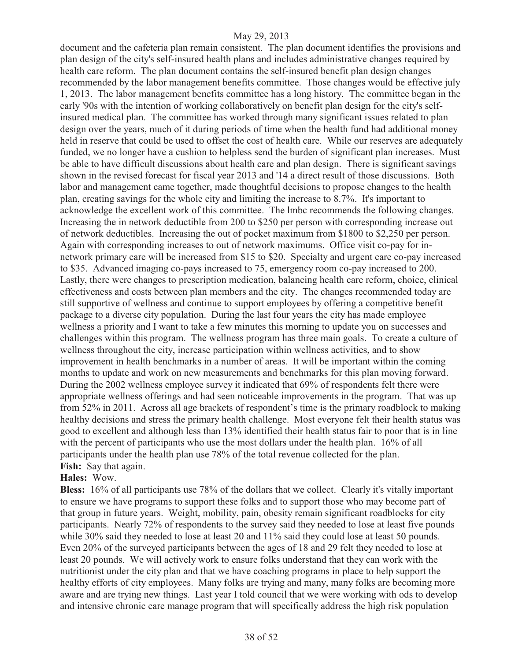document and the cafeteria plan remain consistent. The plan document identifies the provisions and plan design of the city's self-insured health plans and includes administrative changes required by health care reform. The plan document contains the self-insured benefit plan design changes recommended by the labor management benefits committee. Those changes would be effective july 1, 2013. The labor management benefits committee has a long history. The committee began in the early '90s with the intention of working collaboratively on benefit plan design for the city's selfinsured medical plan. The committee has worked through many significant issues related to plan design over the years, much of it during periods of time when the health fund had additional money held in reserve that could be used to offset the cost of health care. While our reserves are adequately funded, we no longer have a cushion to helpless send the burden of significant plan increases. Must be able to have difficult discussions about health care and plan design. There is significant savings shown in the revised forecast for fiscal year 2013 and '14 a direct result of those discussions. Both labor and management came together, made thoughtful decisions to propose changes to the health plan, creating savings for the whole city and limiting the increase to 8.7%. It's important to acknowledge the excellent work of this committee. The lmbc recommends the following changes. Increasing the in network deductible from 200 to \$250 per person with corresponding increase out of network deductibles. Increasing the out of pocket maximum from \$1800 to \$2,250 per person. Again with corresponding increases to out of network maximums. Office visit co-pay for innetwork primary care will be increased from \$15 to \$20. Specialty and urgent care co-pay increased to \$35. Advanced imaging co-pays increased to 75, emergency room co-pay increased to 200. Lastly, there were changes to prescription medication, balancing health care reform, choice, clinical effectiveness and costs between plan members and the city. The changes recommended today are still supportive of wellness and continue to support employees by offering a competitive benefit package to a diverse city population. During the last four years the city has made employee wellness a priority and I want to take a few minutes this morning to update you on successes and challenges within this program. The wellness program has three main goals. To create a culture of wellness throughout the city, increase participation within wellness activities, and to show improvement in health benchmarks in a number of areas. It will be important within the coming months to update and work on new measurements and benchmarks for this plan moving forward. During the 2002 wellness employee survey it indicated that 69% of respondents felt there were appropriate wellness offerings and had seen noticeable improvements in the program. That was up from 52% in 2011. Across all age brackets of respondent's time is the primary roadblock to making healthy decisions and stress the primary health challenge. Most everyone felt their health status was good to excellent and although less than 13% identified their health status fair to poor that is in line with the percent of participants who use the most dollars under the health plan. 16% of all participants under the health plan use 78% of the total revenue collected for the plan. Fish: Say that again.

#### **Hales:** Wow.

**Bless:** 16% of all participants use 78% of the dollars that we collect. Clearly it's vitally important to ensure we have programs to support these folks and to support those who may become part of that group in future years. Weight, mobility, pain, obesity remain significant roadblocks for city participants. Nearly 72% of respondents to the survey said they needed to lose at least five pounds while 30% said they needed to lose at least 20 and 11% said they could lose at least 50 pounds. Even 20% of the surveyed participants between the ages of 18 and 29 felt they needed to lose at least 20 pounds. We will actively work to ensure folks understand that they can work with the nutritionist under the city plan and that we have coaching programs in place to help support the healthy efforts of city employees. Many folks are trying and many, many folks are becoming more aware and are trying new things. Last year I told council that we were working with ods to develop and intensive chronic care manage program that will specifically address the high risk population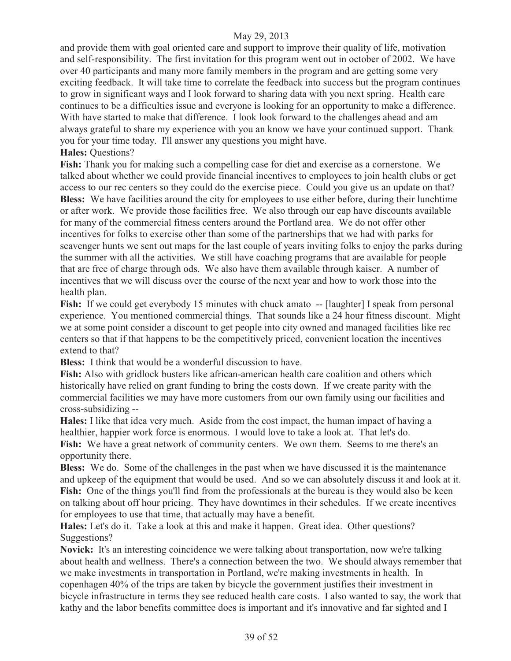and provide them with goal oriented care and support to improve their quality of life, motivation and self-responsibility. The first invitation for this program went out in october of 2002. We have over 40 participants and many more family members in the program and are getting some very exciting feedback. It will take time to correlate the feedback into success but the program continues to grow in significant ways and I look forward to sharing data with you next spring. Health care continues to be a difficulties issue and everyone is looking for an opportunity to make a difference. With have started to make that difference. I look look forward to the challenges ahead and am always grateful to share my experience with you an know we have your continued support. Thank you for your time today. I'll answer any questions you might have.

# **Hales:** Questions?

**Fish:** Thank you for making such a compelling case for diet and exercise as a cornerstone. We talked about whether we could provide financial incentives to employees to join health clubs or get access to our rec centers so they could do the exercise piece. Could you give us an update on that? **Bless:** We have facilities around the city for employees to use either before, during their lunchtime or after work. We provide those facilities free. We also through our eap have discounts available for many of the commercial fitness centers around the Portland area. We do not offer other incentives for folks to exercise other than some of the partnerships that we had with parks for scavenger hunts we sent out maps for the last couple of years inviting folks to enjoy the parks during the summer with all the activities. We still have coaching programs that are available for people that are free of charge through ods. We also have them available through kaiser. A number of incentives that we will discuss over the course of the next year and how to work those into the health plan.

**Fish:** If we could get everybody 15 minutes with chuck amato -- [laughter] I speak from personal experience. You mentioned commercial things. That sounds like a 24 hour fitness discount. Might we at some point consider a discount to get people into city owned and managed facilities like rec centers so that if that happens to be the competitively priced, convenient location the incentives extend to that?

**Bless:** I think that would be a wonderful discussion to have.

**Fish:** Also with gridlock busters like african-american health care coalition and others which historically have relied on grant funding to bring the costs down. If we create parity with the commercial facilities we may have more customers from our own family using our facilities and cross-subsidizing --

**Hales:** I like that idea very much. Aside from the cost impact, the human impact of having a healthier, happier work force is enormous. I would love to take a look at. That let's do. Fish: We have a great network of community centers. We own them. Seems to me there's an opportunity there.

**Bless:** We do. Some of the challenges in the past when we have discussed it is the maintenance and upkeep of the equipment that would be used. And so we can absolutely discuss it and look at it. **Fish:** One of the things you'll find from the professionals at the bureau is they would also be keen on talking about off hour pricing. They have downtimes in their schedules. If we create incentives for employees to use that time, that actually may have a benefit.

**Hales:** Let's do it. Take a look at this and make it happen. Great idea. Other questions? Suggestions?

**Novick:** It's an interesting coincidence we were talking about transportation, now we're talking about health and wellness. There's a connection between the two. We should always remember that we make investments in transportation in Portland, we're making investments in health. In copenhagen 40% of the trips are taken by bicycle the government justifies their investment in bicycle infrastructure in terms they see reduced health care costs. I also wanted to say, the work that kathy and the labor benefits committee does is important and it's innovative and far sighted and I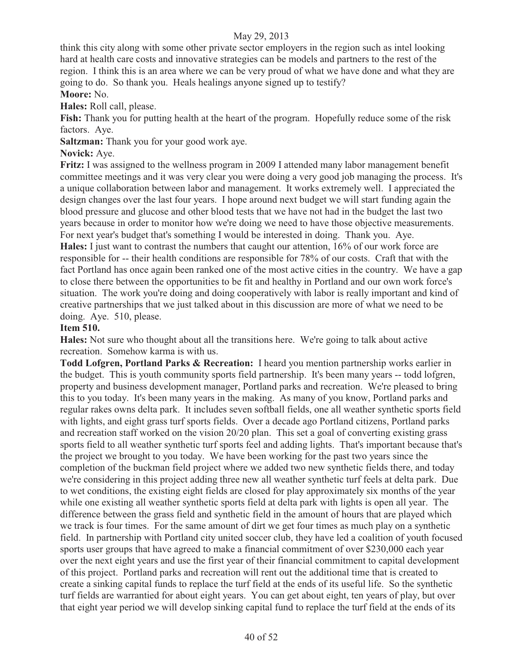think this city along with some other private sector employers in the region such as intel looking hard at health care costs and innovative strategies can be models and partners to the rest of the region. I think this is an area where we can be very proud of what we have done and what they are going to do. So thank you. Heals healings anyone signed up to testify?

# **Moore:** No.

**Hales:** Roll call, please.

**Fish:** Thank you for putting health at the heart of the program. Hopefully reduce some of the risk factors. Aye.

**Saltzman:** Thank you for your good work aye.

# **Novick:** Aye.

**Fritz:** I was assigned to the wellness program in 2009 I attended many labor management benefit committee meetings and it was very clear you were doing a very good job managing the process. It's a unique collaboration between labor and management. It works extremely well. I appreciated the design changes over the last four years. I hope around next budget we will start funding again the blood pressure and glucose and other blood tests that we have not had in the budget the last two years because in order to monitor how we're doing we need to have those objective measurements. For next year's budget that's something I would be interested in doing. Thank you. Aye. **Hales:** I just want to contrast the numbers that caught our attention, 16% of our work force are

responsible for -- their health conditions are responsible for 78% of our costs. Craft that with the fact Portland has once again been ranked one of the most active cities in the country. We have a gap to close there between the opportunities to be fit and healthy in Portland and our own work force's situation. The work you're doing and doing cooperatively with labor is really important and kind of creative partnerships that we just talked about in this discussion are more of what we need to be doing. Aye. 510, please.

#### **Item 510.**

**Hales:** Not sure who thought about all the transitions here. We're going to talk about active recreation. Somehow karma is with us.

**Todd Lofgren, Portland Parks & Recreation:** I heard you mention partnership works earlier in the budget. This is youth community sports field partnership. It's been many years -- todd lofgren, property and business development manager, Portland parks and recreation. We're pleased to bring this to you today. It's been many years in the making. As many of you know, Portland parks and regular rakes owns delta park. It includes seven softball fields, one all weather synthetic sports field with lights, and eight grass turf sports fields. Over a decade ago Portland citizens, Portland parks and recreation staff worked on the vision 20/20 plan. This set a goal of converting existing grass sports field to all weather synthetic turf sports feel and adding lights. That's important because that's the project we brought to you today. We have been working for the past two years since the completion of the buckman field project where we added two new synthetic fields there, and today we're considering in this project adding three new all weather synthetic turf feels at delta park. Due to wet conditions, the existing eight fields are closed for play approximately six months of the year while one existing all weather synthetic sports field at delta park with lights is open all year. The difference between the grass field and synthetic field in the amount of hours that are played which we track is four times. For the same amount of dirt we get four times as much play on a synthetic field. In partnership with Portland city united soccer club, they have led a coalition of youth focused sports user groups that have agreed to make a financial commitment of over \$230,000 each year over the next eight years and use the first year of their financial commitment to capital development of this project. Portland parks and recreation will rent out the additional time that is created to create a sinking capital funds to replace the turf field at the ends of its useful life. So the synthetic turf fields are warrantied for about eight years. You can get about eight, ten years of play, but over that eight year period we will develop sinking capital fund to replace the turf field at the ends of its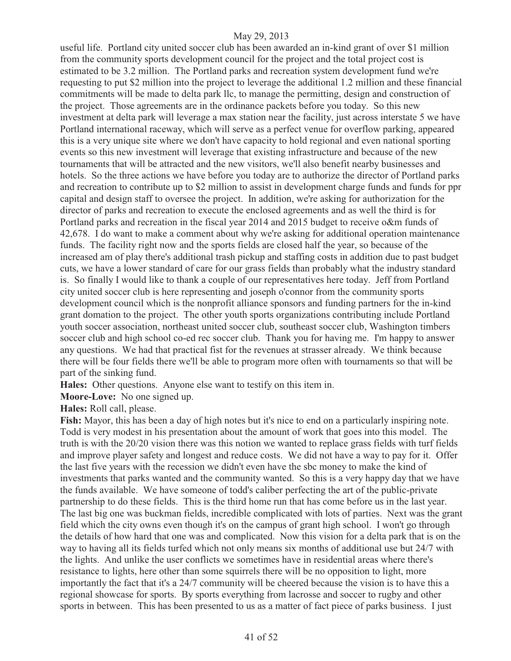useful life. Portland city united soccer club has been awarded an in-kind grant of over \$1 million from the community sports development council for the project and the total project cost is estimated to be 3.2 million. The Portland parks and recreation system development fund we're requesting to put \$2 million into the project to leverage the additional 1.2 million and these financial commitments will be made to delta park llc, to manage the permitting, design and construction of the project. Those agreements are in the ordinance packets before you today. So this new investment at delta park will leverage a max station near the facility, just across interstate 5 we have Portland international raceway, which will serve as a perfect venue for overflow parking, appeared this is a very unique site where we don't have capacity to hold regional and even national sporting events so this new investment will leverage that existing infrastructure and because of the new tournaments that will be attracted and the new visitors, we'll also benefit nearby businesses and hotels. So the three actions we have before you today are to authorize the director of Portland parks and recreation to contribute up to \$2 million to assist in development charge funds and funds for ppr capital and design staff to oversee the project. In addition, we're asking for authorization for the director of parks and recreation to execute the enclosed agreements and as well the third is for Portland parks and recreation in the fiscal year 2014 and 2015 budget to receive o&m funds of 42,678. I do want to make a comment about why we're asking for additional operation maintenance funds. The facility right now and the sports fields are closed half the year, so because of the increased am of play there's additional trash pickup and staffing costs in addition due to past budget cuts, we have a lower standard of care for our grass fields than probably what the industry standard is. So finally I would like to thank a couple of our representatives here today. Jeff from Portland city united soccer club is here representing and joseph o'connor from the community sports development council which is the nonprofit alliance sponsors and funding partners for the in-kind grant domation to the project. The other youth sports organizations contributing include Portland youth soccer association, northeast united soccer club, southeast soccer club, Washington timbers soccer club and high school co-ed rec soccer club. Thank you for having me. I'm happy to answer any questions. We had that practical fist for the revenues at strasser already. We think because there will be four fields there we'll be able to program more often with tournaments so that will be part of the sinking fund.

**Hales:** Other questions. Anyone else want to testify on this item in.

**Moore-Love:** No one signed up.

**Hales:** Roll call, please.

**Fish:** Mayor, this has been a day of high notes but it's nice to end on a particularly inspiring note. Todd is very modest in his presentation about the amount of work that goes into this model. The truth is with the 20/20 vision there was this notion we wanted to replace grass fields with turf fields and improve player safety and longest and reduce costs. We did not have a way to pay for it. Offer the last five years with the recession we didn't even have the sbc money to make the kind of investments that parks wanted and the community wanted. So this is a very happy day that we have the funds available. We have someone of todd's caliber perfecting the art of the public-private partnership to do these fields. This is the third home run that has come before us in the last year. The last big one was buckman fields, incredible complicated with lots of parties. Next was the grant field which the city owns even though it's on the campus of grant high school. I won't go through the details of how hard that one was and complicated. Now this vision for a delta park that is on the way to having all its fields turfed which not only means six months of additional use but 24/7 with the lights. And unlike the user conflicts we sometimes have in residential areas where there's resistance to lights, here other than some squirrels there will be no opposition to light, more importantly the fact that it's a 24/7 community will be cheered because the vision is to have this a regional showcase for sports. By sports everything from lacrosse and soccer to rugby and other sports in between. This has been presented to us as a matter of fact piece of parks business. I just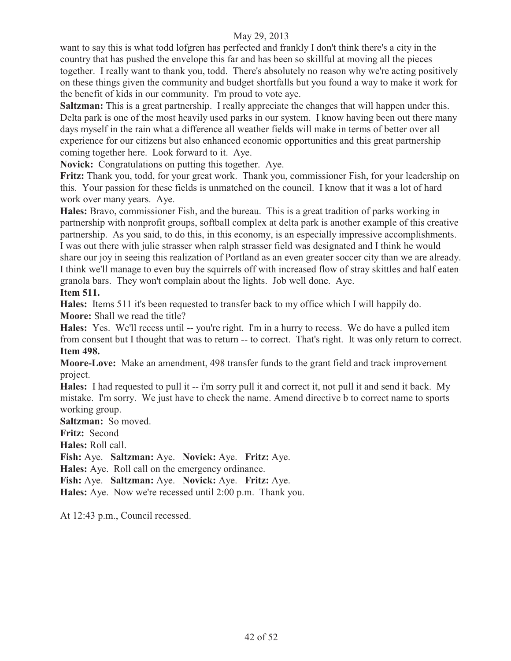want to say this is what todd lofgren has perfected and frankly I don't think there's a city in the country that has pushed the envelope this far and has been so skillful at moving all the pieces together. I really want to thank you, todd. There's absolutely no reason why we're acting positively on these things given the community and budget shortfalls but you found a way to make it work for the benefit of kids in our community. I'm proud to vote aye.

**Saltzman:** This is a great partnership. I really appreciate the changes that will happen under this. Delta park is one of the most heavily used parks in our system. I know having been out there many days myself in the rain what a difference all weather fields will make in terms of better over all experience for our citizens but also enhanced economic opportunities and this great partnership coming together here. Look forward to it. Aye.

**Novick:** Congratulations on putting this together. Aye.

**Fritz:** Thank you, todd, for your great work. Thank you, commissioner Fish, for your leadership on this. Your passion for these fields is unmatched on the council. I know that it was a lot of hard work over many years. Aye.

**Hales:** Bravo, commissioner Fish, and the bureau. This is a great tradition of parks working in partnership with nonprofit groups, softball complex at delta park is another example of this creative partnership. As you said, to do this, in this economy, is an especially impressive accomplishments. I was out there with julie strasser when ralph strasser field was designated and I think he would share our joy in seeing this realization of Portland as an even greater soccer city than we are already. I think we'll manage to even buy the squirrels off with increased flow of stray skittles and half eaten granola bars. They won't complain about the lights. Job well done. Aye.

#### **Item 511.**

**Hales:** Items 511 it's been requested to transfer back to my office which I will happily do. **Moore:** Shall we read the title?

**Hales:** Yes. We'll recess until -- you're right. I'm in a hurry to recess. We do have a pulled item from consent but I thought that was to return -- to correct. That's right. It was only return to correct. **Item 498.**

**Moore-Love:** Make an amendment, 498 transfer funds to the grant field and track improvement project.

**Hales:** I had requested to pull it -- i'm sorry pull it and correct it, not pull it and send it back. My mistake. I'm sorry. We just have to check the name. Amend directive b to correct name to sports working group.

**Saltzman:** So moved.

**Fritz:** Second

**Hales:** Roll call.

**Fish:** Aye. **Saltzman:** Aye. **Novick:** Aye. **Fritz:** Aye.

**Hales:** Aye. Roll call on the emergency ordinance.

**Fish:** Aye. **Saltzman:** Aye. **Novick:** Aye. **Fritz:** Aye.

**Hales:** Aye. Now we're recessed until 2:00 p.m. Thank you.

At 12:43 p.m., Council recessed.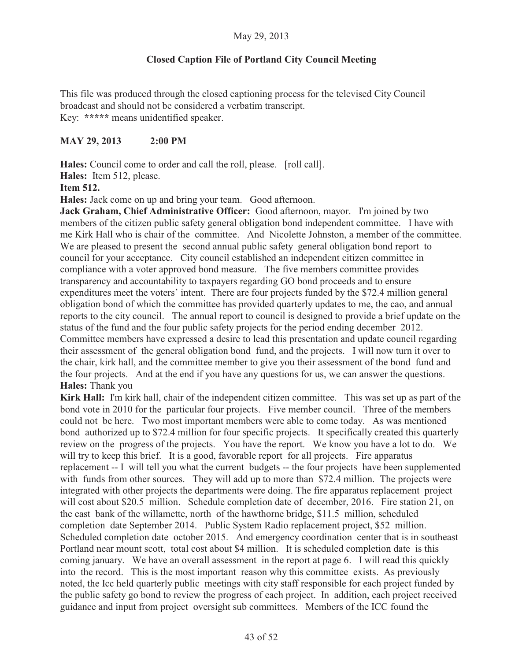# **Closed Caption File of Portland City Council Meeting**

This file was produced through the closed captioning process for the televised City Council broadcast and should not be considered a verbatim transcript. Key: **\*\*\*\*\*** means unidentified speaker.

# **MAY 29, 2013 2:00 PM**

Hales: Council come to order and call the roll, please. [roll call].

**Hales:** Item 512, please.

**Item 512.** 

**Hales:** Jack come on up and bring your team. Good afternoon.

**Jack Graham, Chief Administrative Officer:** Good afternoon, mayor. I'm joined by two members of the citizen public safety general obligation bond independent committee. I have with me Kirk Hall who is chair of the committee. And Nicolette Johnston, a member of the committee. We are pleased to present the second annual public safety general obligation bond report to council for your acceptance. City council established an independent citizen committee in compliance with a voter approved bond measure. The five members committee provides transparency and accountability to taxpayers regarding GO bond proceeds and to ensure expenditures meet the voters' intent. There are four projects funded by the \$72.4 million general obligation bond of which the committee has provided quarterly updates to me, the cao, and annual reports to the city council. The annual report to council is designed to provide a brief update on the status of the fund and the four public safety projects for the period ending december 2012. Committee members have expressed a desire to lead this presentation and update council regarding their assessment of the general obligation bond fund, and the projects. I will now turn it over to the chair, kirk hall, and the committee member to give you their assessment of the bond fund and the four projects. And at the end if you have any questions for us, we can answer the questions. **Hales:** Thank you

**Kirk Hall:** I'm kirk hall, chair of the independent citizen committee. This was set up as part of the bond vote in 2010 for the particular four projects. Five member council. Three of the members could not be here. Two most important members were able to come today. As was mentioned bond authorized up to \$72.4 million for four specific projects. It specifically created this quarterly review on the progress of the projects. You have the report. We know you have a lot to do. We will try to keep this brief. It is a good, favorable report for all projects. Fire apparatus replacement -- I will tell you what the current budgets -- the four projects have been supplemented with funds from other sources. They will add up to more than \$72.4 million. The projects were integrated with other projects the departments were doing. The fire apparatus replacement project will cost about \$20.5 million. Schedule completion date of december, 2016. Fire station 21, on the east bank of the willamette, north of the hawthorne bridge, \$11.5 million, scheduled completion date September 2014. Public System Radio replacement project, \$52 million. Scheduled completion date october 2015. And emergency coordination center that is in southeast Portland near mount scott, total cost about \$4 million. It is scheduled completion date is this coming january. We have an overall assessment in the report at page 6. I will read this quickly into the record. This is the most important reason why this committee exists. As previously noted, the Icc held quarterly public meetings with city staff responsible for each project funded by the public safety go bond to review the progress of each project. In addition, each project received guidance and input from project oversight sub committees. Members of the ICC found the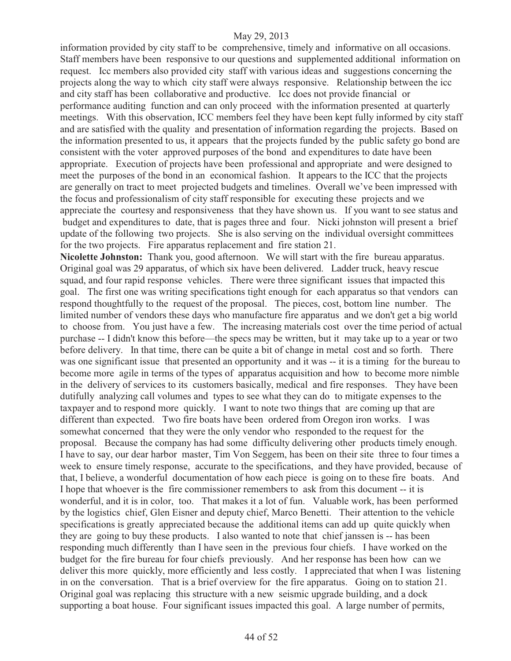information provided by city staff to be comprehensive, timely and informative on all occasions. Staff members have been responsive to our questions and supplemented additional information on request. Icc members also provided city staff with various ideas and suggestions concerning the projects along the way to which city staff were always responsive. Relationship between the icc and city staff has been collaborative and productive. Icc does not provide financial or performance auditing function and can only proceed with the information presented at quarterly meetings. With this observation, ICC members feel they have been kept fully informed by city staff and are satisfied with the quality and presentation of information regarding the projects. Based on the information presented to us, it appears that the projects funded by the public safety go bond are consistent with the voter approved purposes of the bond and expenditures to date have been appropriate. Execution of projects have been professional and appropriate and were designed to meet the purposes of the bond in an economical fashion. It appears to the ICC that the projects are generally on tract to meet projected budgets and timelines. Overall we've been impressed with the focus and professionalism of city staff responsible for executing these projects and we appreciate the courtesy and responsiveness that they have shown us. If you want to see status and budget and expenditures to date, that is pages three and four. Nicki johnston will present a brief update of the following two projects. She is also serving on the individual oversight committees for the two projects. Fire apparatus replacement and fire station 21.

**Nicolette Johnston:** Thank you, good afternoon. We will start with the fire bureau apparatus. Original goal was 29 apparatus, of which six have been delivered. Ladder truck, heavy rescue squad, and four rapid response vehicles. There were three significant issues that impacted this goal. The first one was writing specifications tight enough for each apparatus so that vendors can respond thoughtfully to the request of the proposal. The pieces, cost, bottom line number. The limited number of vendors these days who manufacture fire apparatus and we don't get a big world to choose from. You just have a few. The increasing materials cost over the time period of actual purchase -- I didn't know this before—the specs may be written, but it may take up to a year or two before delivery. In that time, there can be quite a bit of change in metal cost and so forth. There was one significant issue that presented an opportunity and it was -- it is a timing for the bureau to become more agile in terms of the types of apparatus acquisition and how to become more nimble in the delivery of services to its customers basically, medical and fire responses. They have been dutifully analyzing call volumes and types to see what they can do to mitigate expenses to the taxpayer and to respond more quickly. I want to note two things that are coming up that are different than expected. Two fire boats have been ordered from Oregon iron works. I was somewhat concerned that they were the only vendor who responded to the request for the proposal. Because the company has had some difficulty delivering other products timely enough. I have to say, our dear harbor master, Tim Von Seggem, has been on their site three to four times a week to ensure timely response, accurate to the specifications, and they have provided, because of that, I believe, a wonderful documentation of how each piece is going on to these fire boats. And I hope that whoever is the fire commissioner remembers to ask from this document -- it is wonderful, and it is in color, too. That makes it a lot of fun. Valuable work, has been performed by the logistics chief, Glen Eisner and deputy chief, Marco Benetti. Their attention to the vehicle specifications is greatly appreciated because the additional items can add up quite quickly when they are going to buy these products. I also wanted to note that chief janssen is -- has been responding much differently than I have seen in the previous four chiefs. I have worked on the budget for the fire bureau for four chiefs previously. And her response has been how can we deliver this more quickly, more efficiently and less costly. I appreciated that when I was listening in on the conversation. That is a brief overview for the fire apparatus. Going on to station 21. Original goal was replacing this structure with a new seismic upgrade building, and a dock supporting a boat house. Four significant issues impacted this goal. A large number of permits,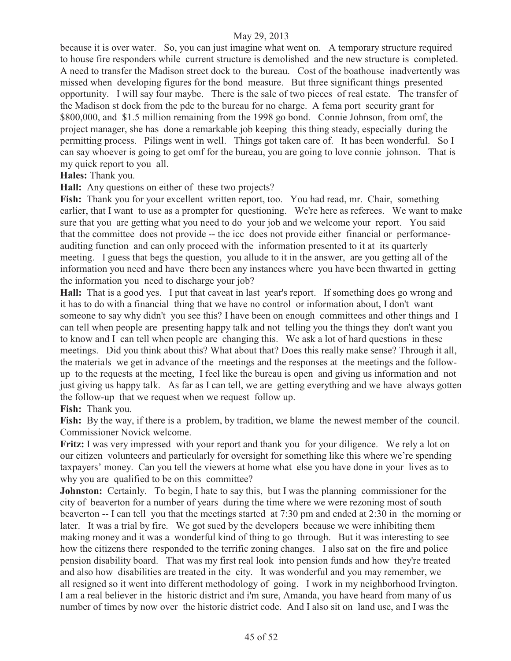because it is over water. So, you can just imagine what went on. A temporary structure required to house fire responders while current structure is demolished and the new structure is completed. A need to transfer the Madison street dock to the bureau. Cost of the boathouse inadvertently was missed when developing figures for the bond measure. But three significant things presented opportunity. I will say four maybe. There is the sale of two pieces of real estate. The transfer of the Madison st dock from the pdc to the bureau for no charge. A fema port security grant for \$800,000, and \$1.5 million remaining from the 1998 go bond. Connie Johnson, from omf, the project manager, she has done a remarkable job keeping this thing steady, especially during the permitting process. Pilings went in well. Things got taken care of. It has been wonderful. So I can say whoever is going to get omf for the bureau, you are going to love connie johnson. That is my quick report to you all.

**Hales:** Thank you.

**Hall:** Any questions on either of these two projects?

Fish: Thank you for your excellent written report, too. You had read, mr. Chair, something earlier, that I want to use as a prompter for questioning. We're here as referees. We want to make sure that you are getting what you need to do your job and we welcome your report. You said that the committee does not provide -- the icc does not provide either financial or performanceauditing function and can only proceed with the information presented to it at its quarterly meeting. I guess that begs the question, you allude to it in the answer, are you getting all of the information you need and have there been any instances where you have been thwarted in getting the information you need to discharge your job?

**Hall:** That is a good yes. I put that caveat in last year's report. If something does go wrong and it has to do with a financial thing that we have no control or information about, I don't want someone to say why didn't you see this? I have been on enough committees and other things and I can tell when people are presenting happy talk and not telling you the things they don't want you to know and I can tell when people are changing this. We ask a lot of hard questions in these meetings. Did you think about this? What about that? Does this really make sense? Through it all, the materials we get in advance of the meetings and the responses at the meetings and the followup to the requests at the meeting, I feel like the bureau is open and giving us information and not just giving us happy talk. As far as I can tell, we are getting everything and we have always gotten the follow-up that we request when we request follow up.

**Fish:** Thank you.

Fish: By the way, if there is a problem, by tradition, we blame the newest member of the council. Commissioner Novick welcome.

**Fritz:** I was very impressed with your report and thank you for your diligence. We rely a lot on our citizen volunteers and particularly for oversight for something like this where we're spending taxpayers' money. Can you tell the viewers at home what else you have done in your lives as to why you are qualified to be on this committee?

**Johnston:** Certainly. To begin, I hate to say this, but I was the planning commissioner for the city of beaverton for a number of years during the time where we were rezoning most of south beaverton -- I can tell you that the meetings started at 7:30 pm and ended at 2:30 in the morning or later. It was a trial by fire. We got sued by the developers because we were inhibiting them making money and it was a wonderful kind of thing to go through. But it was interesting to see how the citizens there responded to the terrific zoning changes. I also sat on the fire and police pension disability board. That was my first real look into pension funds and how they're treated and also how disabilities are treated in the city. It was wonderful and you may remember, we all resigned so it went into different methodology of going. I work in my neighborhood Irvington. I am a real believer in the historic district and i'm sure, Amanda, you have heard from many of us number of times by now over the historic district code. And I also sit on land use, and I was the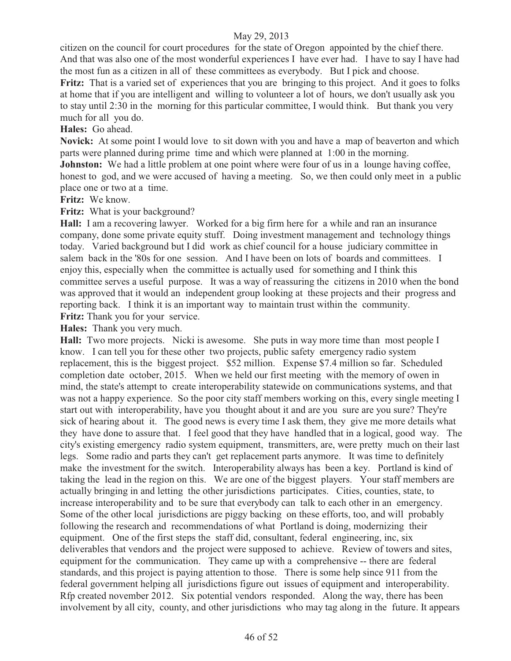citizen on the council for court procedures for the state of Oregon appointed by the chief there. And that was also one of the most wonderful experiences I have ever had. I have to say I have had the most fun as a citizen in all of these committees as everybody. But I pick and choose.

**Fritz:** That is a varied set of experiences that you are bringing to this project. And it goes to folks at home that if you are intelligent and willing to volunteer a lot of hours, we don't usually ask you to stay until 2:30 in the morning for this particular committee, I would think. But thank you very much for all you do.

**Hales:** Go ahead.

**Novick:** At some point I would love to sit down with you and have a map of beaverton and which parts were planned during prime time and which were planned at 1:00 in the morning.

**Johnston:** We had a little problem at one point where were four of us in a lounge having coffee, honest to god, and we were accused of having a meeting. So, we then could only meet in a public place one or two at a time.

**Fritz:** We know.

**Fritz:** What is your background?

**Hall:** I am a recovering lawyer. Worked for a big firm here for a while and ran an insurance company, done some private equity stuff. Doing investment management and technology things today. Varied background but I did work as chief council for a house judiciary committee in salem back in the '80s for one session. And I have been on lots of boards and committees. I enjoy this, especially when the committee is actually used for something and I think this committee serves a useful purpose. It was a way of reassuring the citizens in 2010 when the bond was approved that it would an independent group looking at these projects and their progress and reporting back. I think it is an important way to maintain trust within the community. Fritz: Thank you for your service.

**Hales:** Thank you very much.

**Hall:** Two more projects. Nicki is awesome. She puts in way more time than most people I know. I can tell you for these other two projects, public safety emergency radio system replacement, this is the biggest project. \$52 million. Expense \$7.4 million so far. Scheduled completion date october, 2015. When we held our first meeting with the memory of owen in mind, the state's attempt to create interoperability statewide on communications systems, and that was not a happy experience. So the poor city staff members working on this, every single meeting I start out with interoperability, have you thought about it and are you sure are you sure? They're sick of hearing about it. The good news is every time I ask them, they give me more details what they have done to assure that. I feel good that they have handled that in a logical, good way. The city's existing emergency radio system equipment, transmitters, are, were pretty much on their last legs. Some radio and parts they can't get replacement parts anymore. It was time to definitely make the investment for the switch. Interoperability always has been a key. Portland is kind of taking the lead in the region on this. We are one of the biggest players. Your staff members are actually bringing in and letting the other jurisdictions participates. Cities, counties, state, to increase interoperability and to be sure that everybody can talk to each other in an emergency. Some of the other local jurisdictions are piggy backing on these efforts, too, and will probably following the research and recommendations of what Portland is doing, modernizing their equipment. One of the first steps the staff did, consultant, federal engineering, inc, six deliverables that vendors and the project were supposed to achieve. Review of towers and sites, equipment for the communication. They came up with a comprehensive -- there are federal standards, and this project is paying attention to those. There is some help since 911 from the federal government helping all jurisdictions figure out issues of equipment and interoperability. Rfp created november 2012. Six potential vendors responded. Along the way, there has been involvement by all city, county, and other jurisdictions who may tag along in the future. It appears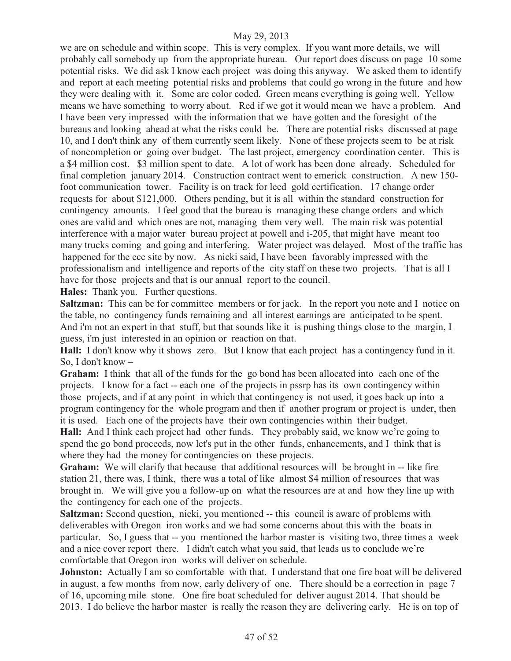we are on schedule and within scope. This is very complex. If you want more details, we will probably call somebody up from the appropriate bureau. Our report does discuss on page 10 some potential risks. We did ask I know each project was doing this anyway. We asked them to identify and report at each meeting potential risks and problems that could go wrong in the future and how they were dealing with it. Some are color coded. Green means everything is going well. Yellow means we have something to worry about. Red if we got it would mean we have a problem. And I have been very impressed with the information that we have gotten and the foresight of the bureaus and looking ahead at what the risks could be. There are potential risks discussed at page 10, and I don't think any of them currently seem likely. None of these projects seem to be at risk of noncompletion or going over budget. The last project, emergency coordination center. This is a \$4 million cost. \$3 million spent to date. A lot of work has been done already. Scheduled for final completion january 2014. Construction contract went to emerick construction. A new 150 foot communication tower. Facility is on track for leed gold certification. 17 change order requests for about \$121,000. Others pending, but it is all within the standard construction for contingency amounts. I feel good that the bureau is managing these change orders and which ones are valid and which ones are not, managing them very well. The main risk was potential interference with a major water bureau project at powell and i-205, that might have meant too many trucks coming and going and interfering. Water project was delayed. Most of the traffic has happened for the ecc site by now. As nicki said, I have been favorably impressed with the professionalism and intelligence and reports of the city staff on these two projects. That is all I have for those projects and that is our annual report to the council.

**Hales:** Thank you. Further questions.

**Saltzman:** This can be for committee members or for jack. In the report you note and I notice on the table, no contingency funds remaining and all interest earnings are anticipated to be spent. And i'm not an expert in that stuff, but that sounds like it is pushing things close to the margin, I guess, i'm just interested in an opinion or reaction on that.

**Hall:** I don't know why it shows zero. But I know that each project has a contingency fund in it. So, I don't know –

**Graham:** I think that all of the funds for the go bond has been allocated into each one of the projects. I know for a fact -- each one of the projects in pssrp has its own contingency within those projects, and if at any point in which that contingency is not used, it goes back up into a program contingency for the whole program and then if another program or project is under, then it is used. Each one of the projects have their own contingencies within their budget.

**Hall:** And I think each project had other funds. They probably said, we know we're going to spend the go bond proceeds, now let's put in the other funds, enhancements, and I think that is where they had the money for contingencies on these projects.

**Graham:** We will clarify that because that additional resources will be brought in -- like fire station 21, there was, I think, there was a total of like almost \$4 million of resources that was brought in. We will give you a follow-up on what the resources are at and how they line up with the contingency for each one of the projects.

**Saltzman:** Second question, nicki, you mentioned -- this council is aware of problems with deliverables with Oregon iron works and we had some concerns about this with the boats in particular. So, I guess that -- you mentioned the harbor master is visiting two, three times a week and a nice cover report there. I didn't catch what you said, that leads us to conclude we're comfortable that Oregon iron works will deliver on schedule.

**Johnston:** Actually I am so comfortable with that. I understand that one fire boat will be delivered in august, a few months from now, early delivery of one. There should be a correction in page 7 of 16, upcoming mile stone. One fire boat scheduled for deliver august 2014. That should be 2013. I do believe the harbor master is really the reason they are delivering early. He is on top of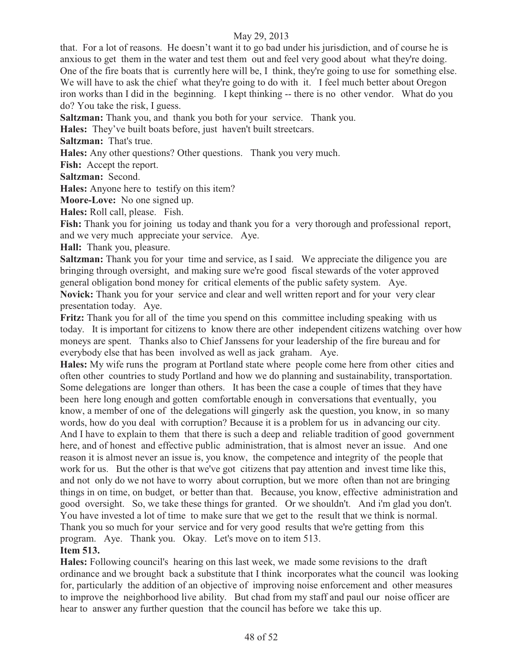that. For a lot of reasons. He doesn't want it to go bad under his jurisdiction, and of course he is anxious to get them in the water and test them out and feel very good about what they're doing. One of the fire boats that is currently here will be, I think, they're going to use for something else. We will have to ask the chief what they're going to do with it. I feel much better about Oregon iron works than I did in the beginning. I kept thinking -- there is no other vendor. What do you do? You take the risk, I guess.

**Saltzman:** Thank you, and thank you both for your service. Thank you.

**Hales:** They've built boats before, just haven't built streetcars.

**Saltzman:** That's true.

**Hales:** Any other questions? Other questions. Thank you very much.

**Fish:** Accept the report.

**Saltzman:** Second.

**Hales:** Anyone here to testify on this item?

**Moore-Love:** No one signed up.

**Hales:** Roll call, please. Fish.

**Fish:** Thank you for joining us today and thank you for a very thorough and professional report, and we very much appreciate your service. Aye.

**Hall:** Thank you, pleasure.

**Saltzman:** Thank you for your time and service, as I said. We appreciate the diligence you are bringing through oversight, and making sure we're good fiscal stewards of the voter approved general obligation bond money for critical elements of the public safety system. Aye.

**Novick:** Thank you for your service and clear and well written report and for your very clear presentation today. Aye.

**Fritz:** Thank you for all of the time you spend on this committee including speaking with us today. It is important for citizens to know there are other independent citizens watching over how moneys are spent. Thanks also to Chief Janssens for your leadership of the fire bureau and for everybody else that has been involved as well as jack graham. Aye.

**Hales:** My wife runs the program at Portland state where people come here from other cities and often other countries to study Portland and how we do planning and sustainability, transportation. Some delegations are longer than others. It has been the case a couple of times that they have been here long enough and gotten comfortable enough in conversations that eventually, you know, a member of one of the delegations will gingerly ask the question, you know, in so many words, how do you deal with corruption? Because it is a problem for us in advancing our city. And I have to explain to them that there is such a deep and reliable tradition of good government here, and of honest and effective public administration, that is almost never an issue. And one reason it is almost never an issue is, you know, the competence and integrity of the people that work for us. But the other is that we've got citizens that pay attention and invest time like this, and not only do we not have to worry about corruption, but we more often than not are bringing things in on time, on budget, or better than that. Because, you know, effective administration and good oversight. So, we take these things for granted. Or we shouldn't. And i'm glad you don't. You have invested a lot of time to make sure that we get to the result that we think is normal. Thank you so much for your service and for very good results that we're getting from this program. Aye. Thank you. Okay. Let's move on to item 513.

# **Item 513.**

**Hales:** Following council's hearing on this last week, we made some revisions to the draft ordinance and we brought back a substitute that I think incorporates what the council was looking for, particularly the addition of an objective of improving noise enforcement and other measures to improve the neighborhood live ability. But chad from my staff and paul our noise officer are hear to answer any further question that the council has before we take this up.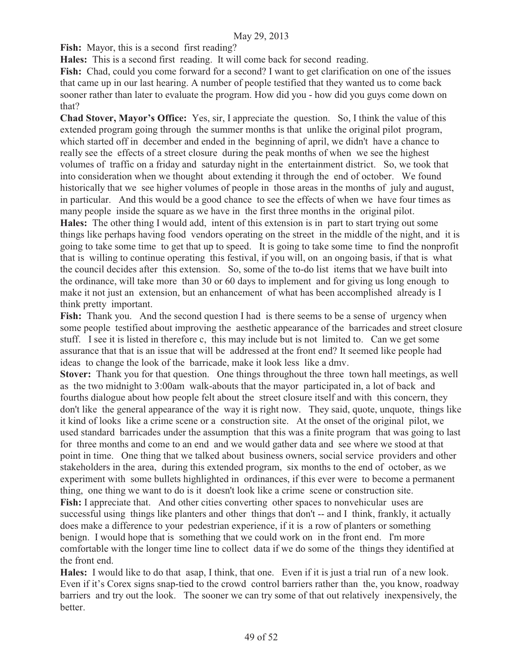**Fish:** Mayor, this is a second first reading?

**Hales:** This is a second first reading. It will come back for second reading.

Fish: Chad, could you come forward for a second? I want to get clarification on one of the issues that came up in our last hearing. A number of people testified that they wanted us to come back sooner rather than later to evaluate the program. How did you - how did you guys come down on that?

**Chad Stover, Mayor's Office:** Yes, sir, I appreciate the question. So, I think the value of this extended program going through the summer months is that unlike the original pilot program, which started off in december and ended in the beginning of april, we didn't have a chance to really see the effects of a street closure during the peak months of when we see the highest volumes of traffic on a friday and saturday night in the entertainment district. So, we took that into consideration when we thought about extending it through the end of october. We found historically that we see higher volumes of people in those areas in the months of july and august, in particular. And this would be a good chance to see the effects of when we have four times as many people inside the square as we have in the first three months in the original pilot. **Hales:** The other thing I would add, intent of this extension is in part to start trying out some things like perhaps having food vendors operating on the street in the middle of the night, and it is going to take some time to get that up to speed. It is going to take some time to find the nonprofit that is willing to continue operating this festival, if you will, on an ongoing basis, if that is what the council decides after this extension. So, some of the to-do list items that we have built into the ordinance, will take more than 30 or 60 days to implement and for giving us long enough to make it not just an extension, but an enhancement of what has been accomplished already is I think pretty important.

**Fish:** Thank you. And the second question I had is there seems to be a sense of urgency when some people testified about improving the aesthetic appearance of the barricades and street closure stuff. I see it is listed in therefore c, this may include but is not limited to. Can we get some assurance that that is an issue that will be addressed at the front end? It seemed like people had ideas to change the look of the barricade, make it look less like a dmv.

**Stover:** Thank you for that question. One things throughout the three town hall meetings, as well as the two midnight to 3:00am walk-abouts that the mayor participated in, a lot of back and fourths dialogue about how people felt about the street closure itself and with this concern, they don't like the general appearance of the way it is right now. They said, quote, unquote, things like it kind of looks like a crime scene or a construction site. At the onset of the original pilot, we used standard barricades under the assumption that this was a finite program that was going to last for three months and come to an end and we would gather data and see where we stood at that point in time. One thing that we talked about business owners, social service providers and other stakeholders in the area, during this extended program, six months to the end of october, as we experiment with some bullets highlighted in ordinances, if this ever were to become a permanent thing, one thing we want to do is it doesn't look like a crime scene or construction site. **Fish:** I appreciate that. And other cities converting other spaces to nonvehicular uses are successful using things like planters and other things that don't -- and I think, frankly, it actually does make a difference to your pedestrian experience, if it is a row of planters or something

benign. I would hope that is something that we could work on in the front end. I'm more comfortable with the longer time line to collect data if we do some of the things they identified at the front end.

**Hales:** I would like to do that asap, I think, that one. Even if it is just a trial run of a new look. Even if it's Corex signs snap-tied to the crowd control barriers rather than the, you know, roadway barriers and try out the look. The sooner we can try some of that out relatively inexpensively, the better.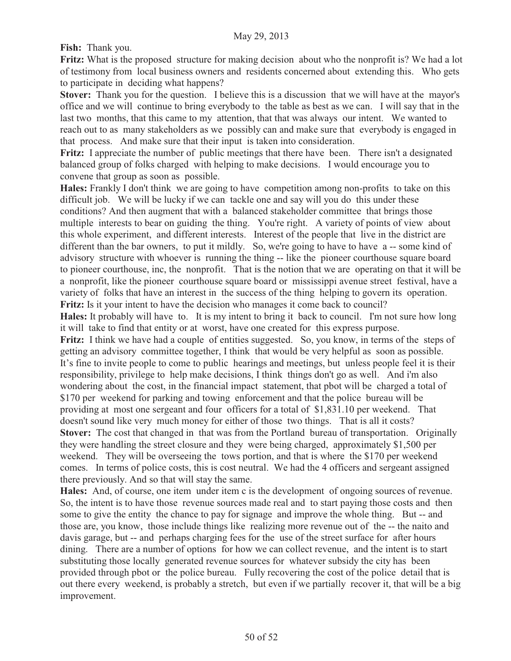**Fish:** Thank you.

**Fritz:** What is the proposed structure for making decision about who the nonprofit is? We had a lot of testimony from local business owners and residents concerned about extending this. Who gets to participate in deciding what happens?

**Stover:** Thank you for the question. I believe this is a discussion that we will have at the mayor's office and we will continue to bring everybody to the table as best as we can. I will say that in the last two months, that this came to my attention, that that was always our intent. We wanted to reach out to as many stakeholders as we possibly can and make sure that everybody is engaged in that process. And make sure that their input is taken into consideration.

Fritz: I appreciate the number of public meetings that there have been. There isn't a designated balanced group of folks charged with helping to make decisions. I would encourage you to convene that group as soon as possible.

**Hales:** Frankly I don't think we are going to have competition among non-profits to take on this difficult job. We will be lucky if we can tackle one and say will you do this under these conditions? And then augment that with a balanced stakeholder committee that brings those multiple interests to bear on guiding the thing. You're right. A variety of points of view about this whole experiment, and different interests. Interest of the people that live in the district are different than the bar owners, to put it mildly. So, we're going to have to have a-some kind of advisory structure with whoever is running the thing -- like the pioneer courthouse square board to pioneer courthouse, inc, the nonprofit. That is the notion that we are operating on that it will be a nonprofit, like the pioneer courthouse square board or mississippi avenue street festival, have a variety of folks that have an interest in the success of the thing helping to govern its operation. **Fritz:** Is it your intent to have the decision who manages it come back to council? **Hales:** It probably will have to. It is my intent to bring it back to council. I'm not sure how long it will take to find that entity or at worst, have one created for this express purpose. **Fritz:** I think we have had a couple of entities suggested. So, you know, in terms of the steps of getting an advisory committee together, I think that would be very helpful as soon as possible. It's fine to invite people to come to public hearings and meetings, but unless people feel it is their responsibility, privilege to help make decisions, I think things don't go as well. And i'm also wondering about the cost, in the financial impact statement, that pbot will be charged a total of \$170 per weekend for parking and towing enforcement and that the police bureau will be providing at most one sergeant and four officers for a total of \$1,831.10 per weekend. That doesn't sound like very much money for either of those two things. That is all it costs? **Stover:** The cost that changed in that was from the Portland bureau of transportation. Originally they were handling the street closure and they were being charged, approximately \$1,500 per weekend. They will be overseeing the tows portion, and that is where the \$170 per weekend comes. In terms of police costs, this is cost neutral. We had the 4 officers and sergeant assigned there previously. And so that will stay the same.

**Hales:** And, of course, one item under item c is the development of ongoing sources of revenue. So, the intent is to have those revenue sources made real and to start paying those costs and then some to give the entity the chance to pay for signage and improve the whole thing. But -- and those are, you know, those include things like realizing more revenue out of the -- the naito and davis garage, but -- and perhaps charging fees for the use of the street surface for after hours dining. There are a number of options for how we can collect revenue, and the intent is to start substituting those locally generated revenue sources for whatever subsidy the city has been provided through pbot or the police bureau. Fully recovering the cost of the police detail that is out there every weekend, is probably a stretch, but even if we partially recover it, that will be a big improvement.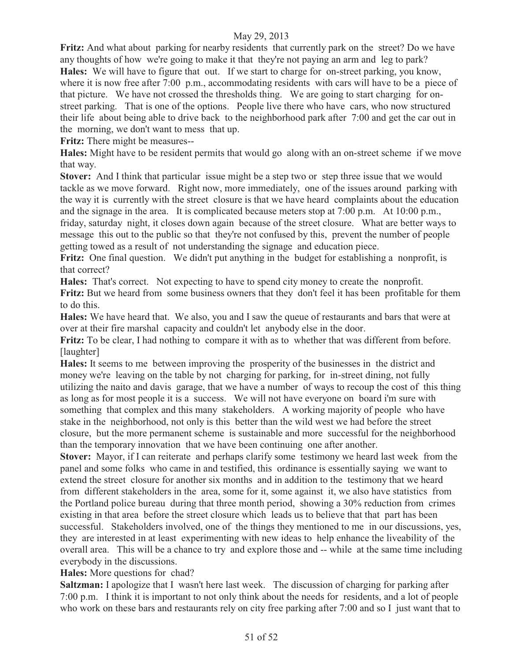**Fritz:** And what about parking for nearby residents that currently park on the street? Do we have any thoughts of how we're going to make it that they're not paying an arm and leg to park? **Hales:** We will have to figure that out. If we start to charge for on-street parking, you know, where it is now free after 7:00 p.m., accommodating residents with cars will have to be a piece of that picture. We have not crossed the thresholds thing. We are going to start charging for onstreet parking. That is one of the options. People live there who have cars, who now structured their life about being able to drive back to the neighborhood park after 7:00 and get the car out in the morning, we don't want to mess that up.

**Fritz:** There might be measures--

**Hales:** Might have to be resident permits that would go along with an on-street scheme if we move that way.

**Stover:** And I think that particular issue might be a step two or step three issue that we would tackle as we move forward. Right now, more immediately, one of the issues around parking with the way it is currently with the street closure is that we have heard complaints about the education and the signage in the area. It is complicated because meters stop at 7:00 p.m. At 10:00 p.m., friday, saturday night, it closes down again because of the street closure. What are better ways to message this out to the public so that they're not confused by this, prevent the number of people getting towed as a result of not understanding the signage and education piece.

**Fritz:** One final question. We didn't put anything in the budget for establishing a nonprofit, is that correct?

**Hales:** That's correct. Not expecting to have to spend city money to create the nonprofit. **Fritz:** But we heard from some business owners that they don't feel it has been profitable for them to do this.

**Hales:** We have heard that. We also, you and I saw the queue of restaurants and bars that were at over at their fire marshal capacity and couldn't let anybody else in the door.

**Fritz:** To be clear, I had nothing to compare it with as to whether that was different from before. [laughter]

**Hales:** It seems to me between improving the prosperity of the businesses in the district and money we're leaving on the table by not charging for parking, for in-street dining, not fully utilizing the naito and davis garage, that we have a number of ways to recoup the cost of this thing as long as for most people it is a success. We will not have everyone on board i'm sure with something that complex and this many stakeholders. A working majority of people who have stake in the neighborhood, not only is this better than the wild west we had before the street closure, but the more permanent scheme is sustainable and more successful for the neighborhood than the temporary innovation that we have been continuing one after another.

**Stover:** Mayor, if I can reiterate and perhaps clarify some testimony we heard last week from the panel and some folks who came in and testified, this ordinance is essentially saying we want to extend the street closure for another six months and in addition to the testimony that we heard from different stakeholders in the area, some for it, some against it, we also have statistics from the Portland police bureau during that three month period, showing a 30% reduction from crimes existing in that area before the street closure which leads us to believe that that part has been successful. Stakeholders involved, one of the things they mentioned to me in our discussions, yes, they are interested in at least experimenting with new ideas to help enhance the liveability of the overall area. This will be a chance to try and explore those and -- while at the same time including everybody in the discussions.

# **Hales:** More questions for chad?

**Saltzman:** I apologize that I wasn't here last week. The discussion of charging for parking after 7:00 p.m. I think it is important to not only think about the needs for residents, and a lot of people who work on these bars and restaurants rely on city free parking after 7:00 and so I just want that to